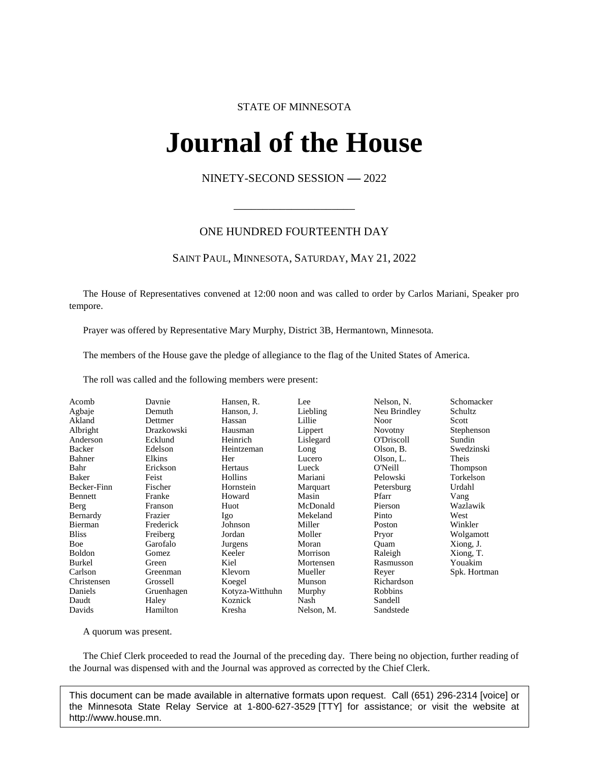# STATE OF MINNESOTA

# **Journal of the House IFINAL OL UNE FIOI**<br>NINETY-SECOND SESSION -- 2022

# ONE HUNDRED FOURTEENTH DAY

\_\_\_\_\_\_\_\_\_\_\_\_\_\_\_\_\_\_\_\_\_

# SAINT PAUL, MINNESOTA, SATURDAY, MAY 21, 2022

The House of Representatives convened at 12:00 noon and was called to order by Carlos Mariani, Speaker pro tempore.

Prayer was offered by Representative Mary Murphy, District 3B, Hermantown, Minnesota.

The members of the House gave the pledge of allegiance to the flag of the United States of America.

The roll was called and the following members were present:

| Acomb        | Davnie     | Hansen, R.      | Lee        | Nelson, N.     | Schomacker   |
|--------------|------------|-----------------|------------|----------------|--------------|
| Agbaje       | Demuth     | Hanson, J.      | Liebling   | Neu Brindley   | Schultz      |
| Akland       | Dettmer    | Hassan          | Lillie     | Noor           | Scott        |
| Albright     | Drazkowski | Hausman         | Lippert    | <b>Novotny</b> | Stephenson   |
| Anderson     | Ecklund    | Heinrich        | Lislegard  | O'Driscoll     | Sundin       |
| Backer       | Edelson    | Heintzeman      | Long       | Olson, B.      | Swedzinski   |
| Bahner       | Elkins     | Her             | Lucero     | Olson, L.      | Theis        |
| Bahr         | Erickson   | Hertaus         | Lueck      | O'Neill        | Thompson     |
| Baker        | Feist      | Hollins         | Mariani    | Pelowski       | Torkelson    |
| Becker-Finn  | Fischer    | Hornstein       | Marquart   | Petersburg     | Urdahl       |
| Bennett      | Franke     | Howard          | Masin      | Pfarr          | Vang         |
| Berg         | Franson    | Huot            | McDonald   | Pierson        | Wazlawik     |
| Bernardy     | Frazier    | Igo             | Mekeland   | Pinto          | West         |
| Bierman      | Frederick  | Johnson         | Miller     | Poston         | Winkler      |
| <b>Bliss</b> | Freiberg   | Jordan          | Moller     | Pryor          | Wolgamott    |
| Boe          | Garofalo   | Jurgens         | Moran      | Ouam           | Xiong, J.    |
| Boldon       | Gomez      | Keeler          | Morrison   | Raleigh        | Xiong, T.    |
| Burkel       | Green      | Kiel            | Mortensen  | Rasmusson      | Youakim      |
| Carlson      | Greenman   | Klevorn         | Mueller    | Reyer          | Spk. Hortman |
| Christensen  | Grossell   | Koegel          | Munson     | Richardson     |              |
| Daniels      | Gruenhagen | Kotyza-Witthuhn | Murphy     | Robbins        |              |
| Daudt        | Haley      | Koznick         | Nash       | Sandell        |              |
| Davids       | Hamilton   | Kresha          | Nelson, M. | Sandstede      |              |

A quorum was present.

The Chief Clerk proceeded to read the Journal of the preceding day. There being no objection, further reading of the Journal was dispensed with and the Journal was approved as corrected by the Chief Clerk.

This document can be made available in alternative formats upon request. Call (651) 296-2314 [voice] or the Minnesota State Relay Service at 1-800-627-3529 [TTY] for assistance; or visit the website at http://www.house.mn.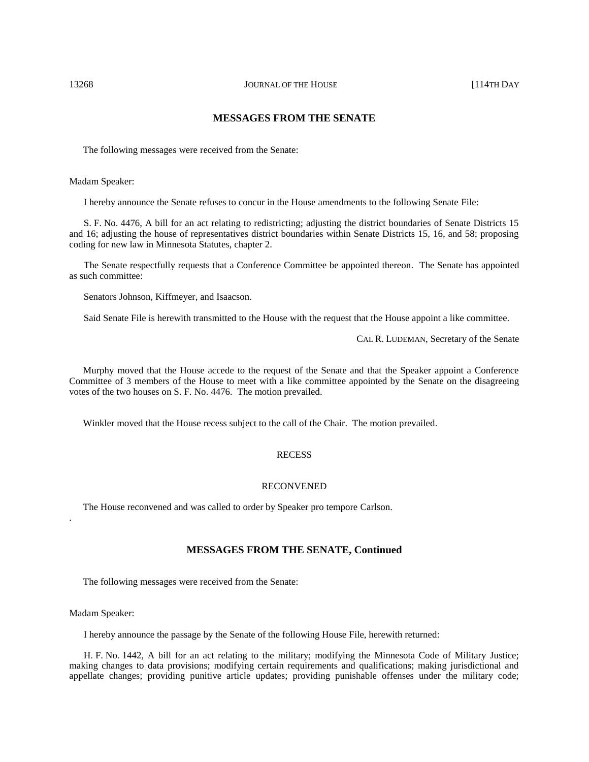# **MESSAGES FROM THE SENATE**

The following messages were received from the Senate:

Madam Speaker:

I hereby announce the Senate refuses to concur in the House amendments to the following Senate File:

S. F. No. 4476, A bill for an act relating to redistricting; adjusting the district boundaries of Senate Districts 15 and 16; adjusting the house of representatives district boundaries within Senate Districts 15, 16, and 58; proposing coding for new law in Minnesota Statutes, chapter 2.

The Senate respectfully requests that a Conference Committee be appointed thereon. The Senate has appointed as such committee:

Senators Johnson, Kiffmeyer, and Isaacson.

Said Senate File is herewith transmitted to the House with the request that the House appoint a like committee.

CAL R. LUDEMAN, Secretary of the Senate

Murphy moved that the House accede to the request of the Senate and that the Speaker appoint a Conference Committee of 3 members of the House to meet with a like committee appointed by the Senate on the disagreeing votes of the two houses on S. F. No. 4476. The motion prevailed.

Winkler moved that the House recess subject to the call of the Chair. The motion prevailed.

#### **RECESS**

#### RECONVENED

The House reconvened and was called to order by Speaker pro tempore Carlson.

## **MESSAGES FROM THE SENATE, Continued**

The following messages were received from the Senate:

Madam Speaker:

.

I hereby announce the passage by the Senate of the following House File, herewith returned:

H. F. No. 1442, A bill for an act relating to the military; modifying the Minnesota Code of Military Justice; making changes to data provisions; modifying certain requirements and qualifications; making jurisdictional and appellate changes; providing punitive article updates; providing punishable offenses under the military code;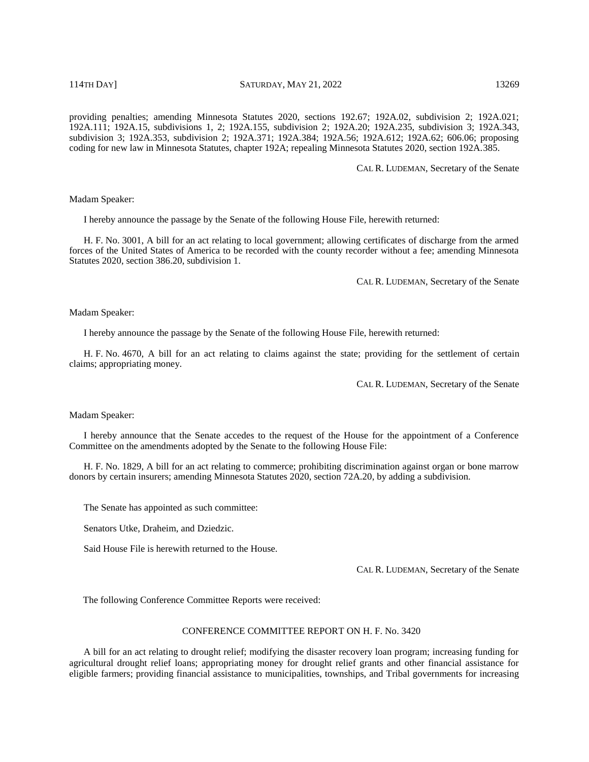providing penalties; amending Minnesota Statutes 2020, sections 192.67; 192A.02, subdivision 2; 192A.021; 192A.111; 192A.15, subdivisions 1, 2; 192A.155, subdivision 2; 192A.20; 192A.235, subdivision 3; 192A.343, subdivision 3; 192A.353, subdivision 2; 192A.371; 192A.384; 192A.56; 192A.612; 192A.62; 606.06; proposing coding for new law in Minnesota Statutes, chapter 192A; repealing Minnesota Statutes 2020, section 192A.385.

CAL R. LUDEMAN, Secretary of the Senate

Madam Speaker:

I hereby announce the passage by the Senate of the following House File, herewith returned:

H. F. No. 3001, A bill for an act relating to local government; allowing certificates of discharge from the armed forces of the United States of America to be recorded with the county recorder without a fee; amending Minnesota Statutes 2020, section 386.20, subdivision 1.

CAL R. LUDEMAN, Secretary of the Senate

Madam Speaker:

I hereby announce the passage by the Senate of the following House File, herewith returned:

H. F. No. 4670, A bill for an act relating to claims against the state; providing for the settlement of certain claims; appropriating money.

CAL R. LUDEMAN, Secretary of the Senate

Madam Speaker:

I hereby announce that the Senate accedes to the request of the House for the appointment of a Conference Committee on the amendments adopted by the Senate to the following House File:

H. F. No. 1829, A bill for an act relating to commerce; prohibiting discrimination against organ or bone marrow donors by certain insurers; amending Minnesota Statutes 2020, section 72A.20, by adding a subdivision.

The Senate has appointed as such committee:

Senators Utke, Draheim, and Dziedzic.

Said House File is herewith returned to the House.

CAL R. LUDEMAN, Secretary of the Senate

The following Conference Committee Reports were received:

#### CONFERENCE COMMITTEE REPORT ON H. F. No. 3420

A bill for an act relating to drought relief; modifying the disaster recovery loan program; increasing funding for agricultural drought relief loans; appropriating money for drought relief grants and other financial assistance for eligible farmers; providing financial assistance to municipalities, townships, and Tribal governments for increasing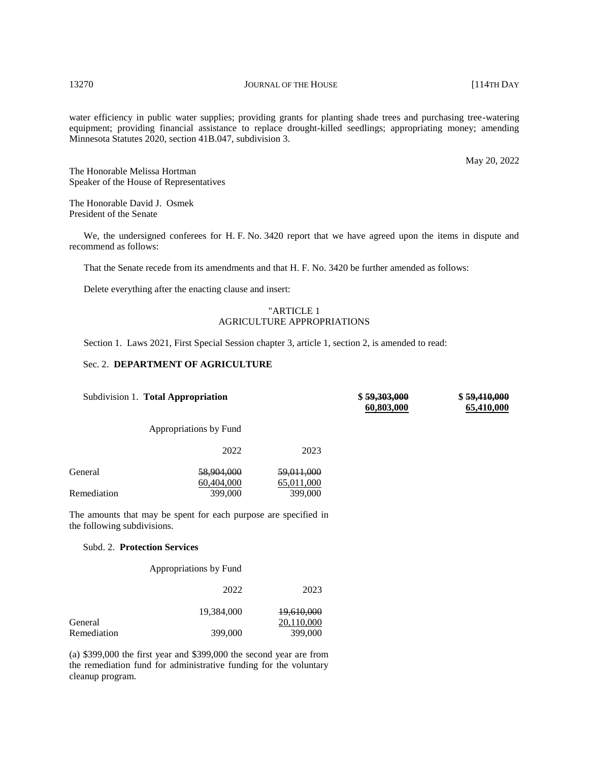water efficiency in public water supplies; providing grants for planting shade trees and purchasing tree-watering equipment; providing financial assistance to replace drought-killed seedlings; appropriating money; amending Minnesota Statutes 2020, section 41B.047, subdivision 3.

May 20, 2022

The Honorable Melissa Hortman Speaker of the House of Representatives

The Honorable David J. Osmek President of the Senate

We, the undersigned conferees for H. F. No. 3420 report that we have agreed upon the items in dispute and recommend as follows:

That the Senate recede from its amendments and that H. F. No. 3420 be further amended as follows:

Delete everything after the enacting clause and insert:

# "ARTICLE 1 AGRICULTURE APPROPRIATIONS

Section 1. Laws 2021, First Special Session chapter 3, article 1, section 2, is amended to read:

# Sec. 2. **DEPARTMENT OF AGRICULTURE**

|                             | Subdivision 1. Total Appropriation                              |                                     | \$59,303,000<br>60,803,000 | \$59,410,000<br>65,410,000 |
|-----------------------------|-----------------------------------------------------------------|-------------------------------------|----------------------------|----------------------------|
|                             | Appropriations by Fund                                          |                                     |                            |                            |
|                             | 2022                                                            | 2023                                |                            |                            |
| General                     | <del>58,904,000</del><br>60,404,000                             | <del>59.011.000</del><br>65,011,000 |                            |                            |
| Remediation                 | 399,000                                                         | 399,000                             |                            |                            |
| the following subdivisions. | The amounts that may be spent for each purpose are specified in |                                     |                            |                            |

# Subd. 2. **Protection Services**

Appropriations by Fund

|             | 2022       | 2023                     |
|-------------|------------|--------------------------|
| General     | 19.384,000 | 19,610,000<br>20,110,000 |
| Remediation | 399,000    | 399,000                  |

(a) \$399,000 the first year and \$399,000 the second year are from the remediation fund for administrative funding for the voluntary cleanup program.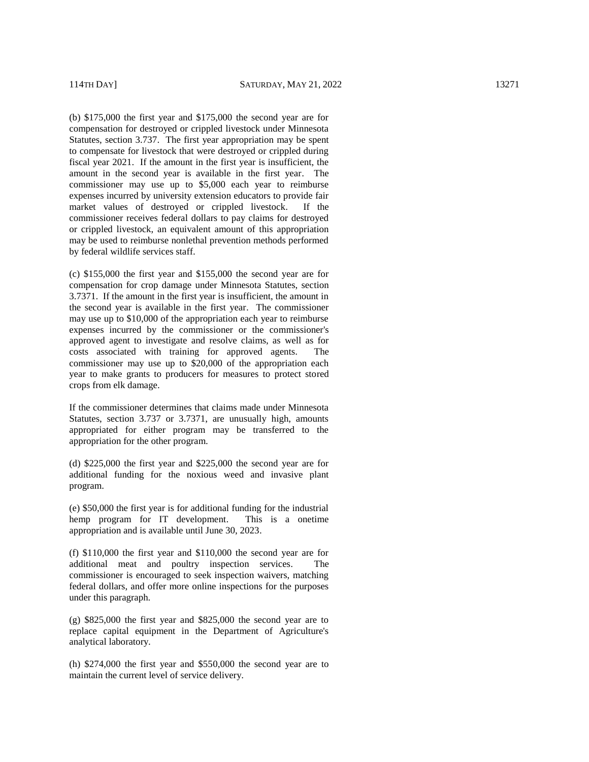(b) \$175,000 the first year and \$175,000 the second year are for compensation for destroyed or crippled livestock under Minnesota Statutes, section 3.737. The first year appropriation may be spent to compensate for livestock that were destroyed or crippled during fiscal year 2021. If the amount in the first year is insufficient, the amount in the second year is available in the first year. The commissioner may use up to \$5,000 each year to reimburse expenses incurred by university extension educators to provide fair market values of destroyed or crippled livestock. If the commissioner receives federal dollars to pay claims for destroyed or crippled livestock, an equivalent amount of this appropriation may be used to reimburse nonlethal prevention methods performed by federal wildlife services staff.

(c) \$155,000 the first year and \$155,000 the second year are for compensation for crop damage under Minnesota Statutes, section 3.7371. If the amount in the first year is insufficient, the amount in the second year is available in the first year. The commissioner may use up to \$10,000 of the appropriation each year to reimburse expenses incurred by the commissioner or the commissioner's approved agent to investigate and resolve claims, as well as for costs associated with training for approved agents. The commissioner may use up to \$20,000 of the appropriation each year to make grants to producers for measures to protect stored crops from elk damage.

If the commissioner determines that claims made under Minnesota Statutes, section 3.737 or 3.7371, are unusually high, amounts appropriated for either program may be transferred to the appropriation for the other program.

(d) \$225,000 the first year and \$225,000 the second year are for additional funding for the noxious weed and invasive plant program.

(e) \$50,000 the first year is for additional funding for the industrial hemp program for IT development. This is a onetime appropriation and is available until June 30, 2023.

(f) \$110,000 the first year and \$110,000 the second year are for additional meat and poultry inspection services. The commissioner is encouraged to seek inspection waivers, matching federal dollars, and offer more online inspections for the purposes under this paragraph.

(g) \$825,000 the first year and \$825,000 the second year are to replace capital equipment in the Department of Agriculture's analytical laboratory.

(h) \$274,000 the first year and \$550,000 the second year are to maintain the current level of service delivery.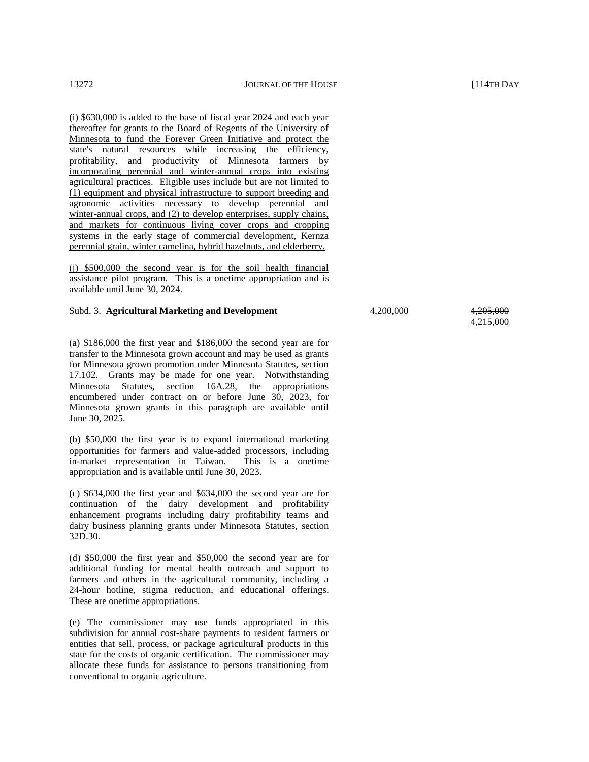(i) \$630,000 is added to the base of fiscal year 2024 and each year thereafter for grants to the Board of Regents of the University of Minnesota to fund the Forever Green Initiative and protect the state's natural resources while increasing the efficiency, profitability, and productivity of Minnesota farmers by incorporating perennial and winter-annual crops into existing agricultural practices. Eligible uses include but are not limited to (1) equipment and physical infrastructure to support breeding and agronomic activities necessary to develop perennial and winter-annual crops, and (2) to develop enterprises, supply chains, and markets for continuous living cover crops and cropping systems in the early stage of commercial development, Kernza perennial grain, winter camelina, hybrid hazelnuts, and elderberry.

(j) \$500,000 the second year is for the soil health financial assistance pilot program. This is a onetime appropriation and is available until June 30, 2024.

#### Subd. 3. **Agricultural Marketing and Development**  $4,200,000$   $4,205,000$

(a) \$186,000 the first year and \$186,000 the second year are for transfer to the Minnesota grown account and may be used as grants for Minnesota grown promotion under Minnesota Statutes, section 17.102. Grants may be made for one year. Notwithstanding Minnesota Statutes, section 16A.28, the appropriations encumbered under contract on or before June 30, 2023, for Minnesota grown grants in this paragraph are available until June 30, 2025.

(b) \$50,000 the first year is to expand international marketing opportunities for farmers and value-added processors, including in-market representation in Taiwan. This is a onetime appropriation and is available until June 30, 2023.

(c) \$634,000 the first year and \$634,000 the second year are for continuation of the dairy development and profitability enhancement programs including dairy profitability teams and dairy business planning grants under Minnesota Statutes, section 32D.30.

(d) \$50,000 the first year and \$50,000 the second year are for additional funding for mental health outreach and support to farmers and others in the agricultural community, including a 24-hour hotline, stigma reduction, and educational offerings. These are onetime appropriations.

(e) The commissioner may use funds appropriated in this subdivision for annual cost-share payments to resident farmers or entities that sell, process, or package agricultural products in this state for the costs of organic certification. The commissioner may allocate these funds for assistance to persons transitioning from conventional to organic agriculture.

4,215,000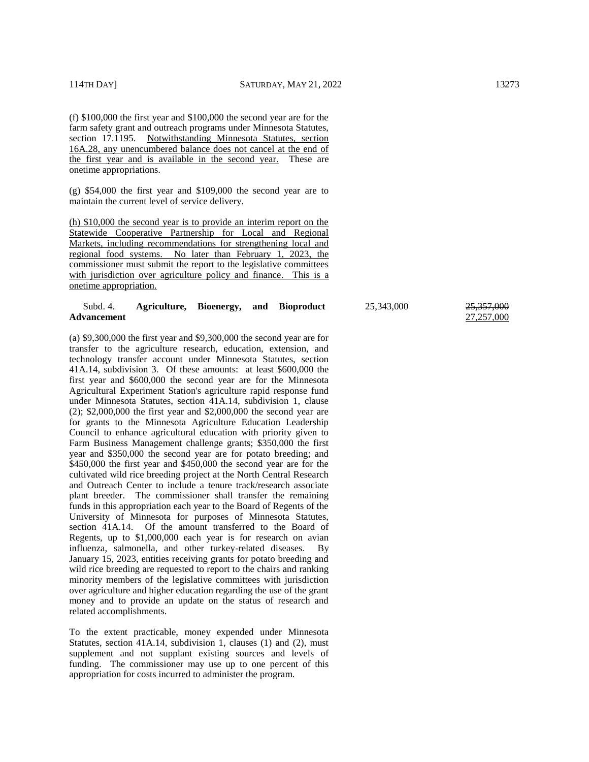(f) \$100,000 the first year and \$100,000 the second year are for the farm safety grant and outreach programs under Minnesota Statutes, section 17.1195. Notwithstanding Minnesota Statutes, section 16A.28, any unencumbered balance does not cancel at the end of the first year and is available in the second year. These are onetime appropriations.

(g) \$54,000 the first year and \$109,000 the second year are to maintain the current level of service delivery.

(h) \$10,000 the second year is to provide an interim report on the Statewide Cooperative Partnership for Local and Regional Markets, including recommendations for strengthening local and regional food systems. No later than February 1, 2023, the commissioner must submit the report to the legislative committees with jurisdiction over agriculture policy and finance. This is a onetime appropriation.

#### Subd. 4. **Agriculture, Bioenergy, and Bioproduct Advancement**

(a) \$9,300,000 the first year and \$9,300,000 the second year are for transfer to the agriculture research, education, extension, and technology transfer account under Minnesota Statutes, section 41A.14, subdivision 3. Of these amounts: at least \$600,000 the first year and \$600,000 the second year are for the Minnesota Agricultural Experiment Station's agriculture rapid response fund under Minnesota Statutes, section 41A.14, subdivision 1, clause (2); \$2,000,000 the first year and \$2,000,000 the second year are for grants to the Minnesota Agriculture Education Leadership Council to enhance agricultural education with priority given to Farm Business Management challenge grants; \$350,000 the first year and \$350,000 the second year are for potato breeding; and \$450,000 the first year and \$450,000 the second year are for the cultivated wild rice breeding project at the North Central Research and Outreach Center to include a tenure track/research associate plant breeder. The commissioner shall transfer the remaining funds in this appropriation each year to the Board of Regents of the University of Minnesota for purposes of Minnesota Statutes, section 41A.14. Of the amount transferred to the Board of Regents, up to \$1,000,000 each year is for research on avian influenza, salmonella, and other turkey-related diseases. By January 15, 2023, entities receiving grants for potato breeding and wild rice breeding are requested to report to the chairs and ranking minority members of the legislative committees with jurisdiction over agriculture and higher education regarding the use of the grant money and to provide an update on the status of research and related accomplishments.

To the extent practicable, money expended under Minnesota Statutes, section 41A.14, subdivision 1, clauses (1) and (2), must supplement and not supplant existing sources and levels of funding. The commissioner may use up to one percent of this appropriation for costs incurred to administer the program.

25,343,000 25,357,000

27,257,000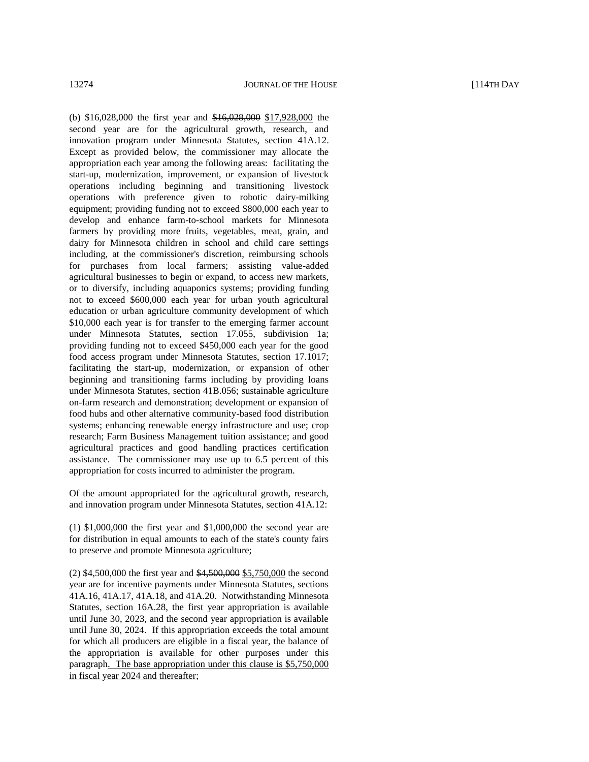(b) \$16,028,000 the first year and \$16,028,000 \$17,928,000 the second year are for the agricultural growth, research, and innovation program under Minnesota Statutes, section 41A.12. Except as provided below, the commissioner may allocate the appropriation each year among the following areas: facilitating the start-up, modernization, improvement, or expansion of livestock operations including beginning and transitioning livestock operations with preference given to robotic dairy-milking equipment; providing funding not to exceed \$800,000 each year to develop and enhance farm-to-school markets for Minnesota farmers by providing more fruits, vegetables, meat, grain, and dairy for Minnesota children in school and child care settings including, at the commissioner's discretion, reimbursing schools for purchases from local farmers; assisting value-added agricultural businesses to begin or expand, to access new markets, or to diversify, including aquaponics systems; providing funding not to exceed \$600,000 each year for urban youth agricultural education or urban agriculture community development of which \$10,000 each year is for transfer to the emerging farmer account under Minnesota Statutes, section 17.055, subdivision 1a; providing funding not to exceed \$450,000 each year for the good food access program under Minnesota Statutes, section 17.1017; facilitating the start-up, modernization, or expansion of other beginning and transitioning farms including by providing loans under Minnesota Statutes, section 41B.056; sustainable agriculture on-farm research and demonstration; development or expansion of food hubs and other alternative community-based food distribution systems; enhancing renewable energy infrastructure and use; crop research; Farm Business Management tuition assistance; and good agricultural practices and good handling practices certification assistance. The commissioner may use up to 6.5 percent of this appropriation for costs incurred to administer the program.

Of the amount appropriated for the agricultural growth, research, and innovation program under Minnesota Statutes, section 41A.12:

(1) \$1,000,000 the first year and \$1,000,000 the second year are for distribution in equal amounts to each of the state's county fairs to preserve and promote Minnesota agriculture;

(2) \$4,500,000 the first year and \$4,500,000 \$5,750,000 the second year are for incentive payments under Minnesota Statutes, sections 41A.16, 41A.17, 41A.18, and 41A.20. Notwithstanding Minnesota Statutes, section 16A.28, the first year appropriation is available until June 30, 2023, and the second year appropriation is available until June 30, 2024. If this appropriation exceeds the total amount for which all producers are eligible in a fiscal year, the balance of the appropriation is available for other purposes under this paragraph. The base appropriation under this clause is \$5,750,000 in fiscal year 2024 and thereafter;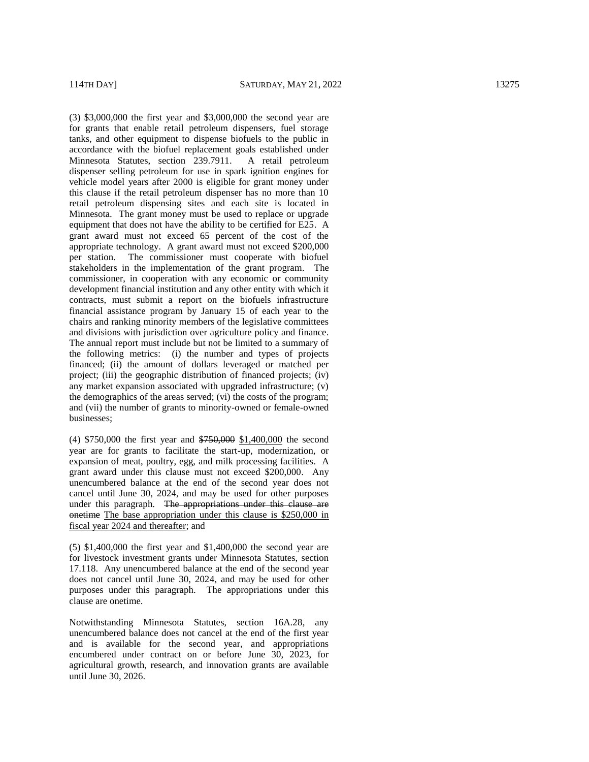(3) \$3,000,000 the first year and \$3,000,000 the second year are for grants that enable retail petroleum dispensers, fuel storage tanks, and other equipment to dispense biofuels to the public in accordance with the biofuel replacement goals established under Minnesota Statutes, section 239.7911. A retail petroleum dispenser selling petroleum for use in spark ignition engines for vehicle model years after 2000 is eligible for grant money under this clause if the retail petroleum dispenser has no more than 10 retail petroleum dispensing sites and each site is located in Minnesota. The grant money must be used to replace or upgrade equipment that does not have the ability to be certified for E25. A grant award must not exceed 65 percent of the cost of the appropriate technology. A grant award must not exceed \$200,000 per station. The commissioner must cooperate with biofuel stakeholders in the implementation of the grant program. The commissioner, in cooperation with any economic or community development financial institution and any other entity with which it contracts, must submit a report on the biofuels infrastructure financial assistance program by January 15 of each year to the chairs and ranking minority members of the legislative committees and divisions with jurisdiction over agriculture policy and finance. The annual report must include but not be limited to a summary of the following metrics: (i) the number and types of projects financed; (ii) the amount of dollars leveraged or matched per project; (iii) the geographic distribution of financed projects; (iv) any market expansion associated with upgraded infrastructure; (v) the demographics of the areas served; (vi) the costs of the program; and (vii) the number of grants to minority -owned or female -owned businesses;

(4) \$750,000 the first year and \$750,000 \$1,400,000 the second year are for grants to facilitate the start -up, modernization, or expansion of meat, poultry, egg, and milk processing facilities. A grant award under this clause must not exceed \$200,000. Any unencumbered balance at the end of the second year does not cancel until June 30, 2024, and may be used for other purposes under this paragraph. The appropriations under this clause are onetime The base appropriation under this clause is \$250,000 in fiscal year 2024 and thereafter; and

(5) \$1,400,000 the first year and \$1,400,000 the second year are for livestock investment grants under Minnesota Statutes, section 17.118. Any unencumbered balance at the end of the second year does not cancel until June 30, 2024, and may be used for other purposes under this paragraph. The appropriations under this clause are onetime.

Notwithstanding Minnesota Statutes, section 16A.28, any unencumbered balance does not cancel at the end of the first year and is available for the second year, and appropriations encumbered under contract on or before June 30, 2023, for agricultural growth, research, and innovation grants are available until June 30, 2026.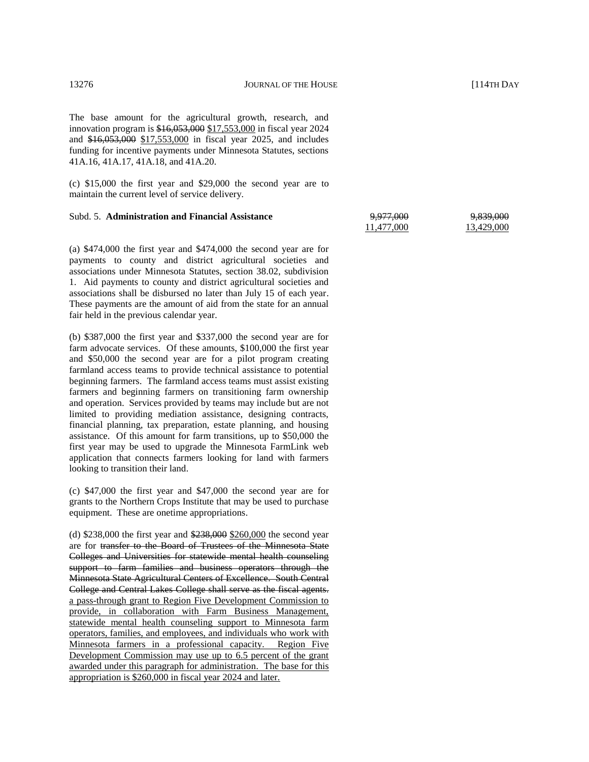The base amount for the agricultural growth, research, and innovation program is \$16,053,000 \$17,553,000 in fiscal year 2024 and \$16,053,000 \$17,553,000 in fiscal year 2025, and includes funding for incentive payments under Minnesota Statutes, sections 41A.16, 41A.17, 41A.18, and 41A.20.

(c) \$15,000 the first year and \$29,000 the second year are to maintain the current level of service delivery.

#### Subd. 5. **Administration and Financial Assistance** 9,977,000 11,477,000

(a) \$474,000 the first year and \$474,000 the second year are for payments to county and district agricultural societies and associations under Minnesota Statutes, section 38.02, subdivision 1. Aid payments to county and district agricultural societies and associations shall be disbursed no later than July 15 of each year. These payments are the amount of aid from the state for an annual fair held in the previous calendar year.

(b) \$387,000 the first year and \$337,000 the second year are for farm advocate services. Of these amounts, \$100,000 the first year and \$50,000 the second year are for a pilot program creating farmland access teams to provide technical assistance to potential beginning farmers. The farmland access teams must assist existing farmers and beginning farmers on transitioning farm ownership and operation. Services provided by teams may include but are not limited to providing mediation assistance, designing contracts, financial planning, tax preparation, estate planning, and housing assistance. Of this amount for farm transitions, up to \$50,000 the first year may be used to upgrade the Minnesota FarmLink web application that connects farmers looking for land with farmers looking to transition their land.

(c) \$47,000 the first year and \$47,000 the second year are for grants to the Northern Crops Institute that may be used to purchase equipment. These are onetime appropriations.

(d) \$238,000 the first year and \$238,000 \$260,000 the second year are for transfer to the Board of Trustees of the Minnesota State Colleges and Universities for statewide mental health counseling support to farm families and business operators through the Minnesota State Agricultural Centers of Excellence. South Central College and Central Lakes College shall serve as the fiscal agents. a pass-through grant to Region Five Development Commission to provide, in collaboration with Farm Business Management, statewide mental health counseling support to Minnesota farm operators, families, and employees, and individuals who work with Minnesota farmers in a professional capacity. Region Five Development Commission may use up to 6.5 percent of the grant awarded under this paragraph for administration. The base for this appropriation is \$260,000 in fiscal year 2024 and later.

9,839,000 13,429,000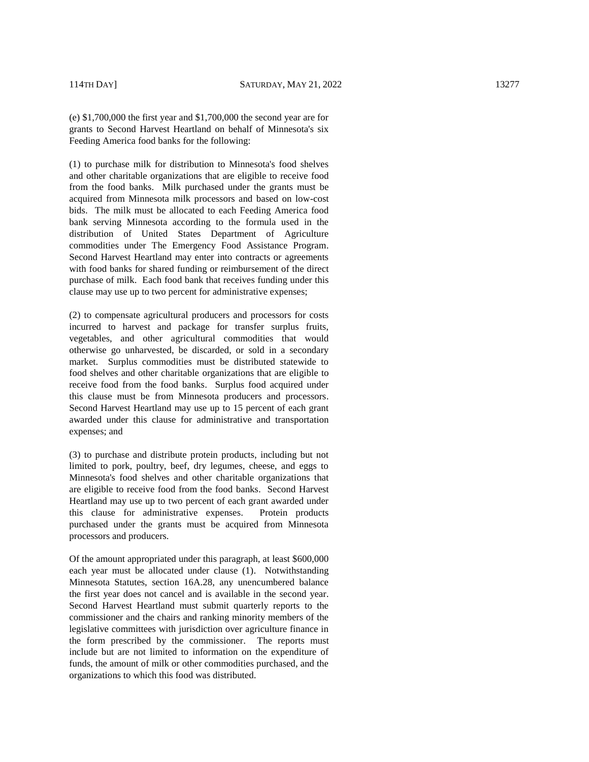(e) \$1,700,000 the first year and \$1,700,000 the second year are for grants to Second Harvest Heartland on behalf of Minnesota's six Feeding America food banks for the following:

(1) to purchase milk for distribution to Minnesota's food shelves and other charitable organizations that are eligible to receive food from the food banks. Milk purchased under the grants must be acquired from Minnesota milk processors and based on low -cost bids. The milk must be allocated to each Feeding America food bank serving Minnesota according to the formula used in the distribution of United States Department of Agriculture commodities under The Emergency Food Assistance Program. Second Harvest Heartland may enter into contracts or agreements with food banks for shared funding or reimbursement of the direct purchase of milk. Each food bank that receives funding under this clause may use up to two percent for administrative expenses;

(2) to compensate agricultural producers and processors for costs incurred to harvest and package for transfer surplus fruits, vegetables, and other agricultural commodities that would otherwise go unharvested, be discarded, or sold in a secondary market. Surplus commodities must be distributed statewide to food shelves and other charitable organizations that are eligible to receive food from the food banks. Surplus food acquired under this clause must be from Minnesota producers and processors. Second Harvest Heartland may use up to 15 percent of each grant awarded under this clause for administrative and transportation expenses; and

(3) to purchase and distribute protein products, including but not limited to pork, poultry, beef, dry legumes, cheese, and eggs to Minnesota's food shelves and other charitable organizations that are eligible to receive food from the food banks. Second Harvest Heartland may use up to two percent of each grant awarded under this clause for administrative expenses. Protein products purchased under the grants must be acquired from Minnesota processors and producers.

Of the amount appropriated under this paragraph, at least \$600,000 each year must be allocated under clause (1). Notwithstanding Minnesota Statutes, section 16A.28, any unencumbered balance the first year does not cancel and is available in the second year. Second Harvest Heartland must submit quarterly reports to the commissioner and the chairs and ranking minority members of the legislative committees with jurisdiction over agriculture finance in the form prescribed by the commissioner. The reports must include but are not limited to information on the expenditure of funds, the amount of milk or other commodities purchased, and the organizations to which this food was distributed.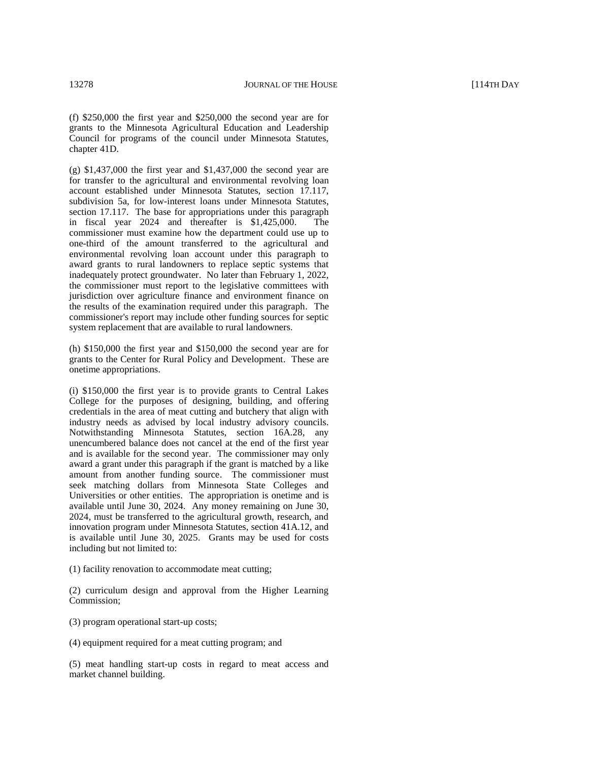(f) \$250,000 the first year and \$250,000 the second year are for grants to the Minnesota Agricultural Education and Leadership Council for programs of the council under Minnesota Statutes, chapter 41D.

(g) \$1,437,000 the first year and \$1,437,000 the second year are for transfer to the agricultural and environmental revolving loan account established under Minnesota Statutes, section 17.117, subdivision 5a, for low-interest loans under Minnesota Statutes, section 17.117. The base for appropriations under this paragraph in fiscal year 2024 and thereafter is \$1,425,000. The commissioner must examine how the department could use up to one-third of the amount transferred to the agricultural and environmental revolving loan account under this paragraph to award grants to rural landowners to replace septic systems that inadequately protect groundwater. No later than February 1, 2022, the commissioner must report to the legislative committees with jurisdiction over agriculture finance and environment finance on the results of the examination required under this paragraph. The commissioner's report may include other funding sources for septic system replacement that are available to rural landowners.

(h) \$150,000 the first year and \$150,000 the second year are for grants to the Center for Rural Policy and Development. These are onetime appropriations.

(i) \$150,000 the first year is to provide grants to Central Lakes College for the purposes of designing, building, and offering credentials in the area of meat cutting and butchery that align with industry needs as advised by local industry advisory councils. Notwithstanding Minnesota Statutes, section 16A.28, any unencumbered balance does not cancel at the end of the first year and is available for the second year. The commissioner may only award a grant under this paragraph if the grant is matched by a like amount from another funding source. The commissioner must seek matching dollars from Minnesota State Colleges and Universities or other entities. The appropriation is onetime and is available until June 30, 2024. Any money remaining on June 30, 2024, must be transferred to the agricultural growth, research, and innovation program under Minnesota Statutes, section 41A.12, and is available until June 30, 2025. Grants may be used for costs including but not limited to:

(1) facility renovation to accommodate meat cutting;

(2) curriculum design and approval from the Higher Learning Commission;

(3) program operational start-up costs;

(4) equipment required for a meat cutting program; and

(5) meat handling start-up costs in regard to meat access and market channel building.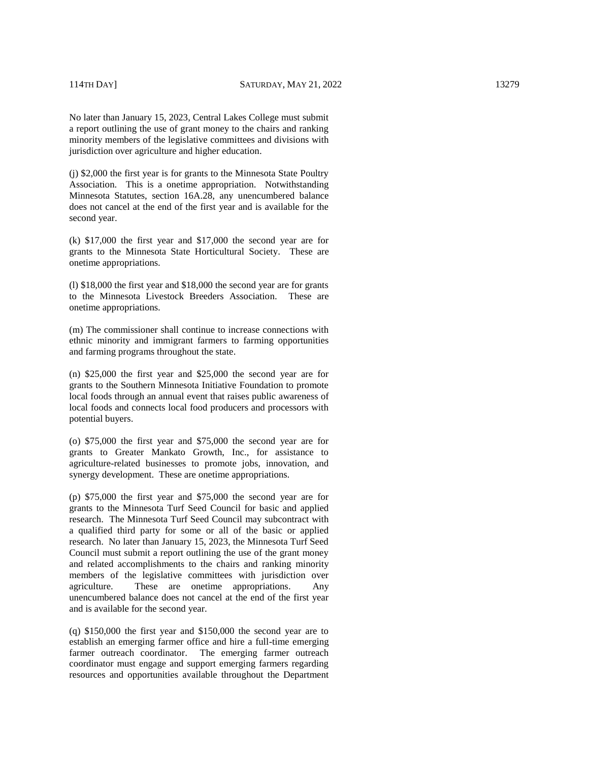(j) \$2,000 the first year is for grants to the Minnesota State Poultry Association. This is a onetime appropriation. Notwithstanding Minnesota Statutes, section 16A.28, any unencumbered balance does not cancel at the end of the first year and is available for the second year.

(k) \$17,000 the first year and \$17,000 the second year are for grants to the Minnesota State Horticultural Society. These are onetime appropriations.

(l) \$18,000 the first year and \$18,000 the second year are for grants to the Minnesota Livestock Breeders Association. These are onetime appropriations.

(m) The commissioner shall continue to increase connections with ethnic minority and immigrant farmers to farming opportunities and farming programs throughout the state.

(n) \$25,000 the first year and \$25,000 the second year are for grants to the Southern Minnesota Initiative Foundation to promote local foods through an annual event that raises public awareness of local foods and connects local food producers and processors with potential buyers.

(o) \$75,000 the first year and \$75,000 the second year are for grants to Greater Mankato Growth, Inc., for assistance to agriculture-related businesses to promote jobs, innovation, and synergy development. These are onetime appropriations.

(p) \$75,000 the first year and \$75,000 the second year are for grants to the Minnesota Turf Seed Council for basic and applied research. The Minnesota Turf Seed Council may subcontract with a qualified third party for some or all of the basic or applied research. No later than January 15, 2023, the Minnesota Turf Seed Council must submit a report outlining the use of the grant money and related accomplishments to the chairs and ranking minority members of the legislative committees with jurisdiction over agriculture. These are onetime appropriations. Any unencumbered balance does not cancel at the end of the first year and is available for the second year.

(q) \$150,000 the first year and \$150,000 the second year are to establish an emerging farmer office and hire a full-time emerging farmer outreach coordinator. The emerging farmer outreach coordinator must engage and support emerging farmers regarding resources and opportunities available throughout the Department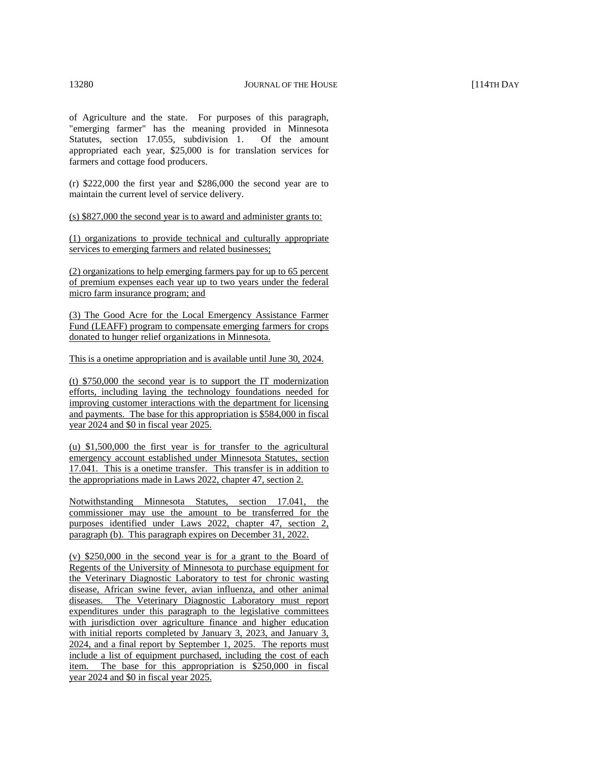of Agriculture and the state. For purposes of this paragraph, "emerging farmer" has the meaning provided in Minnesota Statutes, section 17.055, subdivision 1. Of the amount appropriated each year, \$25,000 is for translation services for farmers and cottage food producers.

(r) \$222,000 the first year and \$286,000 the second year are to maintain the current level of service delivery.

(s) \$827,000 the second year is to award and administer grants to:

(1) organizations to provide technical and culturally appropriate services to emerging farmers and related businesses;

(2) organizations to help emerging farmers pay for up to 65 percent of premium expenses each year up to two years under the federal micro farm insurance program; and

(3) The Good Acre for the Local Emergency Assistance Farmer Fund (LEAFF) program to compensate emerging farmers for crops donated to hunger relief organizations in Minnesota.

This is a onetime appropriation and is available until June 30, 2024.

(t) \$750,000 the second year is to support the IT modernization efforts, including laying the technology foundations needed for improving customer interactions with the department for licensing and payments. The base for this appropriation is \$584,000 in fiscal year 2024 and \$0 in fiscal year 2025.

(u) \$1,500,000 the first year is for transfer to the agricultural emergency account established under Minnesota Statutes, section 17.041. This is a onetime transfer. This transfer is in addition to the appropriations made in Laws 2022, chapter 47, section 2.

Notwithstanding Minnesota Statutes, section 17.041, the commissioner may use the amount to be transferred for the purposes identified under Laws 2022, chapter 47, section 2, paragraph (b). This paragraph expires on December 31, 2022.

(v) \$250,000 in the second year is for a grant to the Board of Regents of the University of Minnesota to purchase equipment for the Veterinary Diagnostic Laboratory to test for chronic wasting disease, African swine fever, avian influenza, and other animal diseases. The Veterinary Diagnostic Laboratory must report expenditures under this paragraph to the legislative committees with jurisdiction over agriculture finance and higher education with initial reports completed by January 3, 2023, and January 3, 2024, and a final report by September 1, 2025. The reports must include a list of equipment purchased, including the cost of each item. The base for this appropriation is \$250,000 in fiscal year 2024 and \$0 in fiscal year 2025.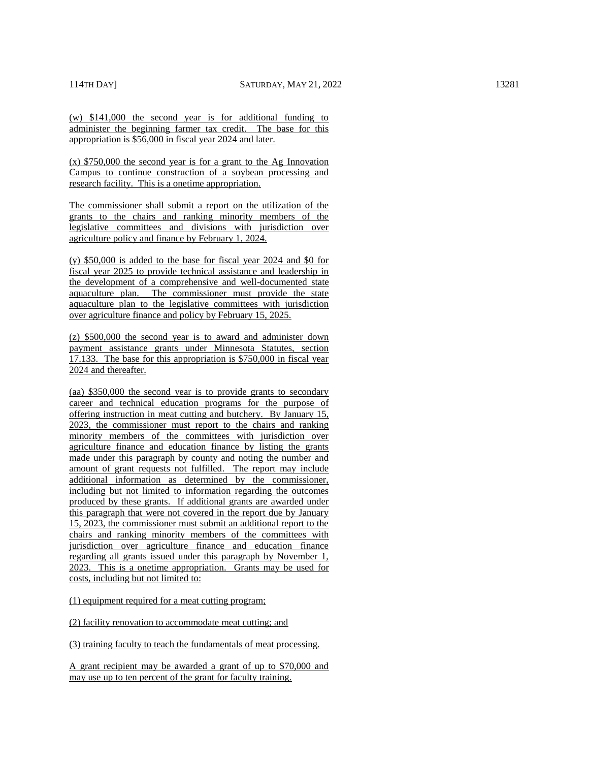(w) \$141,000 the second year is for additional funding to administer the beginning farmer tax credit. The base for this appropriation is \$56,000 in fiscal year 2024 and later.

(x) \$750,000 the second year is for a grant to the Ag Innovation Campus to continue construction of a soybean processing and research facility. This is a onetime appropriation.

The commissioner shall submit a report on the utilization of the grants to the chairs and ranking minority members of the legislative committees and divisions with jurisdiction over agriculture policy and finance by February 1, 2024.

(y) \$50,000 is added to the base for fiscal year 2024 and \$0 for fiscal year 2025 to provide technical assistance and leadership in the development of a comprehensive and well-documented state aquaculture plan. The commissioner must provide the state aquaculture plan to the legislative committees with jurisdiction over agriculture finance and policy by February 15, 2025.

(z) \$500,000 the second year is to award and administer down payment assistance grants under Minnesota Statutes, section 17.133. The base for this appropriation is \$750,000 in fiscal year 2024 and thereafter.

(aa) \$350,000 the second year is to provide grants to secondary career and technical education programs for the purpose of offering instruction in meat cutting and butchery. By January 15, 2023, the commissioner must report to the chairs and ranking minority members of the committees with jurisdiction over agriculture finance and education finance by listing the grants made under this paragraph by county and noting the number and amount of grant requests not fulfilled. The report may include additional information as determined by the commissioner, including but not limited to information regarding the outcomes produced by these grants. If additional grants are awarded under this paragraph that were not covered in the report due by January 15, 2023, the commissioner must submit an additional report to the chairs and ranking minority members of the committees with jurisdiction over agriculture finance and education finance regarding all grants issued under this paragraph by November 1, 2023. This is a onetime appropriation. Grants may be used for costs, including but not limited to:

(1) equipment required for a meat cutting program;

(2) facility renovation to accommodate meat cutting; and

(3) training faculty to teach the fundamentals of meat processing.

A grant recipient may be awarded a grant of up to \$70,000 and may use up to ten percent of the grant for faculty training.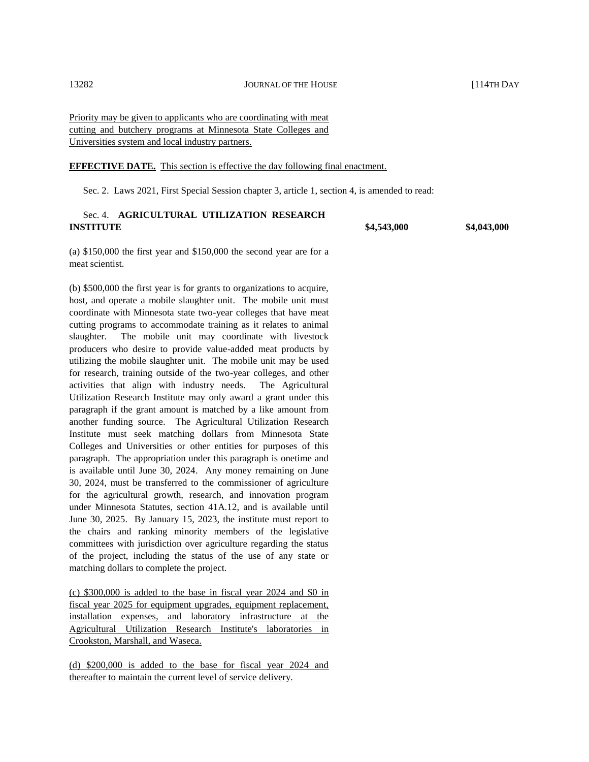Priority may be given to applicants who are coordinating with meat cutting and butchery programs at Minnesota State Colleges and Universities system and local industry partners.

#### **EFFECTIVE DATE.** This section is effective the day following final enactment.

Sec. 2. Laws 2021, First Special Session chapter 3, article 1, section 4, is amended to read:

# Sec. 4. **AGRICULTURAL UTILIZATION RESEARCH INSTITUTE \$4,543,000 \$4,043,000**

(a) \$150,000 the first year and \$150,000 the second year are for a meat scientist.

(b) \$500,000 the first year is for grants to organizations to acquire, host, and operate a mobile slaughter unit. The mobile unit must coordinate with Minnesota state two-year colleges that have meat cutting programs to accommodate training as it relates to animal slaughter. The mobile unit may coordinate with livestock producers who desire to provide value-added meat products by utilizing the mobile slaughter unit. The mobile unit may be used for research, training outside of the two-year colleges, and other activities that align with industry needs. The Agricultural Utilization Research Institute may only award a grant under this paragraph if the grant amount is matched by a like amount from another funding source. The Agricultural Utilization Research Institute must seek matching dollars from Minnesota State Colleges and Universities or other entities for purposes of this paragraph. The appropriation under this paragraph is onetime and is available until June 30, 2024. Any money remaining on June 30, 2024, must be transferred to the commissioner of agriculture for the agricultural growth, research, and innovation program under Minnesota Statutes, section 41A.12, and is available until June 30, 2025. By January 15, 2023, the institute must report to the chairs and ranking minority members of the legislative committees with jurisdiction over agriculture regarding the status of the project, including the status of the use of any state or matching dollars to complete the project.

(c) \$300,000 is added to the base in fiscal year 2024 and \$0 in fiscal year 2025 for equipment upgrades, equipment replacement, installation expenses, and laboratory infrastructure at the Agricultural Utilization Research Institute's laboratories in Crookston, Marshall, and Waseca.

(d) \$200,000 is added to the base for fiscal year 2024 and thereafter to maintain the current level of service delivery.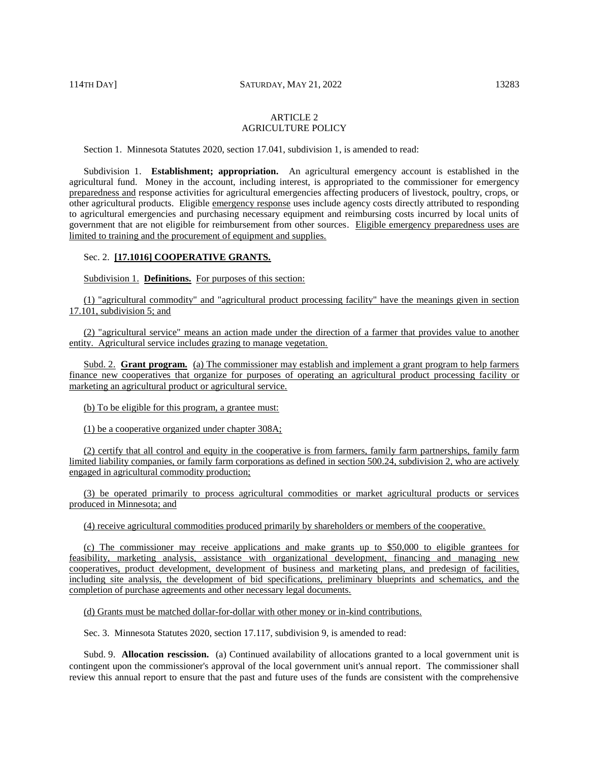# ARTICLE 2 AGRICULTURE POLICY

Section 1. Minnesota Statutes 2020, section 17.041, subdivision 1, is amended to read:

Subdivision 1. **Establishment; appropriation.** An agricultural emergency account is established in the agricultural fund. Money in the account, including interest, is appropriated to the commissioner for emergency preparedness and response activities for agricultural emergencies affecting producers of livestock, poultry, crops, or other agricultural products. Eligible emergency response uses include agency costs directly attributed to responding to agricultural emergencies and purchasing necessary equipment and reimbursing costs incurred by local units of government that are not eligible for reimbursement from other sources. Eligible emergency preparedness uses are limited to training and the procurement of equipment and supplies.

# Sec. 2. **[17.1016] COOPERATIVE GRANTS.**

Subdivision 1. **Definitions.** For purposes of this section:

(1) "agricultural commodity" and "agricultural product processing facility" have the meanings given in section 17.101, subdivision 5; and

(2) "agricultural service" means an action made under the direction of a farmer that provides value to another entity. Agricultural service includes grazing to manage vegetation.

Subd. 2. **Grant program.** (a) The commissioner may establish and implement a grant program to help farmers finance new cooperatives that organize for purposes of operating an agricultural product processing facility or marketing an agricultural product or agricultural service.

(b) To be eligible for this program, a grantee must:

(1) be a cooperative organized under chapter 308A;

(2) certify that all control and equity in the cooperative is from farmers, family farm partnerships, family farm limited liability companies, or family farm corporations as defined in section 500.24, subdivision 2, who are actively engaged in agricultural commodity production;

(3) be operated primarily to process agricultural commodities or market agricultural products or services produced in Minnesota; and

(4) receive agricultural commodities produced primarily by shareholders or members of the cooperative.

(c) The commissioner may receive applications and make grants up to \$50,000 to eligible grantees for feasibility, marketing analysis, assistance with organizational development, financing and managing new cooperatives, product development, development of business and marketing plans, and predesign of facilities, including site analysis, the development of bid specifications, preliminary blueprints and schematics, and the completion of purchase agreements and other necessary legal documents.

(d) Grants must be matched dollar-for-dollar with other money or in-kind contributions.

Sec. 3. Minnesota Statutes 2020, section 17.117, subdivision 9, is amended to read:

Subd. 9. **Allocation rescission.** (a) Continued availability of allocations granted to a local government unit is contingent upon the commissioner's approval of the local government unit's annual report. The commissioner shall review this annual report to ensure that the past and future uses of the funds are consistent with the comprehensive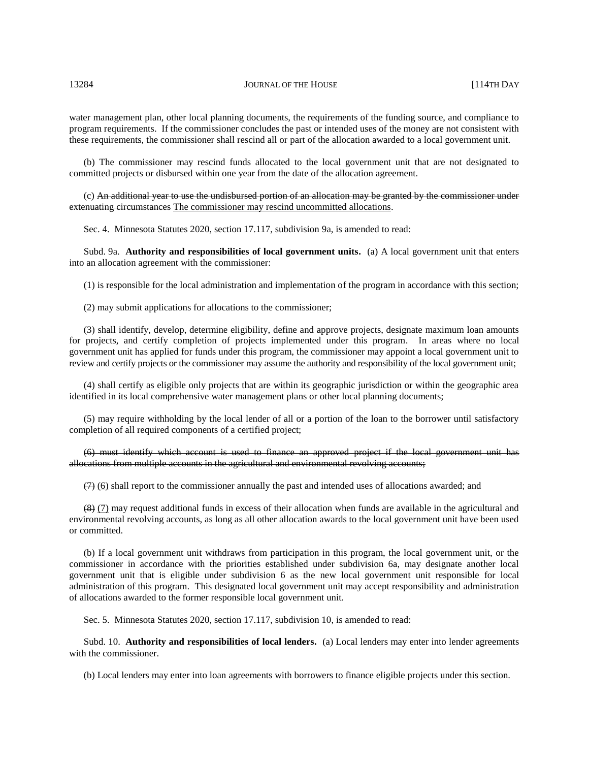#### 13284 JOURNAL OF THE HOUSE [114TH DAY

water management plan, other local planning documents, the requirements of the funding source, and compliance to program requirements. If the commissioner concludes the past or intended uses of the money are not consistent with these requirements, the commissioner shall rescind all or part of the allocation awarded to a local government unit.

(b) The commissioner may rescind funds allocated to the local government unit that are not designated to committed projects or disbursed within one year from the date of the allocation agreement.

#### (c) An additional year to use the undisbursed portion of an allocation may be granted by the commissioner under extenuating circumstances The commissioner may rescind uncommitted allocations.

Sec. 4. Minnesota Statutes 2020, section 17.117, subdivision 9a, is amended to read:

Subd. 9a. **Authority and responsibilities of local government units.** (a) A local government unit that enters into an allocation agreement with the commissioner:

(1) is responsible for the local administration and implementation of the program in accordance with this section;

(2) may submit applications for allocations to the commissioner;

(3) shall identify, develop, determine eligibility, define and approve projects, designate maximum loan amounts for projects, and certify completion of projects implemented under this program. In areas where no local government unit has applied for funds under this program, the commissioner may appoint a local government unit to review and certify projects or the commissioner may assume the authority and responsibility of the local government unit;

(4) shall certify as eligible only projects that are within its geographic jurisdiction or within the geographic area identified in its local comprehensive water management plans or other local planning documents;

(5) may require withholding by the local lender of all or a portion of the loan to the borrower until satisfactory completion of all required components of a certified project;

# (6) must identify which account is used to finance an approved project if the local government unit has allocations from multiple accounts in the agricultural and environmental revolving accounts;

 $(7)$  (6) shall report to the commissioner annually the past and intended uses of allocations awarded; and

(8) (7) may request additional funds in excess of their allocation when funds are available in the agricultural and environmental revolving accounts, as long as all other allocation awards to the local government unit have been used or committed.

(b) If a local government unit withdraws from participation in this program, the local government unit, or the commissioner in accordance with the priorities established under subdivision 6a, may designate another local government unit that is eligible under subdivision 6 as the new local government unit responsible for local administration of this program. This designated local government unit may accept responsibility and administration of allocations awarded to the former responsible local government unit.

Sec. 5. Minnesota Statutes 2020, section 17.117, subdivision 10, is amended to read:

Subd. 10. **Authority and responsibilities of local lenders.** (a) Local lenders may enter into lender agreements with the commissioner.

(b) Local lenders may enter into loan agreements with borrowers to finance eligible projects under this section.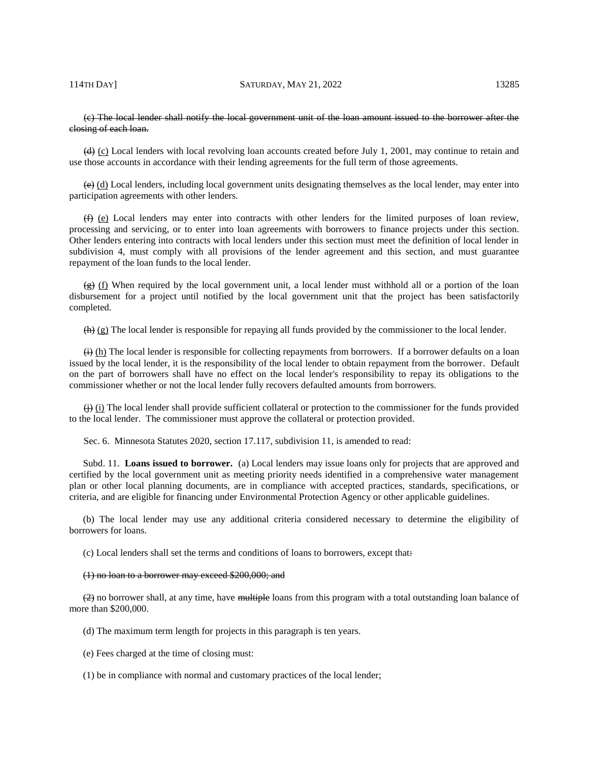# (c) The local lender shall notify the local government unit of the loan amount issued to the borrower after the closing of each loan.

 $(d)$  (c) Local lenders with local revolving loan accounts created before July 1, 2001, may continue to retain and use those accounts in accordance with their lending agreements for the full term of those agreements.

 $\left(\frac{e}{e}\right)$  (d) Local lenders, including local government units designating themselves as the local lender, may enter into participation agreements with other lenders.

 $(f)$  (e) Local lenders may enter into contracts with other lenders for the limited purposes of loan review, processing and servicing, or to enter into loan agreements with borrowers to finance projects under this section. Other lenders entering into contracts with local lenders under this section must meet the definition of local lender in subdivision 4, must comply with all provisions of the lender agreement and this section, and must guarantee repayment of the loan funds to the local lender.

 $\left(\frac{f}{f}\right)$  (f) When required by the local government unit, a local lender must withhold all or a portion of the loan disbursement for a project until notified by the local government unit that the project has been satisfactorily completed.

 $(h)$  (g) The local lender is responsible for repaying all funds provided by the commissioner to the local lender.

 $\leftrightarrow$  (h) The local lender is responsible for collecting repayments from borrowers. If a borrower defaults on a loan issued by the local lender, it is the responsibility of the local lender to obtain repayment from the borrower. Default on the part of borrowers shall have no effect on the local lender's responsibility to repay its obligations to the commissioner whether or not the local lender fully recovers defaulted amounts from borrowers.

 $\leftrightarrow$  (i) The local lender shall provide sufficient collateral or protection to the commissioner for the funds provided to the local lender. The commissioner must approve the collateral or protection provided.

Sec. 6. Minnesota Statutes 2020, section 17.117, subdivision 11, is amended to read:

Subd. 11. **Loans issued to borrower.** (a) Local lenders may issue loans only for projects that are approved and certified by the local government unit as meeting priority needs identified in a comprehensive water management plan or other local planning documents, are in compliance with accepted practices, standards, specifications, or criteria, and are eligible for financing under Environmental Protection Agency or other applicable guidelines.

(b) The local lender may use any additional criteria considered necessary to determine the eligibility of borrowers for loans.

(c) Local lenders shall set the terms and conditions of loans to borrowers, except that:

#### (1) no loan to a borrower may exceed \$200,000; and

 $(2)$  no borrower shall, at any time, have multiple loans from this program with a total outstanding loan balance of more than \$200,000.

(d) The maximum term length for projects in this paragraph is ten years.

(e) Fees charged at the time of closing must:

(1) be in compliance with normal and customary practices of the local lender;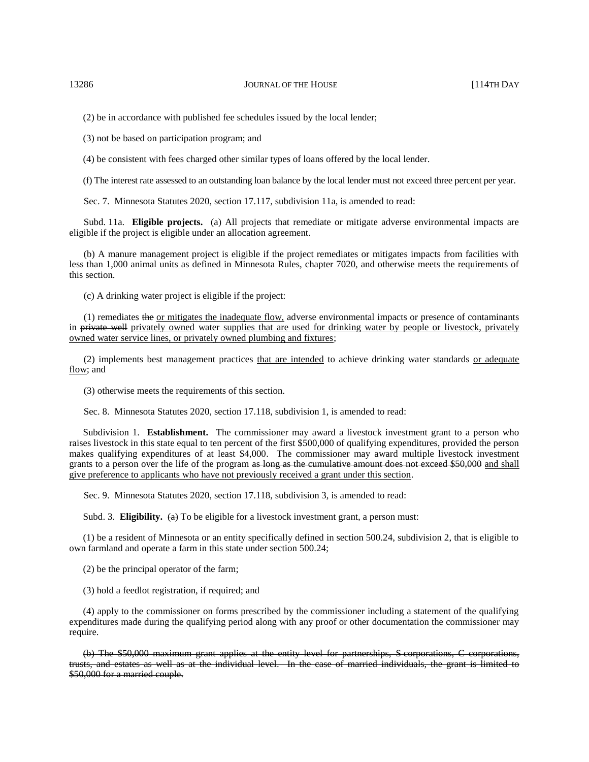(2) be in accordance with published fee schedules issued by the local lender;

(3) not be based on participation program; and

(4) be consistent with fees charged other similar types of loans offered by the local lender.

(f) The interest rate assessed to an outstanding loan balance by the local lender must not exceed three percent per year.

Sec. 7. Minnesota Statutes 2020, section 17.117, subdivision 11a, is amended to read:

Subd. 11a. **Eligible projects.** (a) All projects that remediate or mitigate adverse environmental impacts are eligible if the project is eligible under an allocation agreement.

(b) A manure management project is eligible if the project remediates or mitigates impacts from facilities with less than 1,000 animal units as defined in Minnesota Rules, chapter 7020, and otherwise meets the requirements of this section.

(c) A drinking water project is eligible if the project:

(1) remediates the or mitigates the inadequate flow, adverse environmental impacts or presence of contaminants in private well privately owned water supplies that are used for drinking water by people or livestock, privately owned water service lines, or privately owned plumbing and fixtures;

(2) implements best management practices that are intended to achieve drinking water standards or adequate flow; and

(3) otherwise meets the requirements of this section.

Sec. 8. Minnesota Statutes 2020, section 17.118, subdivision 1, is amended to read:

Subdivision 1. **Establishment.** The commissioner may award a livestock investment grant to a person who raises livestock in this state equal to ten percent of the first \$500,000 of qualifying expenditures, provided the person makes qualifying expenditures of at least \$4,000. The commissioner may award multiple livestock investment grants to a person over the life of the program as long as the cumulative amount does not exceed \$50,000 and shall give preference to applicants who have not previously received a grant under this section.

Sec. 9. Minnesota Statutes 2020, section 17.118, subdivision 3, is amended to read:

Subd. 3. **Eligibility.**  $\left(\frac{a}{b}\right)$  To be eligible for a livestock investment grant, a person must:

(1) be a resident of Minnesota or an entity specifically defined in section 500.24, subdivision 2, that is eligible to own farmland and operate a farm in this state under section 500.24;

(2) be the principal operator of the farm;

(3) hold a feedlot registration, if required; and

(4) apply to the commissioner on forms prescribed by the commissioner including a statement of the qualifying expenditures made during the qualifying period along with any proof or other documentation the commissioner may require.

(b) The \$50,000 maximum grant applies at the entity level for partnerships, S corporations, C corporations, trusts, and estates as well as at the individual level. In the case of married individuals, the grant is limited to \$50,000 for a married couple.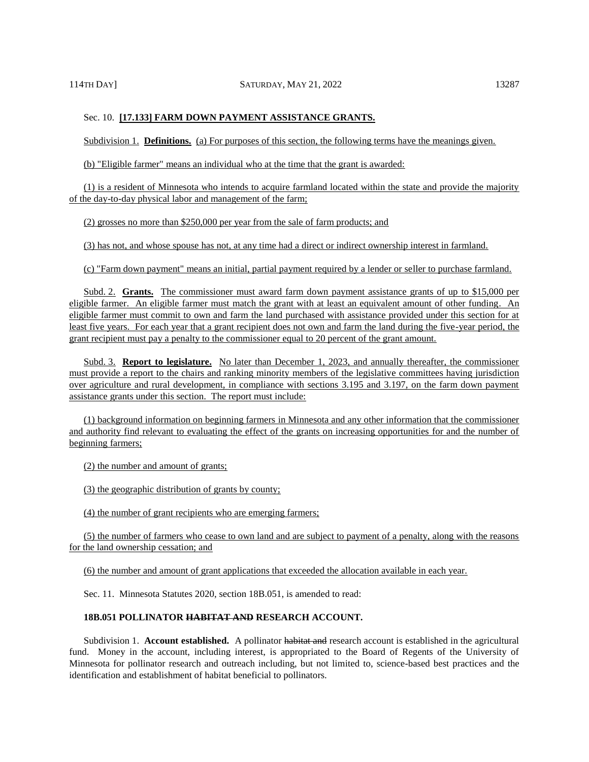Subdivision 1. **Definitions.** (a) For purposes of this section, the following terms have the meanings given.

(b) "Eligible farmer" means an individual who at the time that the grant is awarded:

(1) is a resident of Minnesota who intends to acquire farmland located within the state and provide the majority of the day-to-day physical labor and management of the farm;

(2) grosses no more than \$250,000 per year from the sale of farm products; and

(3) has not, and whose spouse has not, at any time had a direct or indirect ownership interest in farmland.

(c) "Farm down payment" means an initial, partial payment required by a lender or seller to purchase farmland.

Subd. 2. **Grants.** The commissioner must award farm down payment assistance grants of up to \$15,000 per eligible farmer. An eligible farmer must match the grant with at least an equivalent amount of other funding. An eligible farmer must commit to own and farm the land purchased with assistance provided under this section for at least five years. For each year that a grant recipient does not own and farm the land during the five-year period, the grant recipient must pay a penalty to the commissioner equal to 20 percent of the grant amount.

Subd. 3. **Report to legislature.** No later than December 1, 2023, and annually thereafter, the commissioner must provide a report to the chairs and ranking minority members of the legislative committees having jurisdiction over agriculture and rural development, in compliance with sections 3.195 and 3.197, on the farm down payment assistance grants under this section. The report must include:

(1) background information on beginning farmers in Minnesota and any other information that the commissioner and authority find relevant to evaluating the effect of the grants on increasing opportunities for and the number of beginning farmers;

(2) the number and amount of grants;

(3) the geographic distribution of grants by county;

(4) the number of grant recipients who are emerging farmers;

(5) the number of farmers who cease to own land and are subject to payment of a penalty, along with the reasons for the land ownership cessation; and

(6) the number and amount of grant applications that exceeded the allocation available in each year.

Sec. 11. Minnesota Statutes 2020, section 18B.051, is amended to read:

#### **18B.051 POLLINATOR HABITAT AND RESEARCH ACCOUNT.**

Subdivision 1. **Account established.** A pollinator habitat and research account is established in the agricultural fund. Money in the account, including interest, is appropriated to the Board of Regents of the University of Minnesota for pollinator research and outreach including, but not limited to, science-based best practices and the identification and establishment of habitat beneficial to pollinators.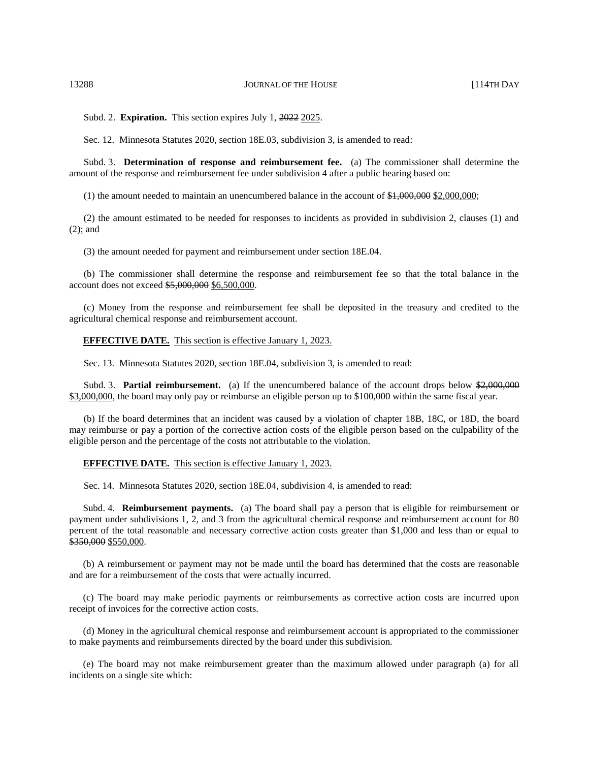Subd. 2. **Expiration.** This section expires July 1, 2022 2025.

Sec. 12. Minnesota Statutes 2020, section 18E.03, subdivision 3, is amended to read:

Subd. 3. **Determination of response and reimbursement fee.** (a) The commissioner shall determine the amount of the response and reimbursement fee under subdivision 4 after a public hearing based on:

(1) the amount needed to maintain an unencumbered balance in the account of  $\frac{1,000,000}{2,000,000}$ ;

(2) the amount estimated to be needed for responses to incidents as provided in subdivision 2, clauses (1) and (2); and

(3) the amount needed for payment and reimbursement under section 18E.04.

(b) The commissioner shall determine the response and reimbursement fee so that the total balance in the account does not exceed \$5,000,000 \$6,500,000.

(c) Money from the response and reimbursement fee shall be deposited in the treasury and credited to the agricultural chemical response and reimbursement account.

#### **EFFECTIVE DATE.** This section is effective January 1, 2023.

Sec. 13. Minnesota Statutes 2020, section 18E.04, subdivision 3, is amended to read:

Subd. 3. **Partial reimbursement.** (a) If the unencumbered balance of the account drops below \$2,000,000 \$3,000,000, the board may only pay or reimburse an eligible person up to \$100,000 within the same fiscal year.

(b) If the board determines that an incident was caused by a violation of chapter 18B, 18C, or 18D, the board may reimburse or pay a portion of the corrective action costs of the eligible person based on the culpability of the eligible person and the percentage of the costs not attributable to the violation.

#### **EFFECTIVE DATE.** This section is effective January 1, 2023.

Sec. 14. Minnesota Statutes 2020, section 18E.04, subdivision 4, is amended to read:

Subd. 4. **Reimbursement payments.** (a) The board shall pay a person that is eligible for reimbursement or payment under subdivisions 1, 2, and 3 from the agricultural chemical response and reimbursement account for 80 percent of the total reasonable and necessary corrective action costs greater than \$1,000 and less than or equal to \$350,000 \$550,000.

(b) A reimbursement or payment may not be made until the board has determined that the costs are reasonable and are for a reimbursement of the costs that were actually incurred.

(c) The board may make periodic payments or reimbursements as corrective action costs are incurred upon receipt of invoices for the corrective action costs.

(d) Money in the agricultural chemical response and reimbursement account is appropriated to the commissioner to make payments and reimbursements directed by the board under this subdivision.

(e) The board may not make reimbursement greater than the maximum allowed under paragraph (a) for all incidents on a single site which: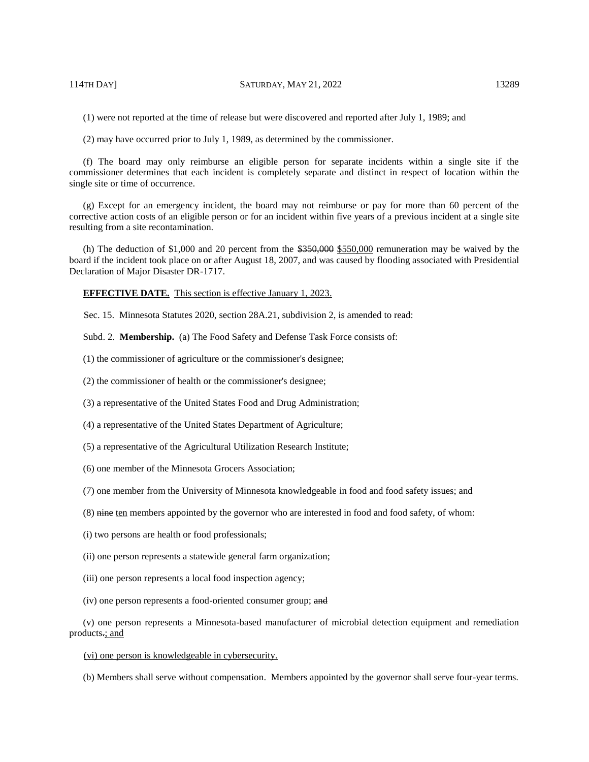(1) were not reported at the time of release but were discovered and reported after July 1, 1989; and

(2) may have occurred prior to July 1, 1989, as determined by the commissioner.

(f) The board may only reimburse an eligible person for separate incidents within a single site if the commissioner determines that each incident is completely separate and distinct in respect of location within the single site or time of occurrence.

(g) Except for an emergency incident, the board may not reimburse or pay for more than 60 percent of the corrective action costs of an eligible person or for an incident within five years of a previous incident at a single site resulting from a site recontamination.

(h) The deduction of \$1,000 and 20 percent from the  $$350,000$  semuneration may be waived by the board if the incident took place on or after August 18, 2007, and was caused by flooding associated with Presidential Declaration of Major Disaster DR-1717.

**EFFECTIVE DATE.** This section is effective January 1, 2023.

Sec. 15. Minnesota Statutes 2020, section 28A.21, subdivision 2, is amended to read:

Subd. 2. **Membership.** (a) The Food Safety and Defense Task Force consists of:

(1) the commissioner of agriculture or the commissioner's designee;

(2) the commissioner of health or the commissioner's designee;

(3) a representative of the United States Food and Drug Administration;

(4) a representative of the United States Department of Agriculture;

(5) a representative of the Agricultural Utilization Research Institute;

- (6) one member of the Minnesota Grocers Association;
- (7) one member from the University of Minnesota knowledgeable in food and food safety issues; and
- (8) nine ten members appointed by the governor who are interested in food and food safety, of whom:
- (i) two persons are health or food professionals;

(ii) one person represents a statewide general farm organization;

- (iii) one person represents a local food inspection agency;
- (iv) one person represents a food-oriented consumer group; and

(v) one person represents a Minnesota-based manufacturer of microbial detection equipment and remediation products.; and

#### (vi) one person is knowledgeable in cybersecurity.

(b) Members shall serve without compensation. Members appointed by the governor shall serve four-year terms.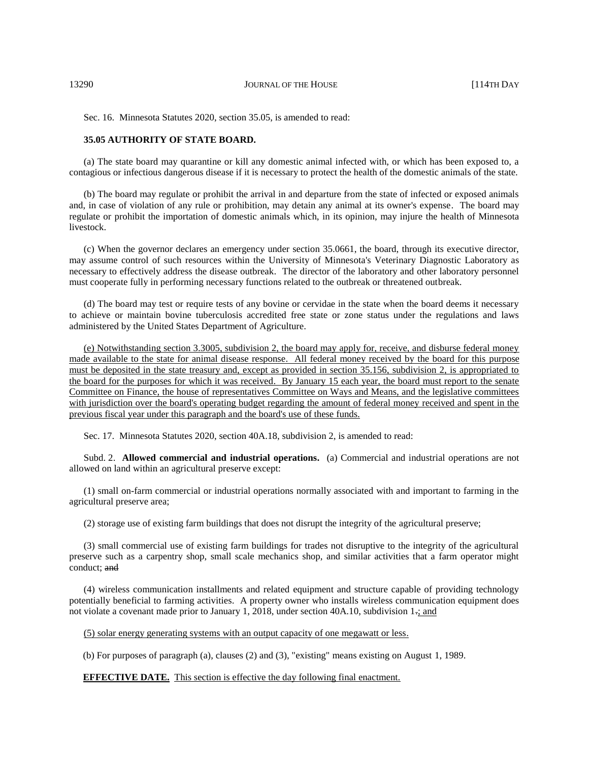13290 JOURNAL OF THE HOUSE [114TH DAY

Sec. 16. Minnesota Statutes 2020, section 35.05, is amended to read:

#### **35.05 AUTHORITY OF STATE BOARD.**

(a) The state board may quarantine or kill any domestic animal infected with, or which has been exposed to, a contagious or infectious dangerous disease if it is necessary to protect the health of the domestic animals of the state.

(b) The board may regulate or prohibit the arrival in and departure from the state of infected or exposed animals and, in case of violation of any rule or prohibition, may detain any animal at its owner's expense. The board may regulate or prohibit the importation of domestic animals which, in its opinion, may injure the health of Minnesota livestock.

(c) When the governor declares an emergency under section 35.0661, the board, through its executive director, may assume control of such resources within the University of Minnesota's Veterinary Diagnostic Laboratory as necessary to effectively address the disease outbreak. The director of the laboratory and other laboratory personnel must cooperate fully in performing necessary functions related to the outbreak or threatened outbreak.

(d) The board may test or require tests of any bovine or cervidae in the state when the board deems it necessary to achieve or maintain bovine tuberculosis accredited free state or zone status under the regulations and laws administered by the United States Department of Agriculture.

(e) Notwithstanding section 3.3005, subdivision 2, the board may apply for, receive, and disburse federal money made available to the state for animal disease response. All federal money received by the board for this purpose must be deposited in the state treasury and, except as provided in section 35.156, subdivision 2, is appropriated to the board for the purposes for which it was received. By January 15 each year, the board must report to the senate Committee on Finance, the house of representatives Committee on Ways and Means, and the legislative committees with jurisdiction over the board's operating budget regarding the amount of federal money received and spent in the previous fiscal year under this paragraph and the board's use of these funds.

Sec. 17. Minnesota Statutes 2020, section 40A.18, subdivision 2, is amended to read:

Subd. 2. **Allowed commercial and industrial operations.** (a) Commercial and industrial operations are not allowed on land within an agricultural preserve except:

(1) small on-farm commercial or industrial operations normally associated with and important to farming in the agricultural preserve area;

(2) storage use of existing farm buildings that does not disrupt the integrity of the agricultural preserve;

(3) small commercial use of existing farm buildings for trades not disruptive to the integrity of the agricultural preserve such as a carpentry shop, small scale mechanics shop, and similar activities that a farm operator might conduct; and

(4) wireless communication installments and related equipment and structure capable of providing technology potentially beneficial to farming activities. A property owner who installs wireless communication equipment does not violate a covenant made prior to January 1, 2018, under section 40A.10, subdivision 1-; and

(5) solar energy generating systems with an output capacity of one megawatt or less.

(b) For purposes of paragraph (a), clauses (2) and (3), "existing" means existing on August 1, 1989.

**EFFECTIVE DATE.** This section is effective the day following final enactment.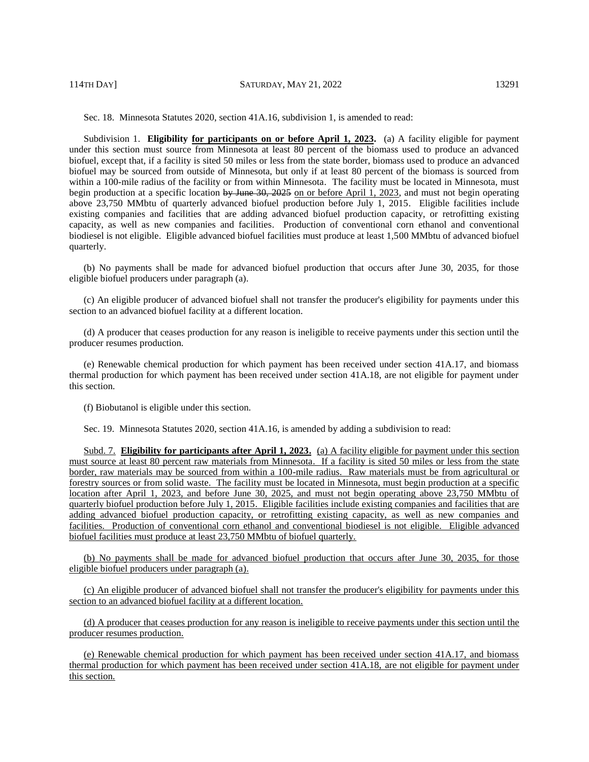Sec. 18. Minnesota Statutes 2020, section 41A.16, subdivision 1, is amended to read:

Subdivision 1. **Eligibility for participants on or before April 1, 2023.** (a) A facility eligible for payment under this section must source from Minnesota at least 80 percent of the biomass used to produce an advanced biofuel, except that, if a facility is sited 50 miles or less from the state border, biomass used to produce an advanced biofuel may be sourced from outside of Minnesota, but only if at least 80 percent of the biomass is sourced from within a 100-mile radius of the facility or from within Minnesota. The facility must be located in Minnesota, must begin production at a specific location by June 30, 2025 on or before April 1, 2023, and must not begin operating above 23,750 MMbtu of quarterly advanced biofuel production before July 1, 2015. Eligible facilities include existing companies and facilities that are adding advanced biofuel production capacity, or retrofitting existing capacity, as well as new companies and facilities. Production of conventional corn ethanol and conventional biodiesel is not eligible. Eligible advanced biofuel facilities must produce at least 1,500 MMbtu of advanced biofuel quarterly.

(b) No payments shall be made for advanced biofuel production that occurs after June 30, 2035, for those eligible biofuel producers under paragraph (a).

(c) An eligible producer of advanced biofuel shall not transfer the producer's eligibility for payments under this section to an advanced biofuel facility at a different location.

(d) A producer that ceases production for any reason is ineligible to receive payments under this section until the producer resumes production.

(e) Renewable chemical production for which payment has been received under section 41A.17, and biomass thermal production for which payment has been received under section 41A.18, are not eligible for payment under this section.

(f) Biobutanol is eligible under this section.

Sec. 19. Minnesota Statutes 2020, section 41A.16, is amended by adding a subdivision to read:

Subd. 7. **Eligibility for participants after April 1, 2023.** (a) A facility eligible for payment under this section must source at least 80 percent raw materials from Minnesota. If a facility is sited 50 miles or less from the state border, raw materials may be sourced from within a 100-mile radius. Raw materials must be from agricultural or forestry sources or from solid waste. The facility must be located in Minnesota, must begin production at a specific location after April 1, 2023, and before June 30, 2025, and must not begin operating above 23,750 MMbtu of quarterly biofuel production before July 1, 2015. Eligible facilities include existing companies and facilities that are adding advanced biofuel production capacity, or retrofitting existing capacity, as well as new companies and facilities. Production of conventional corn ethanol and conventional biodiesel is not eligible. Eligible advanced biofuel facilities must produce at least 23,750 MMbtu of biofuel quarterly.

(b) No payments shall be made for advanced biofuel production that occurs after June 30, 2035, for those eligible biofuel producers under paragraph (a).

(c) An eligible producer of advanced biofuel shall not transfer the producer's eligibility for payments under this section to an advanced biofuel facility at a different location.

(d) A producer that ceases production for any reason is ineligible to receive payments under this section until the producer resumes production.

(e) Renewable chemical production for which payment has been received under section 41A.17, and biomass thermal production for which payment has been received under section 41A.18, are not eligible for payment under this section.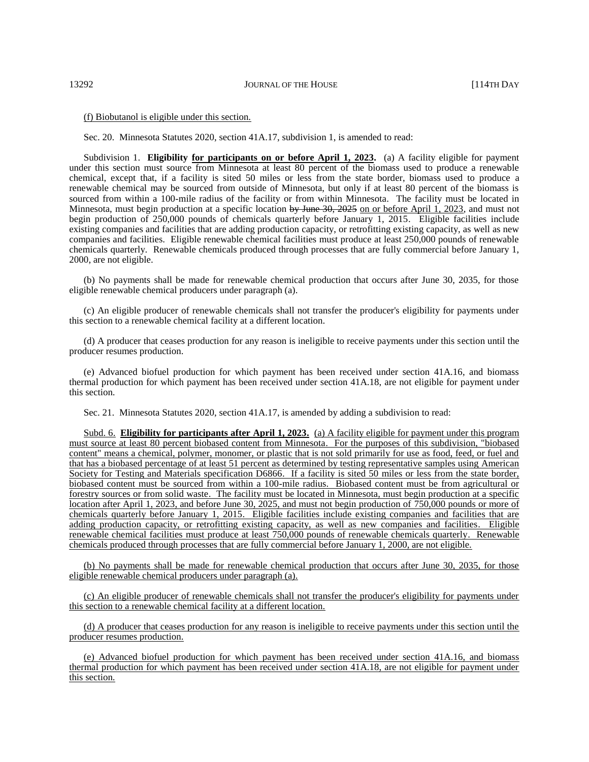#### (f) Biobutanol is eligible under this section.

Sec. 20. Minnesota Statutes 2020, section 41A.17, subdivision 1, is amended to read:

Subdivision 1. **Eligibility for participants on or before April 1, 2023.** (a) A facility eligible for payment under this section must source from Minnesota at least 80 percent of the biomass used to produce a renewable chemical, except that, if a facility is sited 50 miles or less from the state border, biomass used to produce a renewable chemical may be sourced from outside of Minnesota, but only if at least 80 percent of the biomass is sourced from within a 100-mile radius of the facility or from within Minnesota. The facility must be located in Minnesota, must begin production at a specific location by June 30, 2025 on or before April 1, 2023, and must not begin production of 250,000 pounds of chemicals quarterly before January 1, 2015. Eligible facilities include existing companies and facilities that are adding production capacity, or retrofitting existing capacity, as well as new companies and facilities. Eligible renewable chemical facilities must produce at least 250,000 pounds of renewable chemicals quarterly. Renewable chemicals produced through processes that are fully commercial before January 1, 2000, are not eligible.

(b) No payments shall be made for renewable chemical production that occurs after June 30, 2035, for those eligible renewable chemical producers under paragraph (a).

(c) An eligible producer of renewable chemicals shall not transfer the producer's eligibility for payments under this section to a renewable chemical facility at a different location.

(d) A producer that ceases production for any reason is ineligible to receive payments under this section until the producer resumes production.

(e) Advanced biofuel production for which payment has been received under section 41A.16, and biomass thermal production for which payment has been received under section 41A.18, are not eligible for payment under this section.

Sec. 21. Minnesota Statutes 2020, section 41A.17, is amended by adding a subdivision to read:

Subd. 6. **Eligibility for participants after April 1, 2023.** (a) A facility eligible for payment under this program must source at least 80 percent biobased content from Minnesota. For the purposes of this subdivision, "biobased content" means a chemical, polymer, monomer, or plastic that is not sold primarily for use as food, feed, or fuel and that has a biobased percentage of at least 51 percent as determined by testing representative samples using American Society for Testing and Materials specification D6866. If a facility is sited 50 miles or less from the state border, biobased content must be sourced from within a 100-mile radius. Biobased content must be from agricultural or forestry sources or from solid waste. The facility must be located in Minnesota, must begin production at a specific location after April 1, 2023, and before June 30, 2025, and must not begin production of 750,000 pounds or more of chemicals quarterly before January 1, 2015. Eligible facilities include existing companies and facilities that are adding production capacity, or retrofitting existing capacity, as well as new companies and facilities. Eligible renewable chemical facilities must produce at least 750,000 pounds of renewable chemicals quarterly. Renewable chemicals produced through processes that are fully commercial before January 1, 2000, are not eligible.

(b) No payments shall be made for renewable chemical production that occurs after June 30, 2035, for those eligible renewable chemical producers under paragraph (a).

(c) An eligible producer of renewable chemicals shall not transfer the producer's eligibility for payments under this section to a renewable chemical facility at a different location.

(d) A producer that ceases production for any reason is ineligible to receive payments under this section until the producer resumes production.

(e) Advanced biofuel production for which payment has been received under section 41A.16, and biomass thermal production for which payment has been received under section 41A.18, are not eligible for payment under this section.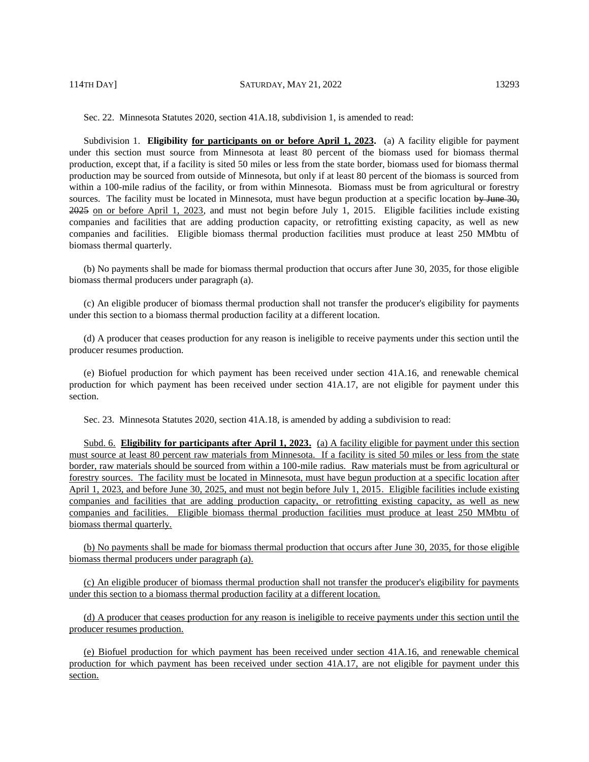Sec. 22. Minnesota Statutes 2020, section 41A.18, subdivision 1, is amended to read:

Subdivision 1. **Eligibility <u>for participants on or before April 1, 2023</u>.** (a) A facility eligible for payment under this section must source from Minnesota at least 80 percent of the biomass used for biomass thermal production, except that, if a facility is sited 50 miles or less from the state border, biomass used for biomass thermal production may be sourced from outside of Minnesota, but only if at least 80 percent of the biomass is sourced from within a 100-mile radius of the facility, or from within Minnesota. Biomass must be from agricultural or forestry sources. The facility must be located in Minnesota, must have begun production at a specific location by June 30, 2025 on or before April 1, 2023, and must not begin before July 1, 2015. Eligible facilities include existing companies and facilities that are adding production capacity, or retrofitting existing capacity, as well as new companies and facilities. Eligible biomass thermal production facilities must produce at least 250 MMbtu of biomass thermal quarterly.

(b) No payments shall be made for biomass thermal production that occurs after June 30, 2035, for those eligible biomass thermal producers under paragraph (a).

(c) An eligible producer of biomass thermal production shall not transfer the producer's eligibility for payments under this section to a biomass thermal production facility at a different location.

(d) A producer that ceases production for any reason is ineligible to receive payments under this section until the producer resumes production.

(e) Biofuel production for which payment has been received under section 41A.16, and renewable chemical production for which payment has been received under section 41A.17, are not eligible for payment under this section.

Sec. 23. Minnesota Statutes 2020, section 41A.18, is amended by adding a subdivision to read:

Subd. 6. **Eligibility for participants after April 1, 2023.** (a) A facility eligible for payment under this section must source at least 80 percent raw materials from Minnesota. If a facility is sited 50 miles or less from the state border, raw materials should be sourced from within a 100-mile radius. Raw materials must be from agricultural or forestry sources. The facility must be located in Minnesota, must have begun production at a specific location after April 1, 2023, and before June 30, 2025, and must not begin before July 1, 2015. Eligible facilities include existing companies and facilities that are adding production capacity, or retrofitting existing capacity, as well as new companies and facilities. Eligible biomass thermal production facilities must produce at least 250 MMbtu of biomass thermal quarterly.

(b) No payments shall be made for biomass thermal production that occurs after June 30, 2035, for those eligible biomass thermal producers under paragraph (a).

(c) An eligible producer of biomass thermal production shall not transfer the producer's eligibility for payments under this section to a biomass thermal production facility at a different location.

(d) A producer that ceases production for any reason is ineligible to receive payments under this section until the producer resumes production.

(e) Biofuel production for which payment has been received under section 41A.16, and renewable chemical production for which payment has been received under section 41A.17, are not eligible for payment under this section.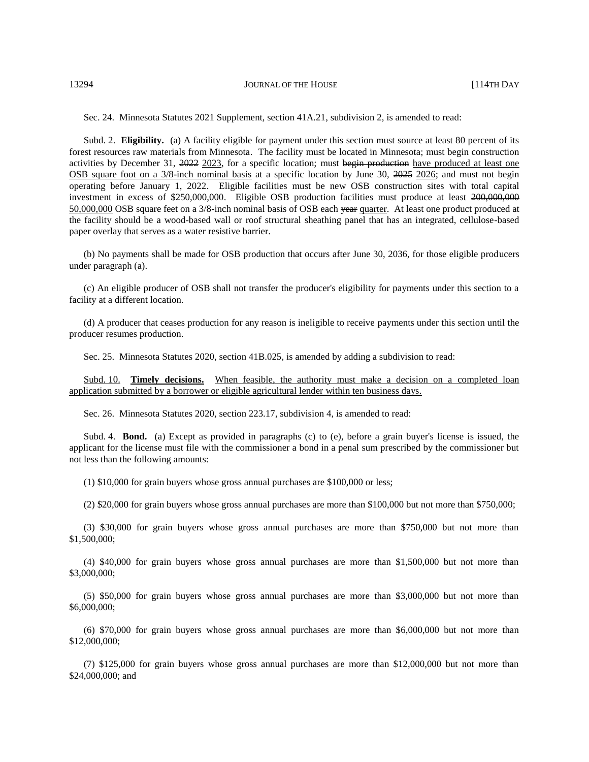13294 **JOURNAL OF THE HOUSE 114TH DAY** 

Sec. 24. Minnesota Statutes 2021 Supplement, section 41A.21, subdivision 2, is amended to read:

Subd. 2. **Eligibility.** (a) A facility eligible for payment under this section must source at least 80 percent of its forest resources raw materials from Minnesota. The facility must be located in Minnesota; must begin construction activities by December 31, 2022 2023, for a specific location; must begin production have produced at least one OSB square foot on a 3/8-inch nominal basis at a specific location by June 30, 2025 2026; and must not begin operating before January 1, 2022. Eligible facilities must be new OSB construction sites with total capital investment in excess of \$250,000,000. Eligible OSB production facilities must produce at least 200,000,000 50,000,000 OSB square feet on a 3/8-inch nominal basis of OSB each year quarter. At least one product produced at the facility should be a wood-based wall or roof structural sheathing panel that has an integrated, cellulose-based paper overlay that serves as a water resistive barrier.

(b) No payments shall be made for OSB production that occurs after June 30, 2036, for those eligible producers under paragraph (a).

(c) An eligible producer of OSB shall not transfer the producer's eligibility for payments under this section to a facility at a different location.

(d) A producer that ceases production for any reason is ineligible to receive payments under this section until the producer resumes production.

Sec. 25. Minnesota Statutes 2020, section 41B.025, is amended by adding a subdivision to read:

Subd. 10. **Timely decisions.** When feasible, the authority must make a decision on a completed loan application submitted by a borrower or eligible agricultural lender within ten business days.

Sec. 26. Minnesota Statutes 2020, section 223.17, subdivision 4, is amended to read:

Subd. 4. **Bond.** (a) Except as provided in paragraphs (c) to (e), before a grain buyer's license is issued, the applicant for the license must file with the commissioner a bond in a penal sum prescribed by the commissioner but not less than the following amounts:

(1) \$10,000 for grain buyers whose gross annual purchases are \$100,000 or less;

(2) \$20,000 for grain buyers whose gross annual purchases are more than \$100,000 but not more than \$750,000;

(3) \$30,000 for grain buyers whose gross annual purchases are more than \$750,000 but not more than \$1,500,000;

(4) \$40,000 for grain buyers whose gross annual purchases are more than \$1,500,000 but not more than \$3,000,000;

(5) \$50,000 for grain buyers whose gross annual purchases are more than \$3,000,000 but not more than \$6,000,000;

(6) \$70,000 for grain buyers whose gross annual purchases are more than \$6,000,000 but not more than \$12,000,000;

(7) \$125,000 for grain buyers whose gross annual purchases are more than \$12,000,000 but not more than \$24,000,000; and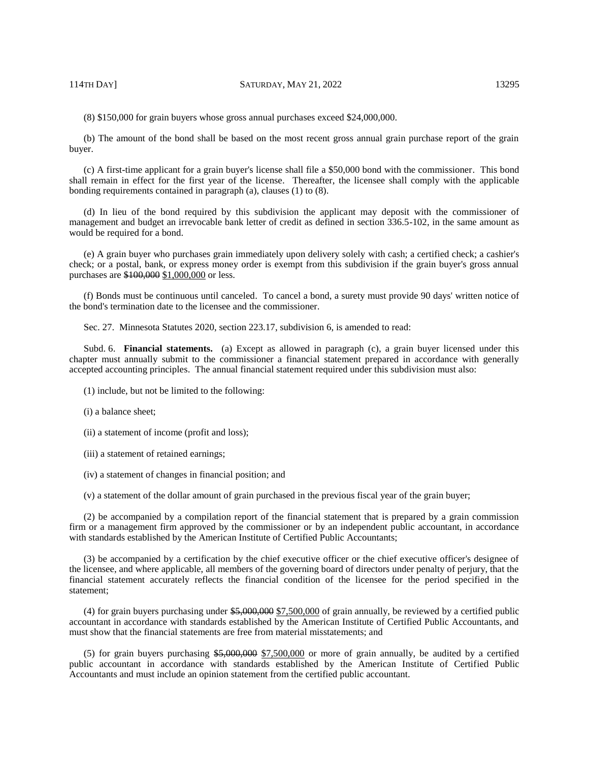(8) \$150,000 for grain buyers whose gross annual purchases exceed \$24,000,000.

(b) The amount of the bond shall be based on the most recent gross annual grain purchase report of the grain buyer.

(c) A first-time applicant for a grain buyer's license shall file a \$50,000 bond with the commissioner. This bond shall remain in effect for the first year of the license. Thereafter, the licensee shall comply with the applicable bonding requirements contained in paragraph (a), clauses (1) to (8).

(d) In lieu of the bond required by this subdivision the applicant may deposit with the commissioner of management and budget an irrevocable bank letter of credit as defined in section 336.5-102, in the same amount as would be required for a bond.

(e) A grain buyer who purchases grain immediately upon delivery solely with cash; a certified check; a cashier's check; or a postal, bank, or express money order is exempt from this subdivision if the grain buyer's gross annual purchases are \$100,000 \$1,000,000 or less.

(f) Bonds must be continuous until canceled. To cancel a bond, a surety must provide 90 days' written notice of the bond's termination date to the licensee and the commissioner.

Sec. 27. Minnesota Statutes 2020, section 223.17, subdivision 6, is amended to read:

Subd. 6. **Financial statements.** (a) Except as allowed in paragraph (c), a grain buyer licensed under this chapter must annually submit to the commissioner a financial statement prepared in accordance with generally accepted accounting principles. The annual financial statement required under this subdivision must also:

- (1) include, but not be limited to the following:
- (i) a balance sheet;
- (ii) a statement of income (profit and loss);
- (iii) a statement of retained earnings;
- (iv) a statement of changes in financial position; and

(v) a statement of the dollar amount of grain purchased in the previous fiscal year of the grain buyer;

(2) be accompanied by a compilation report of the financial statement that is prepared by a grain commission firm or a management firm approved by the commissioner or by an independent public accountant, in accordance with standards established by the American Institute of Certified Public Accountants;

(3) be accompanied by a certification by the chief executive officer or the chief executive officer's designee of the licensee, and where applicable, all members of the governing board of directors under penalty of perjury, that the financial statement accurately reflects the financial condition of the licensee for the period specified in the statement;

(4) for grain buyers purchasing under \$5,000,000 \$7,500,000 of grain annually, be reviewed by a certified public accountant in accordance with standards established by the American Institute of Certified Public Accountants, and must show that the financial statements are free from material misstatements; and

(5) for grain buyers purchasing  $$5,000,000$   $\sigma$  more of grain annually, be audited by a certified public accountant in accordance with standards established by the American Institute of Certified Public Accountants and must include an opinion statement from the certified public accountant.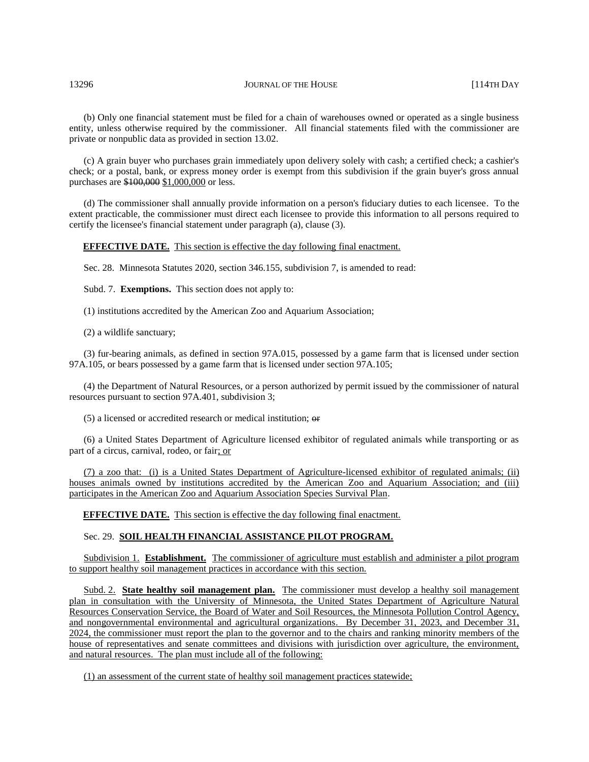#### 13296 JOURNAL OF THE HOUSE [114TH DAY

(b) Only one financial statement must be filed for a chain of warehouses owned or operated as a single business entity, unless otherwise required by the commissioner. All financial statements filed with the commissioner are private or nonpublic data as provided in section 13.02.

(c) A grain buyer who purchases grain immediately upon delivery solely with cash; a certified check; a cashier's check; or a postal, bank, or express money order is exempt from this subdivision if the grain buyer's gross annual purchases are \$100,000 \$1,000,000 or less.

(d) The commissioner shall annually provide information on a person's fiduciary duties to each licensee. To the extent practicable, the commissioner must direct each licensee to provide this information to all persons required to certify the licensee's financial statement under paragraph (a), clause (3).

#### **EFFECTIVE DATE.** This section is effective the day following final enactment.

Sec. 28. Minnesota Statutes 2020, section 346.155, subdivision 7, is amended to read:

Subd. 7. **Exemptions.** This section does not apply to:

(1) institutions accredited by the American Zoo and Aquarium Association;

(2) a wildlife sanctuary;

(3) fur-bearing animals, as defined in section 97A.015, possessed by a game farm that is licensed under section 97A.105, or bears possessed by a game farm that is licensed under section 97A.105;

(4) the Department of Natural Resources, or a person authorized by permit issued by the commissioner of natural resources pursuant to section 97A.401, subdivision 3;

(5) a licensed or accredited research or medical institution; or

(6) a United States Department of Agriculture licensed exhibitor of regulated animals while transporting or as part of a circus, carnival, rodeo, or fair; or

(7) a zoo that: (i) is a United States Department of Agriculture-licensed exhibitor of regulated animals; (ii) houses animals owned by institutions accredited by the American Zoo and Aquarium Association; and (iii) participates in the American Zoo and Aquarium Association Species Survival Plan.

**EFFECTIVE DATE.** This section is effective the day following final enactment.

#### Sec. 29. **SOIL HEALTH FINANCIAL ASSISTANCE PILOT PROGRAM.**

Subdivision 1. **Establishment.** The commissioner of agriculture must establish and administer a pilot program to support healthy soil management practices in accordance with this section.

Subd. 2. **State healthy soil management plan.** The commissioner must develop a healthy soil management plan in consultation with the University of Minnesota, the United States Department of Agriculture Natural Resources Conservation Service, the Board of Water and Soil Resources, the Minnesota Pollution Control Agency, and nongovernmental environmental and agricultural organizations. By December 31, 2023, and December 31, 2024, the commissioner must report the plan to the governor and to the chairs and ranking minority members of the house of representatives and senate committees and divisions with jurisdiction over agriculture, the environment, and natural resources. The plan must include all of the following:

(1) an assessment of the current state of healthy soil management practices statewide;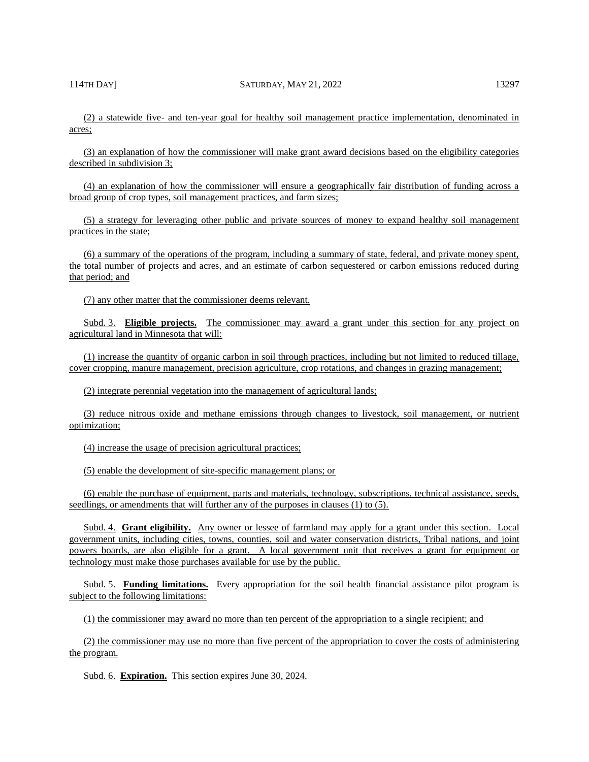(2) a statewide five- and ten-year goal for healthy soil management practice implementation, denominated in acres;

(3) an explanation of how the commissioner will make grant award decisions based on the eligibility categories described in subdivision 3;

(4) an explanation of how the commissioner will ensure a geographically fair distribution of funding across a broad group of crop types, soil management practices, and farm sizes;

(5) a strategy for leveraging other public and private sources of money to expand healthy soil management practices in the state;

(6) a summary of the operations of the program, including a summary of state, federal, and private money spent, the total number of projects and acres, and an estimate of carbon sequestered or carbon emissions reduced during that period; and

(7) any other matter that the commissioner deems relevant.

Subd. 3. **Eligible projects.** The commissioner may award a grant under this section for any project on agricultural land in Minnesota that will:

(1) increase the quantity of organic carbon in soil through practices, including but not limited to reduced tillage, cover cropping, manure management, precision agriculture, crop rotations, and changes in grazing management;

(2) integrate perennial vegetation into the management of agricultural lands;

(3) reduce nitrous oxide and methane emissions through changes to livestock, soil management, or nutrient optimization;

(4) increase the usage of precision agricultural practices;

(5) enable the development of site-specific management plans; or

(6) enable the purchase of equipment, parts and materials, technology, subscriptions, technical assistance, seeds, seedlings, or amendments that will further any of the purposes in clauses (1) to (5).

Subd. 4. **Grant eligibility.** Any owner or lessee of farmland may apply for a grant under this section. Local government units, including cities, towns, counties, soil and water conservation districts, Tribal nations, and joint powers boards, are also eligible for a grant. A local government unit that receives a grant for equipment or technology must make those purchases available for use by the public.

Subd. 5. **Funding limitations.** Every appropriation for the soil health financial assistance pilot program is subject to the following limitations:

(1) the commissioner may award no more than ten percent of the appropriation to a single recipient; and

(2) the commissioner may use no more than five percent of the appropriation to cover the costs of administering the program.

Subd. 6. **Expiration.** This section expires June 30, 2024.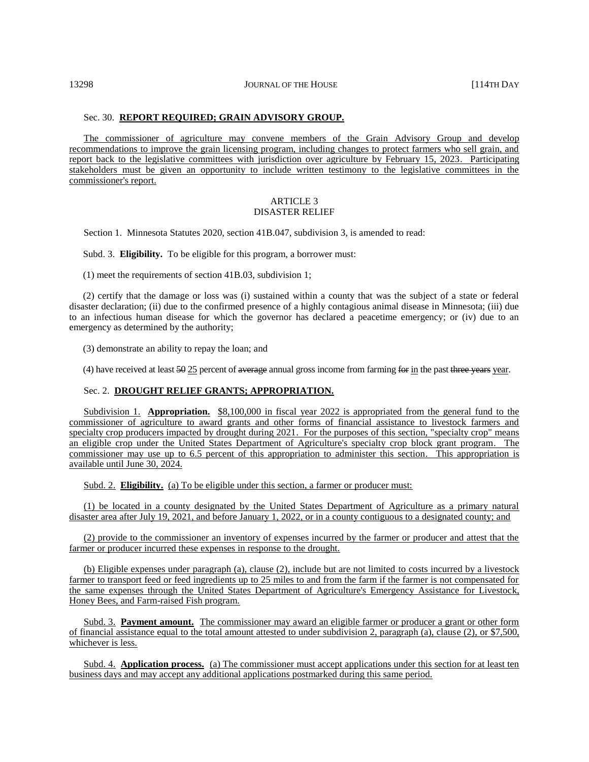#### Sec. 30. **REPORT REQUIRED; GRAIN ADVISORY GROUP.**

The commissioner of agriculture may convene members of the Grain Advisory Group and develop recommendations to improve the grain licensing program, including changes to protect farmers who sell grain, and report back to the legislative committees with jurisdiction over agriculture by February 15, 2023. Participating stakeholders must be given an opportunity to include written testimony to the legislative committees in the commissioner's report.

#### ARTICLE 3 DISASTER RELIEF

Section 1. Minnesota Statutes 2020, section 41B.047, subdivision 3, is amended to read:

Subd. 3. **Eligibility.** To be eligible for this program, a borrower must:

(1) meet the requirements of section 41B.03, subdivision 1;

(2) certify that the damage or loss was (i) sustained within a county that was the subject of a state or federal disaster declaration; (ii) due to the confirmed presence of a highly contagious animal disease in Minnesota; (iii) due to an infectious human disease for which the governor has declared a peacetime emergency; or (iv) due to an emergency as determined by the authority;

(3) demonstrate an ability to repay the loan; and

(4) have received at least  $\frac{50 \times 50 \text{ meters}}{25}$  percent of average annual gross income from farming for in the past three years year.

#### Sec. 2. **DROUGHT RELIEF GRANTS; APPROPRIATION.**

Subdivision 1. **Appropriation.** \$8,100,000 in fiscal year 2022 is appropriated from the general fund to the commissioner of agriculture to award grants and other forms of financial assistance to livestock farmers and specialty crop producers impacted by drought during 2021. For the purposes of this section, "specialty crop" means an eligible crop under the United States Department of Agriculture's specialty crop block grant program. The commissioner may use up to 6.5 percent of this appropriation to administer this section. This appropriation is available until June 30, 2024.

Subd. 2. **Eligibility.** (a) To be eligible under this section, a farmer or producer must:

(1) be located in a county designated by the United States Department of Agriculture as a primary natural disaster area after July 19, 2021, and before January 1, 2022, or in a county contiguous to a designated county; and

(2) provide to the commissioner an inventory of expenses incurred by the farmer or producer and attest that the farmer or producer incurred these expenses in response to the drought.

(b) Eligible expenses under paragraph (a), clause (2), include but are not limited to costs incurred by a livestock farmer to transport feed or feed ingredients up to 25 miles to and from the farm if the farmer is not compensated for the same expenses through the United States Department of Agriculture's Emergency Assistance for Livestock, Honey Bees, and Farm-raised Fish program.

Subd. 3. **Payment amount.** The commissioner may award an eligible farmer or producer a grant or other form of financial assistance equal to the total amount attested to under subdivision 2, paragraph (a), clause (2), or \$7,500, whichever is less.

Subd. 4. **Application process.** (a) The commissioner must accept applications under this section for at least ten business days and may accept any additional applications postmarked during this same period.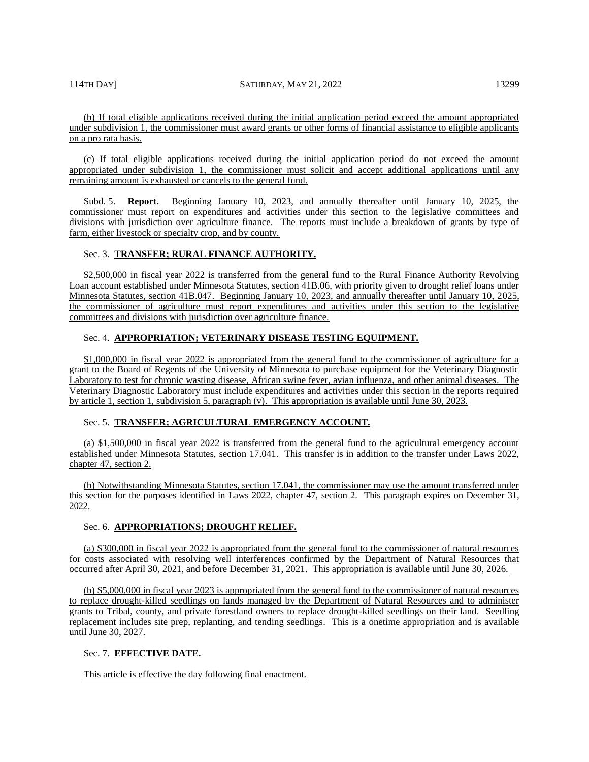#### 114TH DAY] SATURDAY, MAY 21, 2022 13299

(b) If total eligible applications received during the initial application period exceed the amount appropriated under subdivision 1, the commissioner must award grants or other forms of financial assistance to eligible applicants on a pro rata basis.

(c) If total eligible applications received during the initial application period do not exceed the amount appropriated under subdivision 1, the commissioner must solicit and accept additional applications until any remaining amount is exhausted or cancels to the general fund.

Subd. 5. **Report.** Beginning January 10, 2023, and annually thereafter until January 10, 2025, the commissioner must report on expenditures and activities under this section to the legislative committees and divisions with jurisdiction over agriculture finance. The reports must include a breakdown of grants by type of farm, either livestock or specialty crop, and by county.

#### Sec. 3. **TRANSFER; RURAL FINANCE AUTHORITY.**

\$2,500,000 in fiscal year 2022 is transferred from the general fund to the Rural Finance Authority Revolving Loan account established under Minnesota Statutes, section 41B.06, with priority given to drought relief loans under Minnesota Statutes, section 41B.047. Beginning January 10, 2023, and annually thereafter until January 10, 2025, the commissioner of agriculture must report expenditures and activities under this section to the legislative committees and divisions with jurisdiction over agriculture finance.

# Sec. 4. **APPROPRIATION; VETERINARY DISEASE TESTING EQUIPMENT.**

\$1,000,000 in fiscal year 2022 is appropriated from the general fund to the commissioner of agriculture for a grant to the Board of Regents of the University of Minnesota to purchase equipment for the Veterinary Diagnostic Laboratory to test for chronic wasting disease, African swine fever, avian influenza, and other animal diseases. The Veterinary Diagnostic Laboratory must include expenditures and activities under this section in the reports required by article 1, section 1, subdivision 5, paragraph (v). This appropriation is available until June 30, 2023.

#### Sec. 5. **TRANSFER; AGRICULTURAL EMERGENCY ACCOUNT.**

(a) \$1,500,000 in fiscal year 2022 is transferred from the general fund to the agricultural emergency account established under Minnesota Statutes, section 17.041. This transfer is in addition to the transfer under Laws 2022, chapter 47, section 2.

(b) Notwithstanding Minnesota Statutes, section 17.041, the commissioner may use the amount transferred under this section for the purposes identified in Laws 2022, chapter 47, section 2. This paragraph expires on December 31, 2022.

#### Sec. 6. **APPROPRIATIONS; DROUGHT RELIEF.**

(a) \$300,000 in fiscal year 2022 is appropriated from the general fund to the commissioner of natural resources for costs associated with resolving well interferences confirmed by the Department of Natural Resources that occurred after April 30, 2021, and before December 31, 2021. This appropriation is available until June 30, 2026.

(b) \$5,000,000 in fiscal year 2023 is appropriated from the general fund to the commissioner of natural resources to replace drought-killed seedlings on lands managed by the Department of Natural Resources and to administer grants to Tribal, county, and private forestland owners to replace drought-killed seedlings on their land. Seedling replacement includes site prep, replanting, and tending seedlings. This is a onetime appropriation and is available until June 30, 2027.

# Sec. 7. **EFFECTIVE DATE.**

This article is effective the day following final enactment.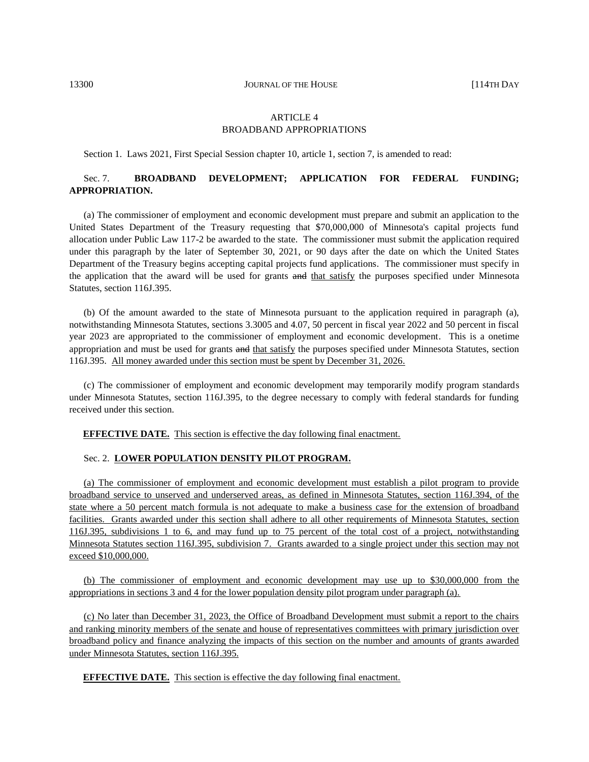13300 **JOURNAL OF THE HOUSE** [114TH DAY

# ARTICLE 4 BROADBAND APPROPRIATIONS

Section 1. Laws 2021, First Special Session chapter 10, article 1, section 7, is amended to read:

# Sec. 7. **BROADBAND DEVELOPMENT; APPLICATION FOR FEDERAL FUNDING; APPROPRIATION.**

(a) The commissioner of employment and economic development must prepare and submit an application to the United States Department of the Treasury requesting that \$70,000,000 of Minnesota's capital projects fund allocation under Public Law 117-2 be awarded to the state. The commissioner must submit the application required under this paragraph by the later of September 30, 2021, or 90 days after the date on which the United States Department of the Treasury begins accepting capital projects fund applications. The commissioner must specify in the application that the award will be used for grants and that satisfy the purposes specified under Minnesota Statutes, section 116J.395.

(b) Of the amount awarded to the state of Minnesota pursuant to the application required in paragraph (a), notwithstanding Minnesota Statutes, sections 3.3005 and 4.07, 50 percent in fiscal year 2022 and 50 percent in fiscal year 2023 are appropriated to the commissioner of employment and economic development. This is a onetime appropriation and must be used for grants and that satisfy the purposes specified under Minnesota Statutes, section 116J.395. All money awarded under this section must be spent by December 31, 2026.

(c) The commissioner of employment and economic development may temporarily modify program standards under Minnesota Statutes, section 116J.395, to the degree necessary to comply with federal standards for funding received under this section.

**EFFECTIVE DATE.** This section is effective the day following final enactment.

# Sec. 2. **LOWER POPULATION DENSITY PILOT PROGRAM.**

(a) The commissioner of employment and economic development must establish a pilot program to provide broadband service to unserved and underserved areas, as defined in Minnesota Statutes, section 116J.394, of the state where a 50 percent match formula is not adequate to make a business case for the extension of broadband facilities. Grants awarded under this section shall adhere to all other requirements of Minnesota Statutes, section 116J.395, subdivisions 1 to 6, and may fund up to 75 percent of the total cost of a project, notwithstanding Minnesota Statutes section 116J.395, subdivision 7. Grants awarded to a single project under this section may not exceed \$10,000,000.

(b) The commissioner of employment and economic development may use up to \$30,000,000 from the appropriations in sections 3 and 4 for the lower population density pilot program under paragraph (a).

(c) No later than December 31, 2023, the Office of Broadband Development must submit a report to the chairs and ranking minority members of the senate and house of representatives committees with primary jurisdiction over broadband policy and finance analyzing the impacts of this section on the number and amounts of grants awarded under Minnesota Statutes, section 116J.395.

**EFFECTIVE DATE.** This section is effective the day following final enactment.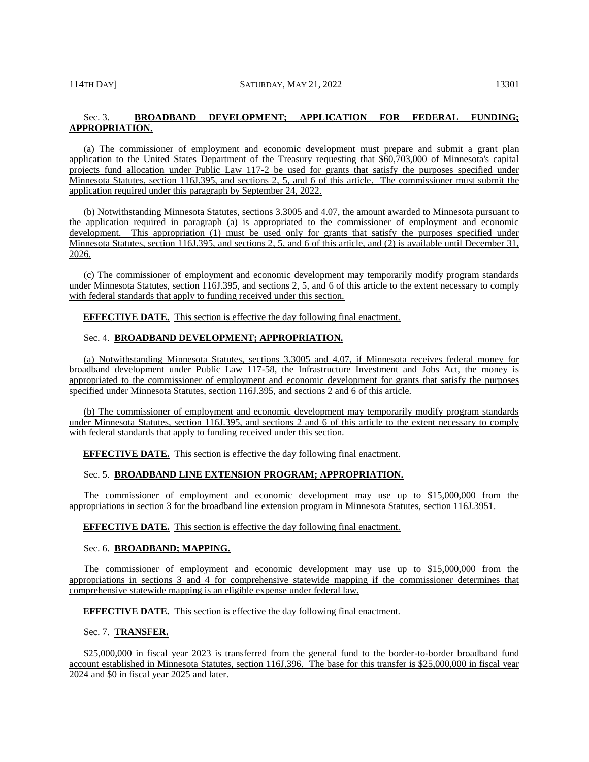# Sec. 3. **BROADBAND DEVELOPMENT; APPLICATION FOR FEDERAL FUNDING; APPROPRIATION.**

(a) The commissioner of employment and economic development must prepare and submit a grant plan application to the United States Department of the Treasury requesting that \$60,703,000 of Minnesota's capital projects fund allocation under Public Law 117-2 be used for grants that satisfy the purposes specified under Minnesota Statutes, section 116J.395, and sections 2, 5, and 6 of this article. The commissioner must submit the application required under this paragraph by September 24, 2022.

(b) Notwithstanding Minnesota Statutes, sections 3.3005 and 4.07, the amount awarded to Minnesota pursuant to the application required in paragraph (a) is appropriated to the commissioner of employment and economic development. This appropriation (1) must be used only for grants that satisfy the purposes specified under Minnesota Statutes, section 116J.395, and sections 2, 5, and 6 of this article, and (2) is available until December 31, 2026.

(c) The commissioner of employment and economic development may temporarily modify program standards under Minnesota Statutes, section 116J.395, and sections 2, 5, and 6 of this article to the extent necessary to comply with federal standards that apply to funding received under this section.

**EFFECTIVE DATE.** This section is effective the day following final enactment.

# Sec. 4. **BROADBAND DEVELOPMENT; APPROPRIATION.**

(a) Notwithstanding Minnesota Statutes, sections 3.3005 and 4.07, if Minnesota receives federal money for broadband development under Public Law 117-58, the Infrastructure Investment and Jobs Act, the money is appropriated to the commissioner of employment and economic development for grants that satisfy the purposes specified under Minnesota Statutes, section 116J.395, and sections 2 and 6 of this article.

(b) The commissioner of employment and economic development may temporarily modify program standards under Minnesota Statutes, section 116J.395, and sections 2 and 6 of this article to the extent necessary to comply with federal standards that apply to funding received under this section.

**EFFECTIVE DATE.** This section is effective the day following final enactment.

#### Sec. 5. **BROADBAND LINE EXTENSION PROGRAM; APPROPRIATION.**

The commissioner of employment and economic development may use up to \$15,000,000 from the appropriations in section 3 for the broadband line extension program in Minnesota Statutes, section 116J.3951.

**EFFECTIVE DATE.** This section is effective the day following final enactment.

Sec. 6. **BROADBAND; MAPPING.**

The commissioner of employment and economic development may use up to \$15,000,000 from the appropriations in sections 3 and 4 for comprehensive statewide mapping if the commissioner determines that comprehensive statewide mapping is an eligible expense under federal law.

#### **EFFECTIVE DATE.** This section is effective the day following final enactment.

Sec. 7. **TRANSFER.**

\$25,000,000 in fiscal year 2023 is transferred from the general fund to the border-to-border broadband fund account established in Minnesota Statutes, section 116J.396. The base for this transfer is \$25,000,000 in fiscal year 2024 and \$0 in fiscal year 2025 and later.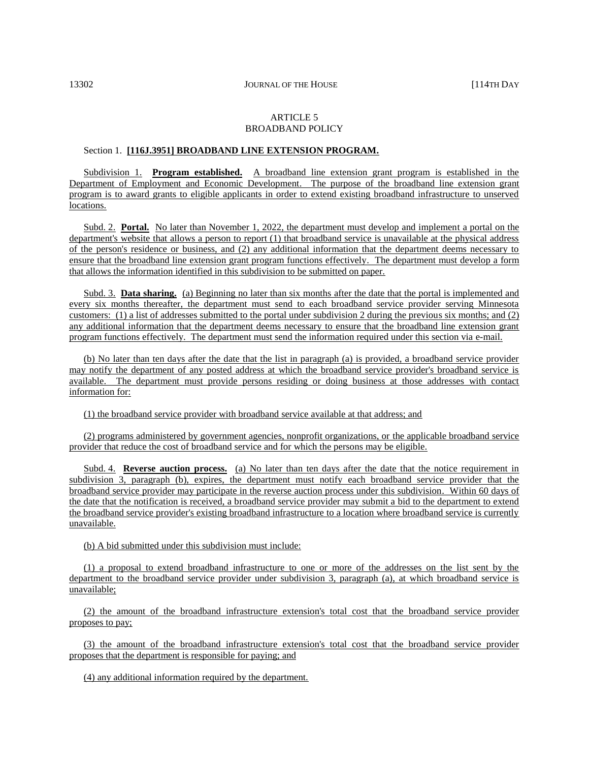#### ARTICLE 5 BROADBAND POLICY

# Section 1. **[116J.3951] BROADBAND LINE EXTENSION PROGRAM.**

Subdivision 1. **Program established.** A broadband line extension grant program is established in the Department of Employment and Economic Development. The purpose of the broadband line extension grant program is to award grants to eligible applicants in order to extend existing broadband infrastructure to unserved locations.

Subd. 2. **Portal.** No later than November 1, 2022, the department must develop and implement a portal on the department's website that allows a person to report (1) that broadband service is unavailable at the physical address of the person's residence or business, and (2) any additional information that the department deems necessary to ensure that the broadband line extension grant program functions effectively. The department must develop a form that allows the information identified in this subdivision to be submitted on paper.

Subd. 3. **Data sharing.** (a) Beginning no later than six months after the date that the portal is implemented and every six months thereafter, the department must send to each broadband service provider serving Minnesota customers: (1) a list of addresses submitted to the portal under subdivision 2 during the previous six months; and  $(2)$ any additional information that the department deems necessary to ensure that the broadband line extension grant program functions effectively. The department must send the information required under this section via e-mail.

(b) No later than ten days after the date that the list in paragraph (a) is provided, a broadband service provider may notify the department of any posted address at which the broadband service provider's broadband service is available. The department must provide persons residing or doing business at those addresses with contact information for:

(1) the broadband service provider with broadband service available at that address; and

(2) programs administered by government agencies, nonprofit organizations, or the applicable broadband service provider that reduce the cost of broadband service and for which the persons may be eligible.

Subd. 4. **Reverse auction process.** (a) No later than ten days after the date that the notice requirement in subdivision 3, paragraph (b), expires, the department must notify each broadband service provider that the broadband service provider may participate in the reverse auction process under this subdivision. Within 60 days of the date that the notification is received, a broadband service provider may submit a bid to the department to extend the broadband service provider's existing broadband infrastructure to a location where broadband service is currently unavailable.

(b) A bid submitted under this subdivision must include:

(1) a proposal to extend broadband infrastructure to one or more of the addresses on the list sent by the department to the broadband service provider under subdivision 3, paragraph (a), at which broadband service is unavailable;

(2) the amount of the broadband infrastructure extension's total cost that the broadband service provider proposes to pay;

(3) the amount of the broadband infrastructure extension's total cost that the broadband service provider proposes that the department is responsible for paying; and

(4) any additional information required by the department.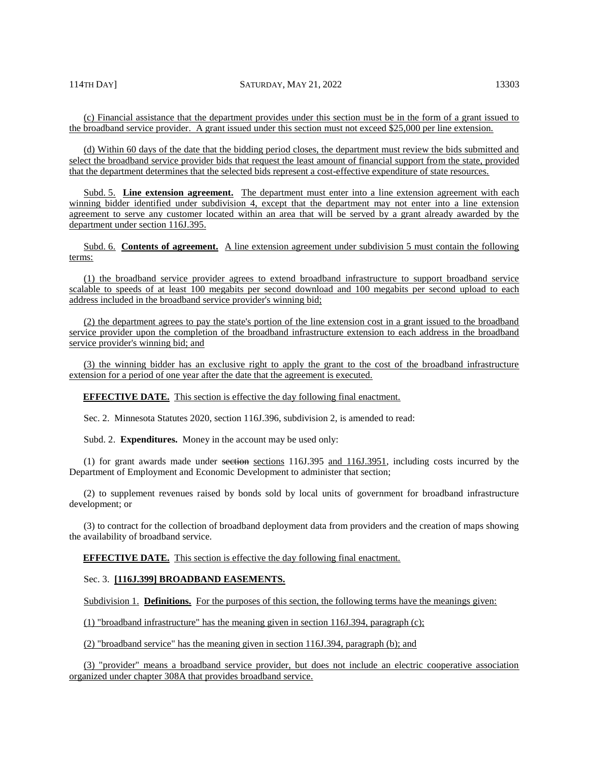(c) Financial assistance that the department provides under this section must be in the form of a grant issued to the broadband service provider. A grant issued under this section must not exceed \$25,000 per line extension.

(d) Within 60 days of the date that the bidding period closes, the department must review the bids submitted and select the broadband service provider bids that request the least amount of financial support from the state, provided that the department determines that the selected bids represent a cost-effective expenditure of state resources.

Subd. 5. Line extension agreement. The department must enter into a line extension agreement with each winning bidder identified under subdivision 4, except that the department may not enter into a line extension agreement to serve any customer located within an area that will be served by a grant already awarded by the department under section 116J.395.

Subd. 6. **Contents of agreement.** A line extension agreement under subdivision 5 must contain the following terms:

(1) the broadband service provider agrees to extend broadband infrastructure to support broadband service scalable to speeds of at least 100 megabits per second download and 100 megabits per second upload to each address included in the broadband service provider's winning bid;

(2) the department agrees to pay the state's portion of the line extension cost in a grant issued to the broadband service provider upon the completion of the broadband infrastructure extension to each address in the broadband service provider's winning bid; and

(3) the winning bidder has an exclusive right to apply the grant to the cost of the broadband infrastructure extension for a period of one year after the date that the agreement is executed.

**EFFECTIVE DATE.** This section is effective the day following final enactment.

Sec. 2. Minnesota Statutes 2020, section 116J.396, subdivision 2, is amended to read:

Subd. 2. **Expenditures.** Money in the account may be used only:

(1) for grant awards made under sections sections  $116J.395$  and  $116J.3951$ , including costs incurred by the Department of Employment and Economic Development to administer that section;

(2) to supplement revenues raised by bonds sold by local units of government for broadband infrastructure development; or

(3) to contract for the collection of broadband deployment data from providers and the creation of maps showing the availability of broadband service.

**EFFECTIVE DATE.** This section is effective the day following final enactment.

#### Sec. 3. **[116J.399] BROADBAND EASEMENTS.**

Subdivision 1. **Definitions.** For the purposes of this section, the following terms have the meanings given:

(1) "broadband infrastructure" has the meaning given in section 116J.394, paragraph (c);

(2) "broadband service" has the meaning given in section 116J.394, paragraph (b); and

(3) "provider" means a broadband service provider, but does not include an electric cooperative association organized under chapter 308A that provides broadband service.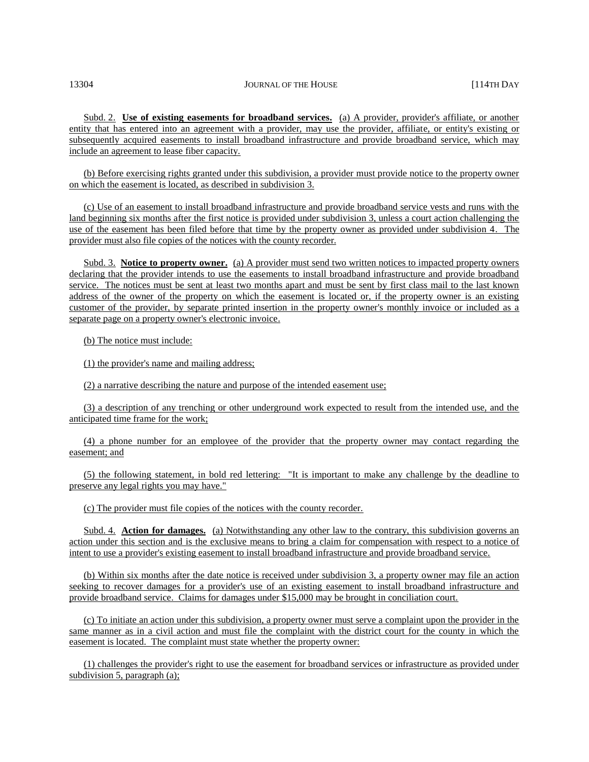Subd. 2. **Use of existing easements for broadband services.** (a) A provider, provider's affiliate, or another entity that has entered into an agreement with a provider, may use the provider, affiliate, or entity's existing or subsequently acquired easements to install broadband infrastructure and provide broadband service, which may include an agreement to lease fiber capacity.

(b) Before exercising rights granted under this subdivision, a provider must provide notice to the property owner on which the easement is located, as described in subdivision 3.

(c) Use of an easement to install broadband infrastructure and provide broadband service vests and runs with the land beginning six months after the first notice is provided under subdivision 3, unless a court action challenging the use of the easement has been filed before that time by the property owner as provided under subdivision 4. The provider must also file copies of the notices with the county recorder.

Subd. 3. **Notice to property owner.** (a) A provider must send two written notices to impacted property owners declaring that the provider intends to use the easements to install broadband infrastructure and provide broadband service. The notices must be sent at least two months apart and must be sent by first class mail to the last known address of the owner of the property on which the easement is located or, if the property owner is an existing customer of the provider, by separate printed insertion in the property owner's monthly invoice or included as a separate page on a property owner's electronic invoice.

(b) The notice must include:

(1) the provider's name and mailing address;

(2) a narrative describing the nature and purpose of the intended easement use;

(3) a description of any trenching or other underground work expected to result from the intended use, and the anticipated time frame for the work;

(4) a phone number for an employee of the provider that the property owner may contact regarding the easement; and

(5) the following statement, in bold red lettering: "It is important to make any challenge by the deadline to preserve any legal rights you may have."

(c) The provider must file copies of the notices with the county recorder.

Subd. 4. **Action for damages.** (a) Notwithstanding any other law to the contrary, this subdivision governs an action under this section and is the exclusive means to bring a claim for compensation with respect to a notice of intent to use a provider's existing easement to install broadband infrastructure and provide broadband service.

(b) Within six months after the date notice is received under subdivision 3, a property owner may file an action seeking to recover damages for a provider's use of an existing easement to install broadband infrastructure and provide broadband service. Claims for damages under \$15,000 may be brought in conciliation court.

(c) To initiate an action under this subdivision, a property owner must serve a complaint upon the provider in the same manner as in a civil action and must file the complaint with the district court for the county in which the easement is located. The complaint must state whether the property owner:

(1) challenges the provider's right to use the easement for broadband services or infrastructure as provided under subdivision 5, paragraph (a);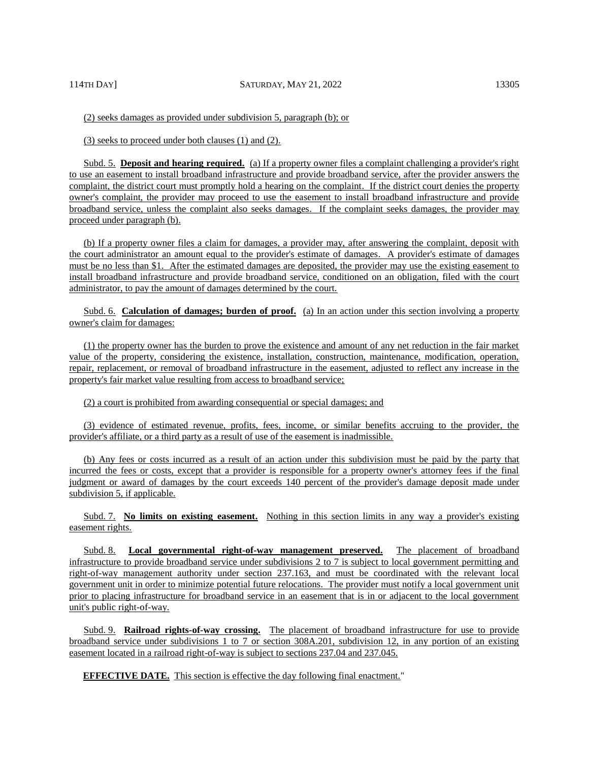(2) seeks damages as provided under subdivision 5, paragraph (b); or

(3) seeks to proceed under both clauses (1) and (2).

Subd. 5. **Deposit and hearing required.** (a) If a property owner files a complaint challenging a provider's right to use an easement to install broadband infrastructure and provide broadband service, after the provider answers the complaint, the district court must promptly hold a hearing on the complaint. If the district court denies the property owner's complaint, the provider may proceed to use the easement to install broadband infrastructure and provide broadband service, unless the complaint also seeks damages. If the complaint seeks damages, the provider may proceed under paragraph (b).

(b) If a property owner files a claim for damages, a provider may, after answering the complaint, deposit with the court administrator an amount equal to the provider's estimate of damages. A provider's estimate of damages must be no less than \$1. After the estimated damages are deposited, the provider may use the existing easement to install broadband infrastructure and provide broadband service, conditioned on an obligation, filed with the court administrator, to pay the amount of damages determined by the court.

Subd. 6. **Calculation of damages; burden of proof.** (a) In an action under this section involving a property owner's claim for damages:

(1) the property owner has the burden to prove the existence and amount of any net reduction in the fair market value of the property, considering the existence, installation, construction, maintenance, modification, operation, repair, replacement, or removal of broadband infrastructure in the easement, adjusted to reflect any increase in the property's fair market value resulting from access to broadband service;

(2) a court is prohibited from awarding consequential or special damages; and

(3) evidence of estimated revenue, profits, fees, income, or similar benefits accruing to the provider, the provider's affiliate, or a third party as a result of use of the easement is inadmissible.

(b) Any fees or costs incurred as a result of an action under this subdivision must be paid by the party that incurred the fees or costs, except that a provider is responsible for a property owner's attorney fees if the final judgment or award of damages by the court exceeds 140 percent of the provider's damage deposit made under subdivision 5, if applicable.

Subd. 7. **No limits on existing easement.** Nothing in this section limits in any way a provider's existing easement rights.

Subd. 8. **Local governmental right-of-way management preserved.** The placement of broadband infrastructure to provide broadband service under subdivisions 2 to 7 is subject to local government permitting and right-of-way management authority under section 237.163, and must be coordinated with the relevant local government unit in order to minimize potential future relocations. The provider must notify a local government unit prior to placing infrastructure for broadband service in an easement that is in or adjacent to the local government unit's public right-of-way.

Subd. 9. **Railroad rights-of-way crossing.** The placement of broadband infrastructure for use to provide broadband service under subdivisions 1 to 7 or section 308A.201, subdivision 12, in any portion of an existing easement located in a railroad right-of-way is subject to sections 237.04 and 237.045.

**EFFECTIVE DATE.** This section is effective the day following final enactment."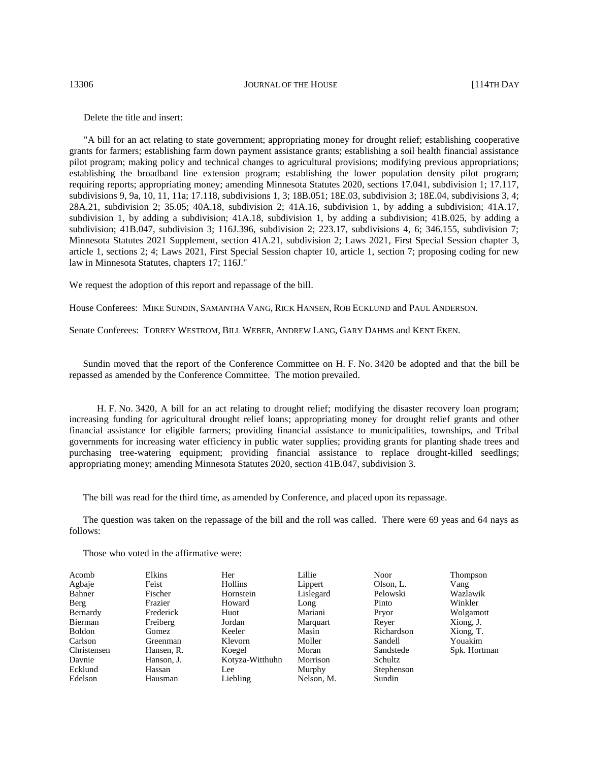13306 **JOURNAL OF THE HOUSE 12306 I** 

Delete the title and insert:

"A bill for an act relating to state government; appropriating money for drought relief; establishing cooperative grants for farmers; establishing farm down payment assistance grants; establishing a soil health financial assistance pilot program; making policy and technical changes to agricultural provisions; modifying previous appropriations; establishing the broadband line extension program; establishing the lower population density pilot program; requiring reports; appropriating money; amending Minnesota Statutes 2020, sections 17.041, subdivision 1; 17.117, subdivisions 9, 9a, 10, 11, 11a; 17.118, subdivisions 1, 3; 18B.051; 18E.03, subdivision 3; 18E.04, subdivisions 3, 4; 28A.21, subdivision 2; 35.05; 40A.18, subdivision 2; 41A.16, subdivision 1, by adding a subdivision; 41A.17, subdivision 1, by adding a subdivision; 41A.18, subdivision 1, by adding a subdivision; 41B.025, by adding a subdivision; 41B.047, subdivision 3; 116J.396, subdivision 2; 223.17, subdivisions 4, 6; 346.155, subdivision 7; Minnesota Statutes 2021 Supplement, section 41A.21, subdivision 2; Laws 2021, First Special Session chapter 3, article 1, sections 2; 4; Laws 2021, First Special Session chapter 10, article 1, section 7; proposing coding for new law in Minnesota Statutes, chapters 17; 116J."

We request the adoption of this report and repassage of the bill.

House Conferees: MIKE SUNDIN, SAMANTHA VANG, RICK HANSEN, ROB ECKLUND and PAUL ANDERSON.

Senate Conferees: TORREY WESTROM, BILL WEBER, ANDREW LANG, GARY DAHMS and KENT EKEN.

Sundin moved that the report of the Conference Committee on H. F. No. 3420 be adopted and that the bill be repassed as amended by the Conference Committee. The motion prevailed.

H. F. No. 3420, A bill for an act relating to drought relief; modifying the disaster recovery loan program; increasing funding for agricultural drought relief loans; appropriating money for drought relief grants and other financial assistance for eligible farmers; providing financial assistance to municipalities, townships, and Tribal governments for increasing water efficiency in public water supplies; providing grants for planting shade trees and purchasing tree-watering equipment; providing financial assistance to replace drought-killed seedlings; appropriating money; amending Minnesota Statutes 2020, section 41B.047, subdivision 3.

The bill was read for the third time, as amended by Conference, and placed upon its repassage.

The question was taken on the repassage of the bill and the roll was called. There were 69 yeas and 64 nays as follows:

Those who voted in the affirmative were:

| Acomb         | Elkins     | Her             | Lillie     | <b>Noor</b> | <b>Thompson</b> |
|---------------|------------|-----------------|------------|-------------|-----------------|
| Agbaje        | Feist      | Hollins         | Lippert    | Olson, L.   | Vang            |
| Bahner        | Fischer    | Hornstein       | Lislegard  | Pelowski    | Wazlawik        |
| Berg          | Frazier    | Howard          | Long       | Pinto       | Winkler         |
| Bernardy      | Frederick  | Huot            | Mariani    | Pryor       | Wolgamott       |
| Bierman       | Freiberg   | Jordan          | Marquart   | Rever       | Xiong, J.       |
| <b>Boldon</b> | Gomez      | Keeler          | Masin      | Richardson  | Xiong, T.       |
| Carlson       | Greenman   | Klevorn         | Moller     | Sandell     | Youakim         |
| Christensen   | Hansen, R. | Koegel          | Moran      | Sandstede   | Spk. Hortman    |
| Davnie        | Hanson, J. | Kotyza-Witthuhn | Morrison   | Schultz     |                 |
| Ecklund       | Hassan     | Lee             | Murphy     | Stephenson  |                 |
| Edelson       | Hausman    | Liebling        | Nelson, M. | Sundin      |                 |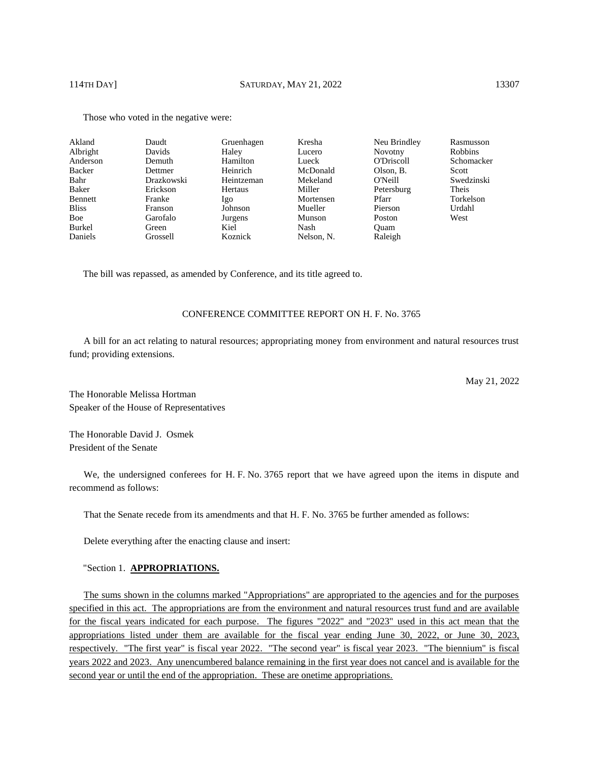| Akland       | Daudt      | Gruenhagen | Kresha     | Neu Brindley   | Rasmusson      |
|--------------|------------|------------|------------|----------------|----------------|
| Albright     | Davids     | Haley      | Lucero     | <b>Novotny</b> | <b>Robbins</b> |
| Anderson     | Demuth     | Hamilton   | Lueck      | O'Driscoll     | Schomacker     |
| Backer       | Dettmer    | Heinrich   | McDonald   | Olson, B.      | Scott          |
| Bahr         | Drazkowski | Heintzeman | Mekeland   | O'Neill        | Swedzinski     |
| Baker        | Erickson   | Hertaus    | Miller     | Petersburg     | Theis          |
| Bennett      | Franke     | Igo        | Mortensen  | Pfarr          | Torkelson      |
| <b>Bliss</b> | Franson    | Johnson    | Mueller    | Pierson        | Urdahl         |
| Boe          | Garofalo   | Jurgens    | Munson     | Poston         | West           |
| Burkel       | Green      | Kiel       | Nash       | Ouam           |                |
| Daniels      | Grossell   | Koznick    | Nelson, N. | Raleigh        |                |

Those who voted in the negative were:

The bill was repassed, as amended by Conference, and its title agreed to.

# CONFERENCE COMMITTEE REPORT ON H. F. No. 3765

A bill for an act relating to natural resources; appropriating money from environment and natural resources trust fund; providing extensions.

May 21, 2022

The Honorable Melissa Hortman Speaker of the House of Representatives

The Honorable David J. Osmek President of the Senate

We, the undersigned conferees for H. F. No. 3765 report that we have agreed upon the items in dispute and recommend as follows:

That the Senate recede from its amendments and that H. F. No. 3765 be further amended as follows:

Delete everything after the enacting clause and insert:

"Section 1. **APPROPRIATIONS.** 

The sums shown in the columns marked "Appropriations" are appropriated to the agencies and for the purposes specified in this act. The appropriations are from the environment and natural resources trust fund and are available for the fiscal years indicated for each purpose. The figures "2022" and "2023" used in this act mean that the appropriations listed under them are available for the fiscal year ending June 30, 2022, or June 30, 2023, respectively. "The first year" is fiscal year 2022. "The second year" is fiscal year 2023. "The biennium" is fiscal years 2022 and 2023. Any unencumbered balance remaining in the first year does not cancel and is available for the second year or until the end of the appropriation. These are onetime appropriations.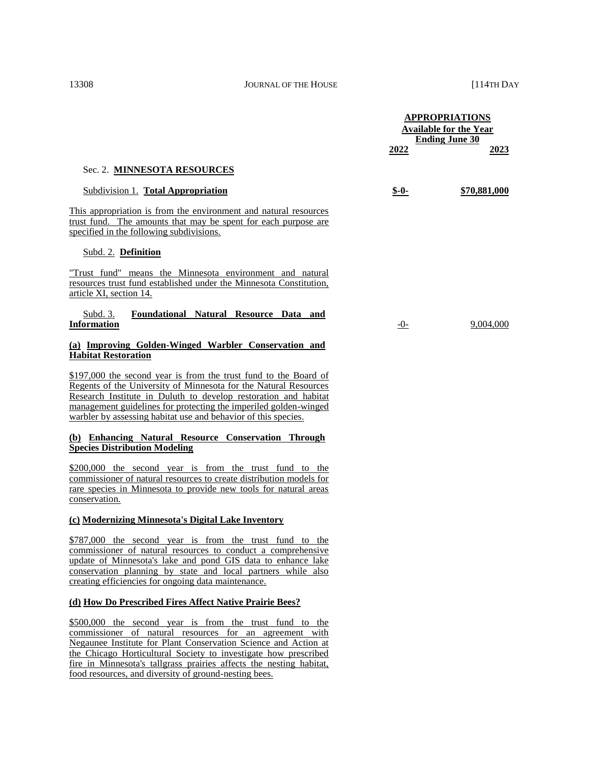|                                                                                                                                                                                                                                                                                                                                               | 2022   | <b>APPROPRIATIONS</b><br><b>Available for the Year</b><br><b>Ending June 30</b><br>2023 |
|-----------------------------------------------------------------------------------------------------------------------------------------------------------------------------------------------------------------------------------------------------------------------------------------------------------------------------------------------|--------|-----------------------------------------------------------------------------------------|
| Sec. 2. MINNESOTA RESOURCES                                                                                                                                                                                                                                                                                                                   |        |                                                                                         |
| Subdivision 1. Total Appropriation                                                                                                                                                                                                                                                                                                            | $S-0-$ | \$70,881,000                                                                            |
| This appropriation is from the environment and natural resources<br>trust fund. The amounts that may be spent for each purpose are<br>specified in the following subdivisions.                                                                                                                                                                |        |                                                                                         |
| <b>Subd. 2. Definition</b>                                                                                                                                                                                                                                                                                                                    |        |                                                                                         |
| "Trust fund" means the Minnesota environment and natural<br>resources trust fund established under the Minnesota Constitution,<br>article XI, section 14.                                                                                                                                                                                     |        |                                                                                         |
| <u>Subd. 3.</u><br>Foundational Natural Resource Data and<br><b>Information</b>                                                                                                                                                                                                                                                               | $-0-$  | 9,004,000                                                                               |
| (a) Improving Golden-Winged Warbler Conservation and<br><b>Habitat Restoration</b>                                                                                                                                                                                                                                                            |        |                                                                                         |
| \$197,000 the second year is from the trust fund to the Board of<br>Regents of the University of Minnesota for the Natural Resources<br>Research Institute in Duluth to develop restoration and habitat<br>management guidelines for protecting the imperiled golden-winged<br>warbler by assessing habitat use and behavior of this species. |        |                                                                                         |
| (b) Enhancing Natural Resource Conservation Through<br><b>Species Distribution Modeling</b>                                                                                                                                                                                                                                                   |        |                                                                                         |
| \$200,000 the second year is from the trust fund to the<br>commissioner of natural resources to create distribution models for<br>rare species in Minnesota to provide new tools for natural areas<br>conservation.                                                                                                                           |        |                                                                                         |
| (c) Modernizing Minnesota's Digital Lake Inventory                                                                                                                                                                                                                                                                                            |        |                                                                                         |

\$787,000 the second year is from the trust fund to the commissioner of natural resources to conduct a comprehensive update of Minnesota's lake and pond GIS data to enhance lake conservation planning by state and local partners while also creating efficiencies for ongoing data maintenance.

#### **(d) How Do Prescribed Fires Affect Native Prairie Bees?**

\$500,000 the second year is from the trust fund to the commissioner of natural resources for an agreement with Negaunee Institute for Plant Conservation Science and Action at the Chicago Horticultural Society to investigate how prescribed fire in Minnesota's tallgrass prairies affects the nesting habitat, food resources, and diversity of ground-nesting bees.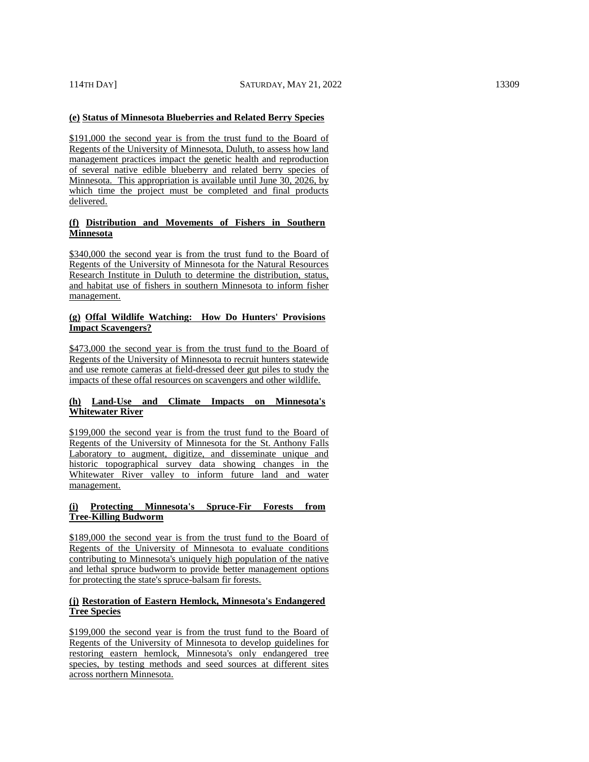# **(e) Status of Minnesota Blueberries and Related Berry Species**

\$191,000 the second year is from the trust fund to the Board of Regents of the University of Minnesota, Duluth, to assess how land management practices impact the genetic health and reproduction of several native edible blueberry and related berry species of Minnesota. This appropriation is available until June 30, 2026, by which time the project must be completed and final products delivered.

# **(f) Distribution and Movements of Fishers in Southern Minnesota**

\$340,000 the second year is from the trust fund to the Board of Regents of the University of Minnesota for the Natural Resources Research Institute in Duluth to determine the distribution, status, and habitat use of fishers in southern Minnesota to inform fisher management.

# **(g) Offal Wildlife Watching: How Do Hunters' Provisions Impact Scavengers?**

\$473,000 the second year is from the trust fund to the Board of Regents of the University of Minnesota to recruit hunters statewide and use remote cameras at field-dressed deer gut piles to study the impacts of these offal resources on scavengers and other wildlife.

#### **(h) Land-Use and Climate Impacts on Minnesota's Whitewater River**

\$199,000 the second year is from the trust fund to the Board of Regents of the University of Minnesota for the St. Anthony Falls Laboratory to augment, digitize, and disseminate unique and historic topographical survey data showing changes in the Whitewater River valley to inform future land and water management.

# **(i) Protecting Minnesota's Spruce-Fir Forests from Tree-Killing Budworm**

\$189,000 the second year is from the trust fund to the Board of Regents of the University of Minnesota to evaluate conditions contributing to Minnesota's uniquely high population of the native and lethal spruce budworm to provide better management options for protecting the state's spruce-balsam fir forests.

# **(j) Restoration of Eastern Hemlock, Minnesota's Endangered Tree Species**

\$199,000 the second year is from the trust fund to the Board of Regents of the University of Minnesota to develop guidelines for restoring eastern hemlock, Minnesota's only endangered tree species, by testing methods and seed sources at different sites across northern Minnesota.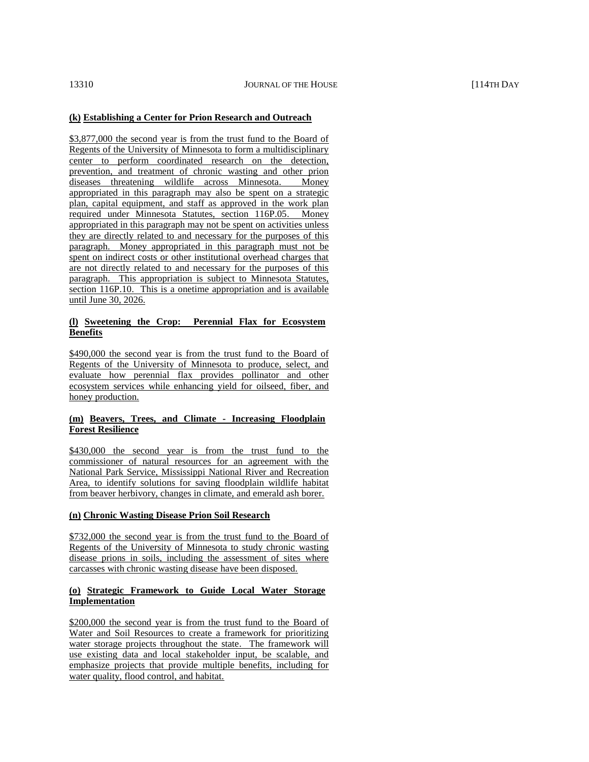# **(k) Establishing a Center for Prion Research and Outreach**

\$3,877,000 the second year is from the trust fund to the Board of Regents of the University of Minnesota to form a multidisciplinary center to perform coordinated research on the detection, prevention, and treatment of chronic wasting and other prion diseases threatening wildlife across Minnesota. Money appropriated in this paragraph may also be spent on a strategic plan, capital equipment, and staff as approved in the work plan required under Minnesota Statutes, section 116P.05. Money appropriated in this paragraph may not be spent on activities unless they are directly related to and necessary for the purposes of this paragraph. Money appropriated in this paragraph must not be spent on indirect costs or other institutional overhead charges that are not directly related to and necessary for the purposes of this paragraph. This appropriation is subject to Minnesota Statutes, section 116P.10. This is a onetime appropriation and is available until June 30, 2026.

## **(l) Sweetening the Crop: Perennial Flax for Ecosystem Benefits**

\$490,000 the second year is from the trust fund to the Board of Regents of the University of Minnesota to produce, select, and evaluate how perennial flax provides pollinator and other ecosystem services while enhancing yield for oilseed, fiber, and honey production.

# **(m) Beavers, Trees, and Climate - Increasing Floodplain Forest Resilience**

\$430,000 the second year is from the trust fund to the commissioner of natural resources for an agreement with the National Park Service, Mississippi National River and Recreation Area, to identify solutions for saving floodplain wildlife habitat from beaver herbivory, changes in climate, and emerald ash borer.

#### **(n) Chronic Wasting Disease Prion Soil Research**

\$732,000 the second year is from the trust fund to the Board of Regents of the University of Minnesota to study chronic wasting disease prions in soils, including the assessment of sites where carcasses with chronic wasting disease have been disposed.

#### **(o) Strategic Framework to Guide Local Water Storage Implementation**

\$200,000 the second year is from the trust fund to the Board of Water and Soil Resources to create a framework for prioritizing water storage projects throughout the state. The framework will use existing data and local stakeholder input, be scalable, and emphasize projects that provide multiple benefits, including for water quality, flood control, and habitat.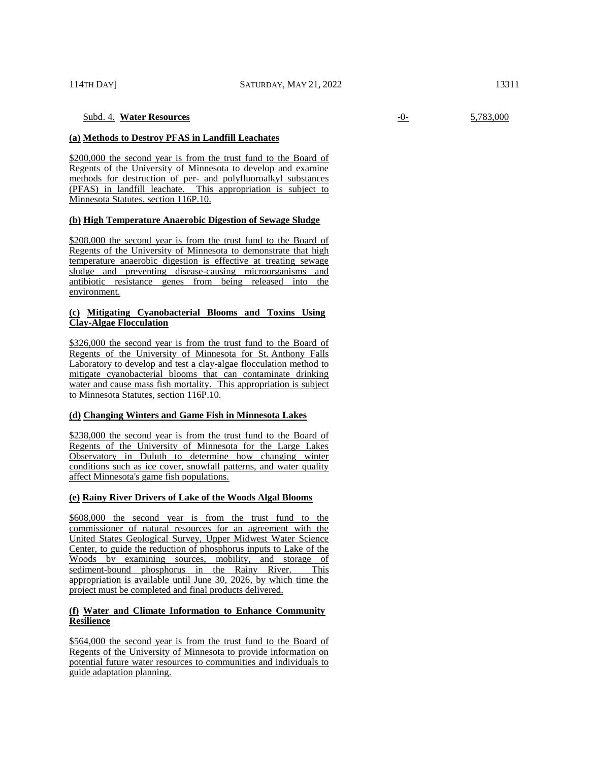# Subd. 4. **Water Resources** -0- 5,783,000

# **(a) Methods to Destroy PFAS in Landfill Leachates**

\$200,000 the second year is from the trust fund to the Board of Regents of the University of Minnesota to develop and examine methods for destruction of per- and polyfluoroalkyl substances (PFAS) in landfill leachate. This appropriation is subject to Minnesota Statutes, section 116P.10.

#### **(b) High Temperature Anaerobic Digestion of Sewage Sludge**

\$208,000 the second year is from the trust fund to the Board of Regents of the University of Minnesota to demonstrate that high temperature anaerobic digestion is effective at treating sewage sludge and preventing disease-causing microorganisms and antibiotic resistance genes from being released into the environment.

# **(c) Mitigating Cyanobacterial Blooms and Toxins Using Clay-Algae Flocculation**

\$326,000 the second year is from the trust fund to the Board of Regents of the University of Minnesota for St. Anthony Falls Laboratory to develop and test a clay-algae flocculation method to mitigate cyanobacterial blooms that can contaminate drinking water and cause mass fish mortality. This appropriation is subject to Minnesota Statutes, section 116P.10.

#### **(d) Changing Winters and Game Fish in Minnesota Lakes**

\$238,000 the second year is from the trust fund to the Board of Regents of the University of Minnesota for the Large Lakes Observatory in Duluth to determine how changing winter conditions such as ice cover, snowfall patterns, and water quality affect Minnesota's game fish populations.

#### **(e) Rainy River Drivers of Lake of the Woods Algal Blooms**

\$608,000 the second year is from the trust fund to the commissioner of natural resources for an agreement with the United States Geological Survey, Upper Midwest Water Science Center, to guide the reduction of phosphorus inputs to Lake of the Woods by examining sources, mobility, and storage of sediment-bound phosphorus in the Rainy River. This appropriation is available until June 30, 2026, by which time the project must be completed and final products delivered.

#### **(f) Water and Climate Information to Enhance Community Resilience**

\$564,000 the second year is from the trust fund to the Board of Regents of the University of Minnesota to provide information on potential future water resources to communities and individuals to guide adaptation planning.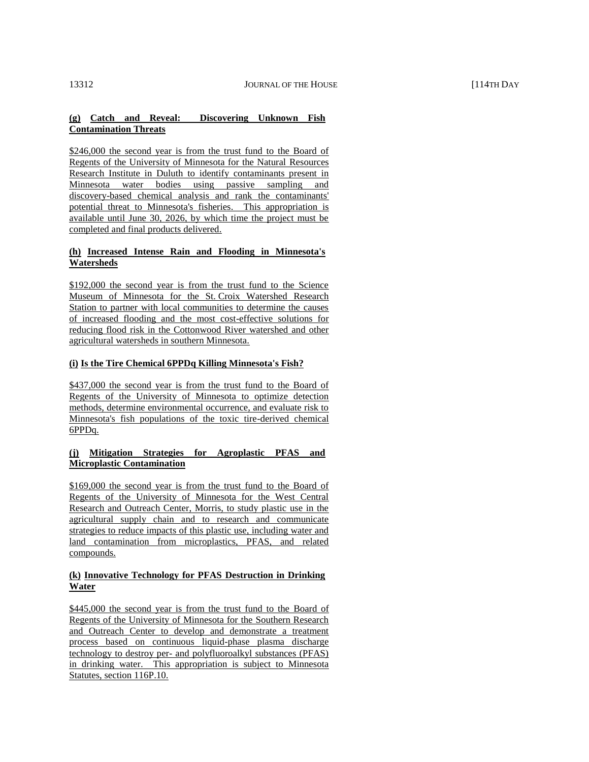# **(g) Catch and Reveal: Discovering Unknown Fish Contamination Threats**

\$246,000 the second year is from the trust fund to the Board of Regents of the University of Minnesota for the Natural Resources Research Institute in Duluth to identify contaminants present in Minnesota water bodies using passive sampling and discovery-based chemical analysis and rank the contaminants' potential threat to Minnesota's fisheries. This appropriation is available until June 30, 2026, by which time the project must be completed and final products delivered.

# **(h) Increased Intense Rain and Flooding in Minnesota's Watersheds**

\$192,000 the second year is from the trust fund to the Science Museum of Minnesota for the St. Croix Watershed Research Station to partner with local communities to determine the causes of increased flooding and the most cost-effective solutions for reducing flood risk in the Cottonwood River watershed and other agricultural watersheds in southern Minnesota.

# **(i) Is the Tire Chemical 6PPDq Killing Minnesota's Fish?**

\$437,000 the second year is from the trust fund to the Board of Regents of the University of Minnesota to optimize detection methods, determine environmental occurrence, and evaluate risk to Minnesota's fish populations of the toxic tire-derived chemical 6PPDq.

# **(j) Mitigation Strategies for Agroplastic PFAS and Microplastic Contamination**

\$169,000 the second year is from the trust fund to the Board of Regents of the University of Minnesota for the West Central Research and Outreach Center, Morris, to study plastic use in the agricultural supply chain and to research and communicate strategies to reduce impacts of this plastic use, including water and land contamination from microplastics, PFAS, and related compounds.

# **(k) Innovative Technology for PFAS Destruction in Drinking Water**

\$445,000 the second year is from the trust fund to the Board of Regents of the University of Minnesota for the Southern Research and Outreach Center to develop and demonstrate a treatment process based on continuous liquid-phase plasma discharge technology to destroy per- and polyfluoroalkyl substances (PFAS) in drinking water. This appropriation is subject to Minnesota Statutes, section 116P.10.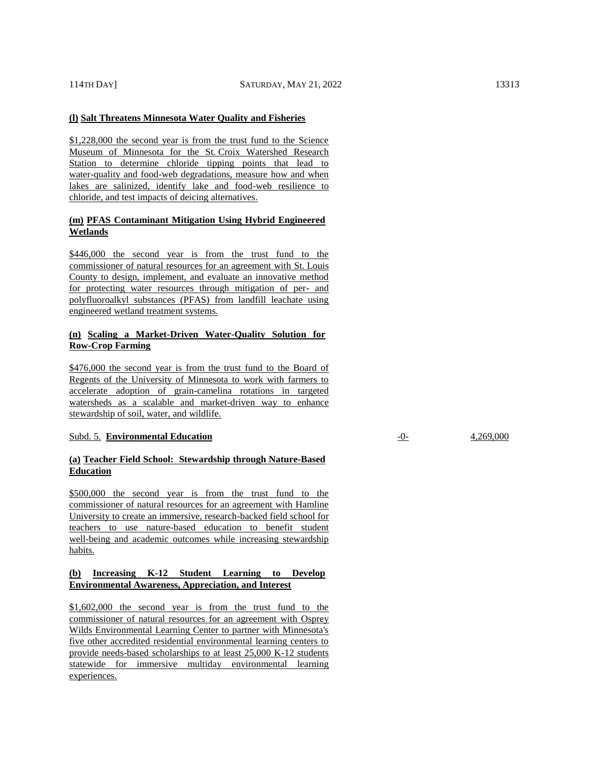#### **(l) Salt Threatens Minnesota Water Quality and Fisheries**

\$1,228,000 the second year is from the trust fund to the Science Museum of Minnesota for the St. Croix Watershed Research Station to determine chloride tipping points that lead to water-quality and food-web degradations, measure how and when lakes are salinized, identify lake and food-web resilience to chloride, and test impacts of deicing alternatives.

# **(m) PFAS Contaminant Mitigation Using Hybrid Engineered Wetlands**

\$446,000 the second year is from the trust fund to the commissioner of natural resources for an agreement with St. Louis County to design, implement, and evaluate an innovative method for protecting water resources through mitigation of per- and polyfluoroalkyl substances (PFAS) from landfill leachate using engineered wetland treatment systems.

# **(n) Scaling a Market-Driven Water-Quality Solution for Row-Crop Farming**

\$476,000 the second year is from the trust fund to the Board of Regents of the University of Minnesota to work with farmers to accelerate adoption of grain-camelina rotations in targeted watersheds as a scalable and market-driven way to enhance stewardship of soil, water, and wildlife.

# Subd. 5. **Environmental Education** -0- 4,269,000

# **(a) Teacher Field School: Stewardship through Nature-Based Education**

\$500,000 the second year is from the trust fund to the commissioner of natural resources for an agreement with Hamline University to create an immersive, research-backed field school for teachers to use nature-based education to benefit student well-being and academic outcomes while increasing stewardship habits.

# **(b) Increasing K-12 Student Learning to Develop Environmental Awareness, Appreciation, and Interest**

\$1,602,000 the second year is from the trust fund to the commissioner of natural resources for an agreement with Osprey Wilds Environmental Learning Center to partner with Minnesota's five other accredited residential environmental learning centers to provide needs-based scholarships to at least 25,000 K-12 students statewide for immersive multiday environmental learning experiences.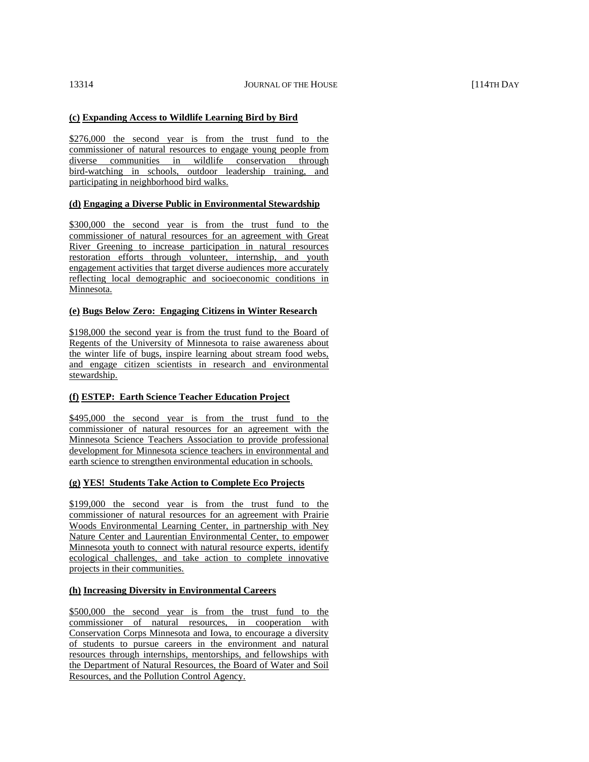# **(c) Expanding Access to Wildlife Learning Bird by Bird**

\$276,000 the second year is from the trust fund to the commissioner of natural resources to engage young people from diverse communities in wildlife conservation through bird-watching in schools, outdoor leadership training, and participating in neighborhood bird walks.

# **(d) Engaging a Diverse Public in Environmental Stewardship**

\$300,000 the second year is from the trust fund to the commissioner of natural resources for an agreement with Great River Greening to increase participation in natural resources restoration efforts through volunteer, internship, and youth engagement activities that target diverse audiences more accurately reflecting local demographic and socioeconomic conditions in Minnesota.

#### **(e) Bugs Below Zero: Engaging Citizens in Winter Research**

\$198,000 the second year is from the trust fund to the Board of Regents of the University of Minnesota to raise awareness about the winter life of bugs, inspire learning about stream food webs, and engage citizen scientists in research and environmental stewardship.

# **(f) ESTEP: Earth Science Teacher Education Project**

\$495,000 the second year is from the trust fund to the commissioner of natural resources for an agreement with the Minnesota Science Teachers Association to provide professional development for Minnesota science teachers in environmental and earth science to strengthen environmental education in schools.

#### **(g) YES! Students Take Action to Complete Eco Projects**

\$199,000 the second year is from the trust fund to the commissioner of natural resources for an agreement with Prairie Woods Environmental Learning Center, in partnership with Ney Nature Center and Laurentian Environmental Center, to empower Minnesota youth to connect with natural resource experts, identify ecological challenges, and take action to complete innovative projects in their communities.

#### **(h) Increasing Diversity in Environmental Careers**

\$500,000 the second year is from the trust fund to the commissioner of natural resources, in cooperation with Conservation Corps Minnesota and Iowa, to encourage a diversity of students to pursue careers in the environment and natural resources through internships, mentorships, and fellowships with the Department of Natural Resources, the Board of Water and Soil Resources, and the Pollution Control Agency.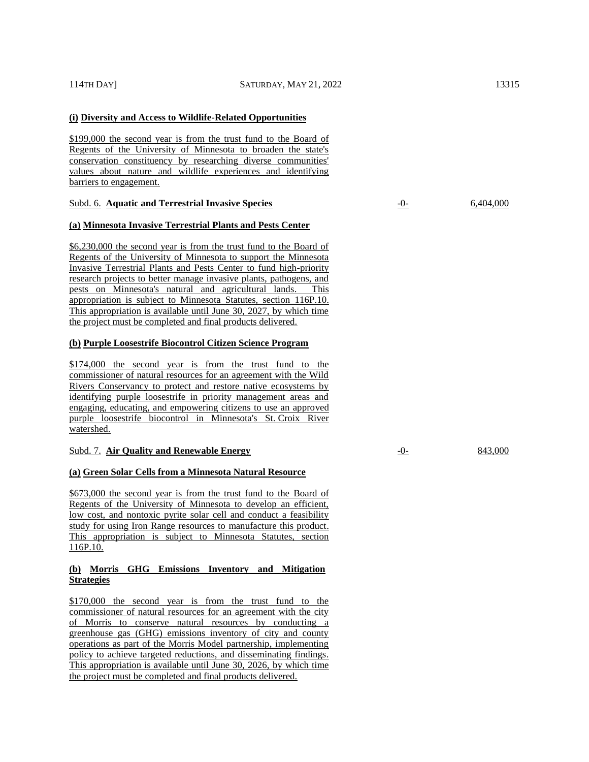# **(i) Diversity and Access to Wildlife-Related Opportunities**

\$199,000 the second year is from the trust fund to the Board of Regents of the University of Minnesota to broaden the state's conservation constituency by researching diverse communities' values about nature and wildlife experiences and identifying barriers to engagement.

#### Subd. 6. **Aquatic and Terrestrial Invasive Species** -0- 6,404,000

# **(a) Minnesota Invasive Terrestrial Plants and Pests Center**

\$6,230,000 the second year is from the trust fund to the Board of Regents of the University of Minnesota to support the Minnesota Invasive Terrestrial Plants and Pests Center to fund high-priority research projects to better manage invasive plants, pathogens, and pests on Minnesota's natural and agricultural lands. This appropriation is subject to Minnesota Statutes, section 116P.10. This appropriation is available until June 30, 2027, by which time the project must be completed and final products delivered.

# **(b) Purple Loosestrife Biocontrol Citizen Science Program**

\$174,000 the second year is from the trust fund to the commissioner of natural resources for an agreement with the Wild Rivers Conservancy to protect and restore native ecosystems by identifying purple loosestrife in priority management areas and engaging, educating, and empowering citizens to use an approved purple loosestrife biocontrol in Minnesota's St. Croix River watershed.

#### Subd. 7. Air Quality and Renewable Energy **1986** and  $\frac{1}{2}$  **Contract 1986** and 843,000

#### **(a) Green Solar Cells from a Minnesota Natural Resource**

\$673,000 the second year is from the trust fund to the Board of Regents of the University of Minnesota to develop an efficient, low cost, and nontoxic pyrite solar cell and conduct a feasibility study for using Iron Range resources to manufacture this product. This appropriation is subject to Minnesota Statutes, section 116P.10.

# **(b) Morris GHG Emissions Inventory and Mitigation Strategies**

\$170,000 the second year is from the trust fund to the commissioner of natural resources for an agreement with the city of Morris to conserve natural resources by conducting a greenhouse gas (GHG) emissions inventory of city and county operations as part of the Morris Model partnership, implementing policy to achieve targeted reductions, and disseminating findings. This appropriation is available until June 30, 2026, by which time the project must be completed and final products delivered.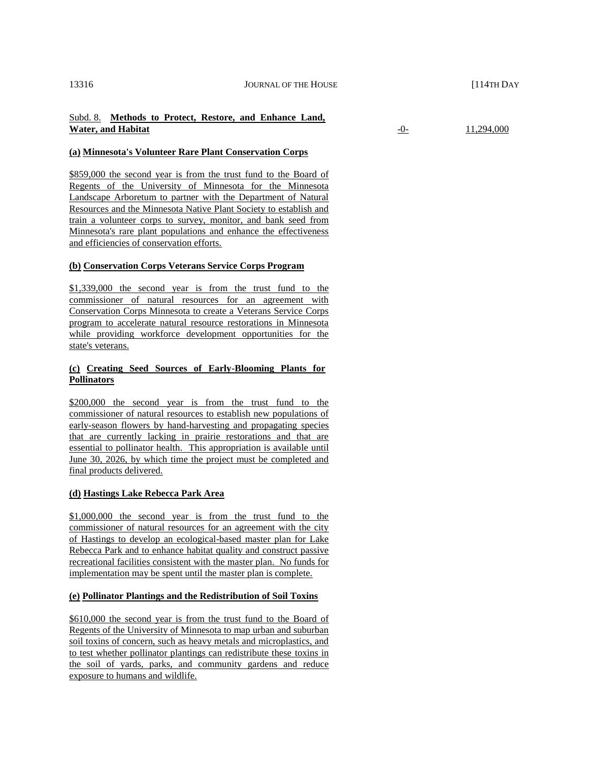# Subd. 8. **Methods to Protect, Restore, and Enhance Land, Water, and Habitat 11,294,000 11,294,000**

# **(a) Minnesota's Volunteer Rare Plant Conservation Corps**

\$859,000 the second year is from the trust fund to the Board of Regents of the University of Minnesota for the Minnesota Landscape Arboretum to partner with the Department of Natural Resources and the Minnesota Native Plant Society to establish and train a volunteer corps to survey, monitor, and bank seed from Minnesota's rare plant populations and enhance the effectiveness and efficiencies of conservation efforts.

# **(b) Conservation Corps Veterans Service Corps Program**

\$1,339,000 the second year is from the trust fund to the commissioner of natural resources for an agreement with Conservation Corps Minnesota to create a Veterans Service Corps program to accelerate natural resource restorations in Minnesota while providing workforce development opportunities for the state's veterans.

# **(c) Creating Seed Sources of Early-Blooming Plants for Pollinators**

\$200,000 the second year is from the trust fund to the commissioner of natural resources to establish new populations of early-season flowers by hand-harvesting and propagating species that are currently lacking in prairie restorations and that are essential to pollinator health. This appropriation is available until June 30, 2026, by which time the project must be completed and final products delivered.

# **(d) Hastings Lake Rebecca Park Area**

\$1,000,000 the second year is from the trust fund to the commissioner of natural resources for an agreement with the city of Hastings to develop an ecological-based master plan for Lake Rebecca Park and to enhance habitat quality and construct passive recreational facilities consistent with the master plan. No funds for implementation may be spent until the master plan is complete.

# **(e) Pollinator Plantings and the Redistribution of Soil Toxins**

\$610,000 the second year is from the trust fund to the Board of Regents of the University of Minnesota to map urban and suburban soil toxins of concern, such as heavy metals and microplastics, and to test whether pollinator plantings can redistribute these toxins in the soil of yards, parks, and community gardens and reduce exposure to humans and wildlife.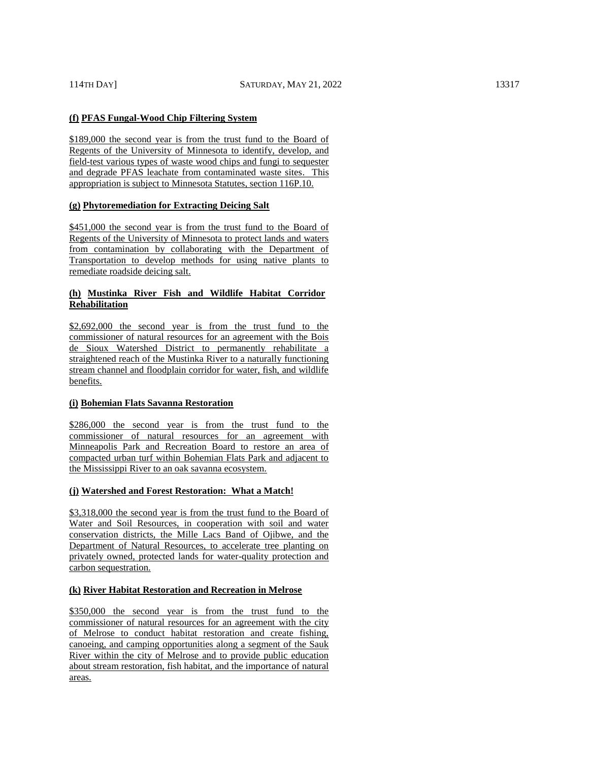# **(f) PFAS Fungal-Wood Chip Filtering System**

\$189,000 the second year is from the trust fund to the Board of Regents of the University of Minnesota to identify, develop, and field-test various types of waste wood chips and fungi to sequester and degrade PFAS leachate from contaminated waste sites. This appropriation is subject to Minnesota Statutes, section 116P.10.

# **(g) Phytoremediation for Extracting Deicing Salt**

\$451,000 the second year is from the trust fund to the Board of Regents of the University of Minnesota to protect lands and waters from contamination by collaborating with the Department of Transportation to develop methods for using native plants to remediate roadside deicing salt.

# **(h) Mustinka River Fish and Wildlife Habitat Corridor Rehabilitation**

\$2,692,000 the second year is from the trust fund to the commissioner of natural resources for an agreement with the Bois de Sioux Watershed District to permanently rehabilitate a straightened reach of the Mustinka River to a naturally functioning stream channel and floodplain corridor for water, fish, and wildlife benefits.

# **(i) Bohemian Flats Savanna Restoration**

\$286,000 the second year is from the trust fund to the commissioner of natural resources for an agreement with Minneapolis Park and Recreation Board to restore an area of compacted urban turf within Bohemian Flats Park and adjacent to the Mississippi River to an oak savanna ecosystem.

# **(j) Watershed and Forest Restoration: What a Match!**

\$3,318,000 the second year is from the trust fund to the Board of Water and Soil Resources, in cooperation with soil and water conservation districts, the Mille Lacs Band of Ojibwe, and the Department of Natural Resources, to accelerate tree planting on privately owned, protected lands for water-quality protection and carbon sequestration.

# **(k) River Habitat Restoration and Recreation in Melrose**

\$350,000 the second year is from the trust fund to the commissioner of natural resources for an agreement with the city of Melrose to conduct habitat restoration and create fishing, canoeing, and camping opportunities along a segment of the Sauk River within the city of Melrose and to provide public education about stream restoration, fish habitat, and the importance of natural areas.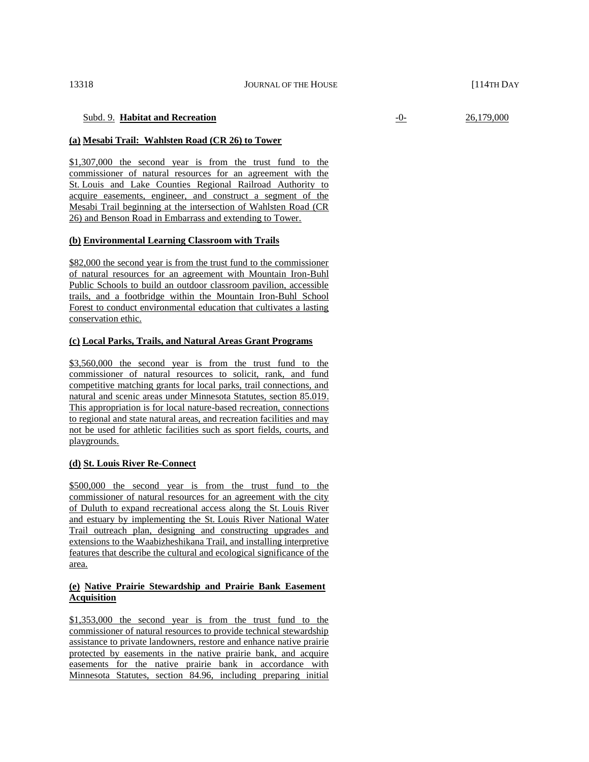# Subd. 9. **Habitat and Recreation** -0- 26,179,000

#### **(a) Mesabi Trail: Wahlsten Road (CR 26) to Tower**

\$1,307,000 the second year is from the trust fund to the commissioner of natural resources for an agreement with the St. Louis and Lake Counties Regional Railroad Authority to acquire easements, engineer, and construct a segment of the Mesabi Trail beginning at the intersection of Wahlsten Road (CR 26) and Benson Road in Embarrass and extending to Tower.

#### **(b) Environmental Learning Classroom with Trails**

\$82,000 the second year is from the trust fund to the commissioner of natural resources for an agreement with Mountain Iron-Buhl Public Schools to build an outdoor classroom pavilion, accessible trails, and a footbridge within the Mountain Iron-Buhl School Forest to conduct environmental education that cultivates a lasting conservation ethic.

#### **(c) Local Parks, Trails, and Natural Areas Grant Programs**

\$3,560,000 the second year is from the trust fund to the commissioner of natural resources to solicit, rank, and fund competitive matching grants for local parks, trail connections, and natural and scenic areas under Minnesota Statutes, section 85.019. This appropriation is for local nature-based recreation, connections to regional and state natural areas, and recreation facilities and may not be used for athletic facilities such as sport fields, courts, and playgrounds.

#### **(d) St. Louis River Re-Connect**

\$500,000 the second year is from the trust fund to the commissioner of natural resources for an agreement with the city of Duluth to expand recreational access along the St. Louis River and estuary by implementing the St. Louis River National Water Trail outreach plan, designing and constructing upgrades and extensions to the Waabizheshikana Trail, and installing interpretive features that describe the cultural and ecological significance of the area.

# **(e) Native Prairie Stewardship and Prairie Bank Easement Acquisition**

\$1,353,000 the second year is from the trust fund to the commissioner of natural resources to provide technical stewardship assistance to private landowners, restore and enhance native prairie protected by easements in the native prairie bank, and acquire easements for the native prairie bank in accordance with Minnesota Statutes, section 84.96, including preparing initial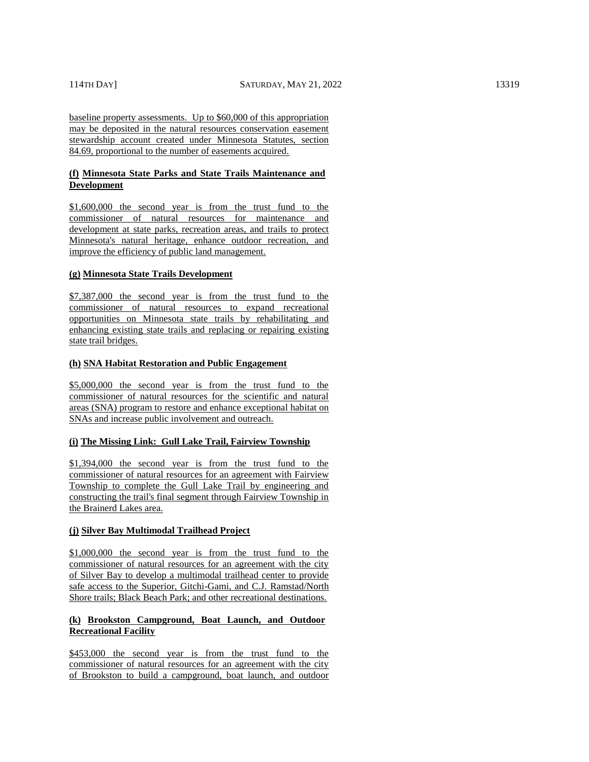baseline property assessments. Up to \$60,000 of this appropriation may be deposited in the natural resources conservation easement stewardship account created under Minnesota Statutes, section 84.69, proportional to the number of easements acquired.

# **(f) Minnesota State Parks and State Trails Maintenance and Development**

\$1,600,000 the second year is from the trust fund to the commissioner of natural resources for maintenance and development at state parks, recreation areas, and trails to protect Minnesota's natural heritage, enhance outdoor recreation, and improve the efficiency of public land management.

#### **(g) Minnesota State Trails Development**

\$7,387,000 the second year is from the trust fund to the commissioner of natural resources to expand recreational opportunities on Minnesota state trails by rehabilitating and enhancing existing state trails and replacing or repairing existing state trail bridges.

#### **(h) SNA Habitat Restoration and Public Engagement**

\$5,000,000 the second year is from the trust fund to the commissioner of natural resources for the scientific and natural areas (SNA) program to restore and enhance exceptional habitat on SNAs and increase public involvement and outreach.

# **(i) The Missing Link: Gull Lake Trail, Fairview Township**

\$1,394,000 the second year is from the trust fund to the commissioner of natural resources for an agreement with Fairview Township to complete the Gull Lake Trail by engineering and constructing the trail's final segment through Fairview Township in the Brainerd Lakes area.

#### **(j) Silver Bay Multimodal Trailhead Project**

\$1,000,000 the second year is from the trust fund to the commissioner of natural resources for an agreement with the city of Silver Bay to develop a multimodal trailhead center to provide safe access to the Superior, Gitchi-Gami, and C.J. Ramstad/North Shore trails; Black Beach Park; and other recreational destinations.

# **(k) Brookston Campground, Boat Launch, and Outdoor Recreational Facility**

\$453,000 the second year is from the trust fund to the commissioner of natural resources for an agreement with the city of Brookston to build a campground, boat launch, and outdoor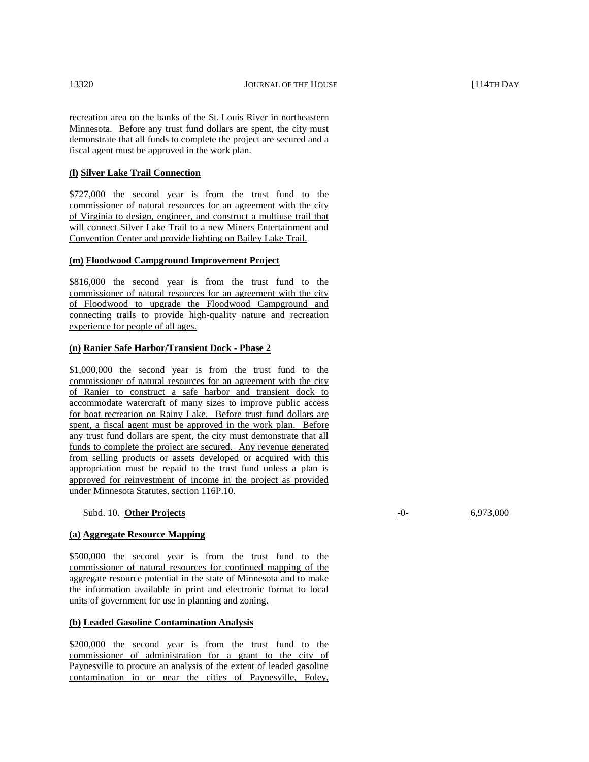recreation area on the banks of the St. Louis River in northeastern Minnesota. Before any trust fund dollars are spent, the city must demonstrate that all funds to complete the project are secured and a fiscal agent must be approved in the work plan.

# **(l) Silver Lake Trail Connection**

\$727,000 the second year is from the trust fund to the commissioner of natural resources for an agreement with the city of Virginia to design, engineer, and construct a multiuse trail that will connect Silver Lake Trail to a new Miners Entertainment and Convention Center and provide lighting on Bailey Lake Trail.

# **(m) Floodwood Campground Improvement Project**

\$816,000 the second year is from the trust fund to the commissioner of natural resources for an agreement with the city of Floodwood to upgrade the Floodwood Campground and connecting trails to provide high-quality nature and recreation experience for people of all ages.

# **(n) Ranier Safe Harbor/Transient Dock - Phase 2**

\$1,000,000 the second year is from the trust fund to the commissioner of natural resources for an agreement with the city of Ranier to construct a safe harbor and transient dock to accommodate watercraft of many sizes to improve public access for boat recreation on Rainy Lake. Before trust fund dollars are spent, a fiscal agent must be approved in the work plan. Before any trust fund dollars are spent, the city must demonstrate that all funds to complete the project are secured. Any revenue generated from selling products or assets developed or acquired with this appropriation must be repaid to the trust fund unless a plan is approved for reinvestment of income in the project as provided under Minnesota Statutes, section 116P.10.

# Subd. 10. **Other Projects** -0- 6,973,000

#### **(a) Aggregate Resource Mapping**

\$500,000 the second year is from the trust fund to the commissioner of natural resources for continued mapping of the aggregate resource potential in the state of Minnesota and to make the information available in print and electronic format to local units of government for use in planning and zoning.

# **(b) Leaded Gasoline Contamination Analysis**

\$200,000 the second year is from the trust fund to the commissioner of administration for a grant to the city of Paynesville to procure an analysis of the extent of leaded gasoline contamination in or near the cities of Paynesville, Foley,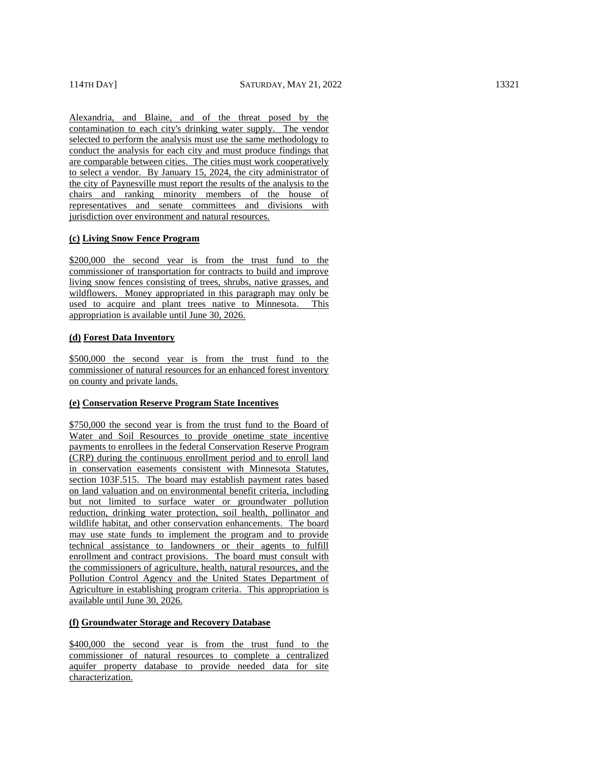Alexandria, and Blaine, and of the threat posed by the contamination to each city's drinking water supply. The vendor selected to perform the analysis must use the same methodology to conduct the analysis for each city and must produce findings that are comparable between cities. The cities must work cooperatively to select a vendor. By January 15, 2024, the city administrator of the city of Paynesville must report the results of the analysis to the chairs and ranking minority members of the house of representatives and senate committees and divisions with jurisdiction over environment and natural resources.

# **(c) Living Snow Fence Program**

\$200,000 the second year is from the trust fund to the commissioner of transportation for contracts to build and improve living snow fences consisting of trees, shrubs, native grasses, and wildflowers. Money appropriated in this paragraph may only be used to acquire and plant trees native to Minnesota. This appropriation is available until June 30, 2026.

# **(d) Forest Data Inventory**

\$500,000 the second year is from the trust fund to the commissioner of natural resources for an enhanced forest inventory on county and private lands.

#### **(e) Conservation Reserve Program State Incentives**

\$750,000 the second year is from the trust fund to the Board of Water and Soil Resources to provide onetime state incentive payments to enrollees in the federal Conservation Reserve Program (CRP) during the continuous enrollment period and to enroll land in conservation easements consistent with Minnesota Statutes, section 103F.515. The board may establish payment rates based on land valuation and on environmental benefit criteria, including but not limited to surface water or groundwater pollution reduction, drinking water protection, soil health, pollinator and wildlife habitat, and other conservation enhancements. The board may use state funds to implement the program and to provide technical assistance to landowners or their agents to fulfill enrollment and contract provisions. The board must consult with the commissioners of agriculture, health, natural resources, and the Pollution Control Agency and the United States Department of Agriculture in establishing program criteria. This appropriation is available until June 30, 2026.

# **(f) Groundwater Storage and Recovery Database**

\$400,000 the second year is from the trust fund to the commissioner of natural resources to complete a centralized aquifer property database to provide needed data for site characterization.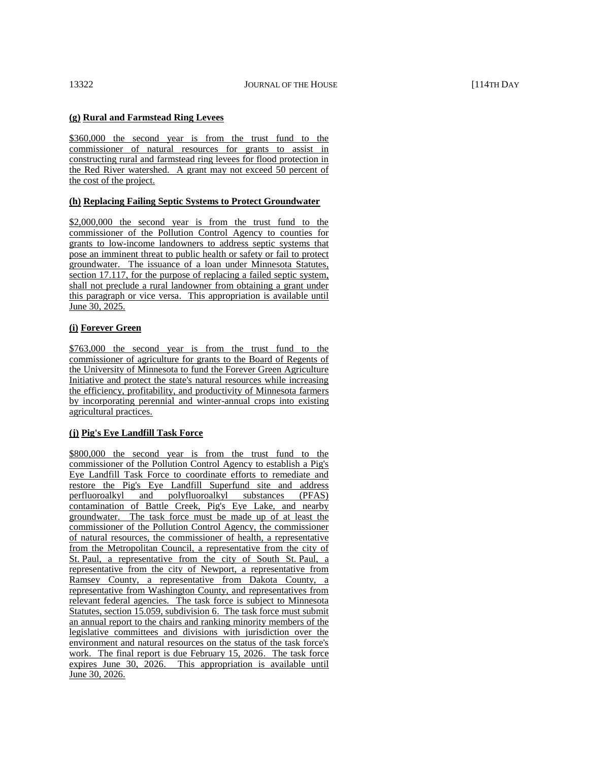# **(g) Rural and Farmstead Ring Levees**

\$360,000 the second year is from the trust fund to the commissioner of natural resources for grants to assist in constructing rural and farmstead ring levees for flood protection in the Red River watershed. A grant may not exceed 50 percent of the cost of the project.

# **(h) Replacing Failing Septic Systems to Protect Groundwater**

\$2,000,000 the second year is from the trust fund to the commissioner of the Pollution Control Agency to counties for grants to low-income landowners to address septic systems that pose an imminent threat to public health or safety or fail to protect groundwater. The issuance of a loan under Minnesota Statutes, section 17.117, for the purpose of replacing a failed septic system, shall not preclude a rural landowner from obtaining a grant under this paragraph or vice versa. This appropriation is available until June 30, 2025.

# **(i) Forever Green**

\$763,000 the second year is from the trust fund to the commissioner of agriculture for grants to the Board of Regents of the University of Minnesota to fund the Forever Green Agriculture Initiative and protect the state's natural resources while increasing the efficiency, profitability, and productivity of Minnesota farmers by incorporating perennial and winter-annual crops into existing agricultural practices.

# **(j) Pig's Eye Landfill Task Force**

\$800,000 the second year is from the trust fund to the commissioner of the Pollution Control Agency to establish a Pig's Eye Landfill Task Force to coordinate efforts to remediate and restore the Pig's Eye Landfill Superfund site and address perfluoroalkyl and polyfluoroalkyl substances (PFAS) contamination of Battle Creek, Pig's Eye Lake, and nearby groundwater. The task force must be made up of at least the commissioner of the Pollution Control Agency, the commissioner of natural resources, the commissioner of health, a representative from the Metropolitan Council, a representative from the city of St. Paul, a representative from the city of South St. Paul, a representative from the city of Newport, a representative from Ramsey County, a representative from Dakota County, a representative from Washington County, and representatives from relevant federal agencies. The task force is subject to Minnesota Statutes, section 15.059, subdivision 6. The task force must submit an annual report to the chairs and ranking minority members of the legislative committees and divisions with jurisdiction over the environment and natural resources on the status of the task force's work. The final report is due February 15, 2026. The task force expires June 30, 2026. This appropriation is available until June 30, 2026.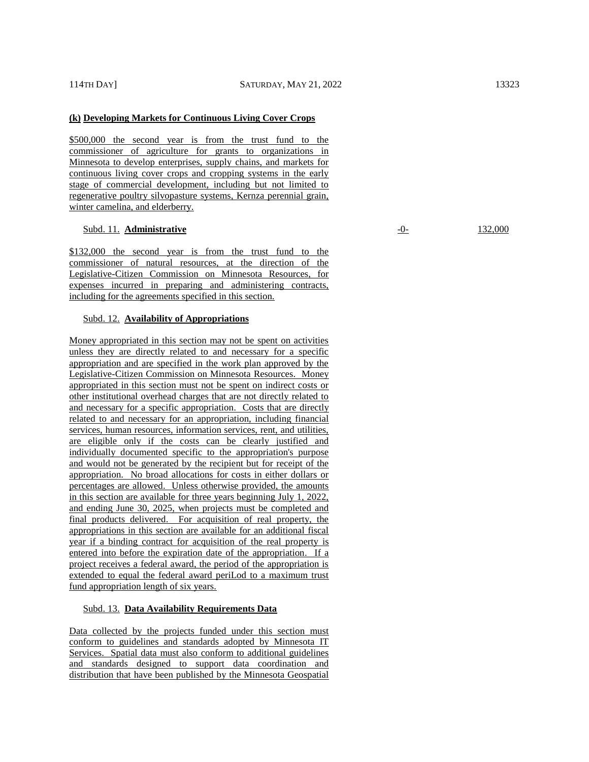#### **(k) Developing Markets for Continuous Living Cover Crops**

\$500,000 the second year is from the trust fund to the commissioner of agriculture for grants to organizations in Minnesota to develop enterprises, supply chains, and markets for continuous living cover crops and cropping systems in the early stage of commercial development, including but not limited to regenerative poultry silvopasture systems, Kernza perennial grain, winter camelina, and elderberry.

#### Subd. 11. **Administrative** -0- 132,000

\$132,000 the second year is from the trust fund to the commissioner of natural resources, at the direction of the Legislative-Citizen Commission on Minnesota Resources, for expenses incurred in preparing and administering contracts, including for the agreements specified in this section.

# Subd. 12. **Availability of Appropriations**

Money appropriated in this section may not be spent on activities unless they are directly related to and necessary for a specific appropriation and are specified in the work plan approved by the Legislative-Citizen Commission on Minnesota Resources. Money appropriated in this section must not be spent on indirect costs or other institutional overhead charges that are not directly related to and necessary for a specific appropriation. Costs that are directly related to and necessary for an appropriation, including financial services, human resources, information services, rent, and utilities, are eligible only if the costs can be clearly justified and individually documented specific to the appropriation's purpose and would not be generated by the recipient but for receipt of the appropriation. No broad allocations for costs in either dollars or percentages are allowed. Unless otherwise provided, the amounts in this section are available for three years beginning July 1, 2022, and ending June 30, 2025, when projects must be completed and final products delivered. For acquisition of real property, the appropriations in this section are available for an additional fiscal year if a binding contract for acquisition of the real property is entered into before the expiration date of the appropriation. If a project receives a federal award, the period of the appropriation is extended to equal the federal award periLod to a maximum trust fund appropriation length of six years.

#### Subd. 13. **Data Availability Requirements Data**

Data collected by the projects funded under this section must conform to guidelines and standards adopted by Minnesota IT Services. Spatial data must also conform to additional guidelines and standards designed to support data coordination and distribution that have been published by the Minnesota Geospatial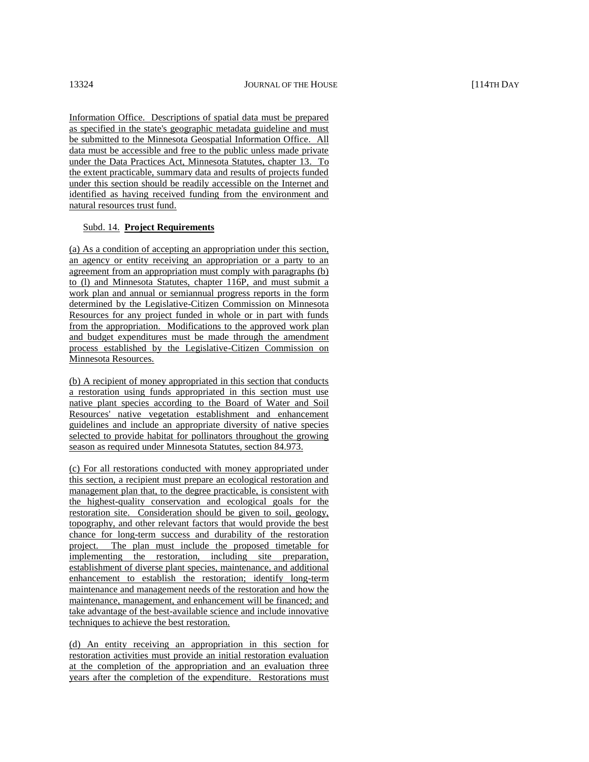Information Office. Descriptions of spatial data must be prepared as specified in the state's geographic metadata guideline and must be submitted to the Minnesota Geospatial Information Office. All data must be accessible and free to the public unless made private under the Data Practices Act, Minnesota Statutes, chapter 13. To the extent practicable, summary data and results of projects funded under this section should be readily accessible on the Internet and identified as having received funding from the environment and natural resources trust fund.

# Subd. 14. **Project Requirements**

(a) As a condition of accepting an appropriation under this section, an agency or entity receiving an appropriation or a party to an agreement from an appropriation must comply with paragraphs (b) to (l) and Minnesota Statutes, chapter 116P, and must submit a work plan and annual or semiannual progress reports in the form determined by the Legislative-Citizen Commission on Minnesota Resources for any project funded in whole or in part with funds from the appropriation. Modifications to the approved work plan and budget expenditures must be made through the amendment process established by the Legislative-Citizen Commission on Minnesota Resources.

(b) A recipient of money appropriated in this section that conducts a restoration using funds appropriated in this section must use native plant species according to the Board of Water and Soil Resources' native vegetation establishment and enhancement guidelines and include an appropriate diversity of native species selected to provide habitat for pollinators throughout the growing season as required under Minnesota Statutes, section 84.973.

(c) For all restorations conducted with money appropriated under this section, a recipient must prepare an ecological restoration and management plan that, to the degree practicable, is consistent with the highest-quality conservation and ecological goals for the restoration site. Consideration should be given to soil, geology, topography, and other relevant factors that would provide the best chance for long-term success and durability of the restoration project. The plan must include the proposed timetable for implementing the restoration, including site preparation, establishment of diverse plant species, maintenance, and additional enhancement to establish the restoration; identify long-term maintenance and management needs of the restoration and how the maintenance, management, and enhancement will be financed; and take advantage of the best-available science and include innovative techniques to achieve the best restoration.

(d) An entity receiving an appropriation in this section for restoration activities must provide an initial restoration evaluation at the completion of the appropriation and an evaluation three years after the completion of the expenditure. Restorations must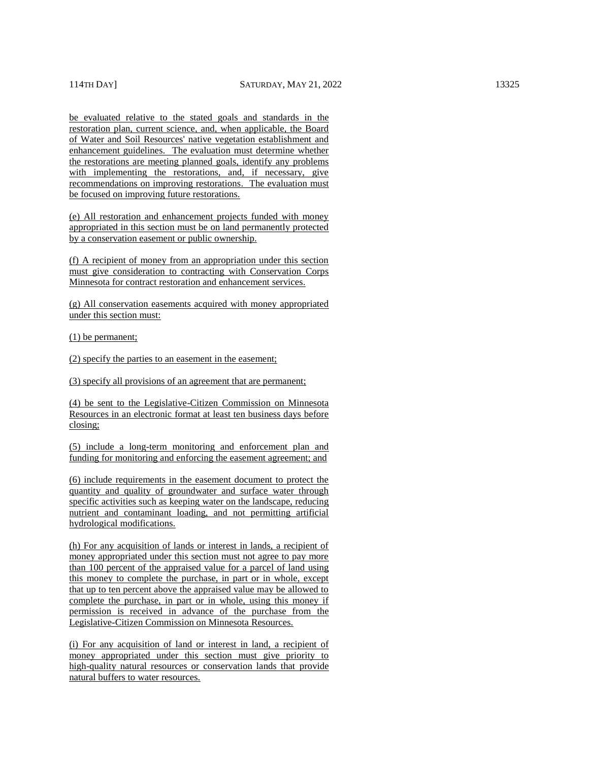be evaluated relative to the stated goals and standards in the restoration plan, current science, and, when applicable, the Board of Water and Soil Resources' native vegetation establishment and enhancement guidelines. The evaluation must determine whether the restorations are meeting planned goals, identify any problems with implementing the restorations, and, if necessary, give recommendations on improving restorations. The evaluation must be focused on improving future restorations.

(e) All restoration and enhancement projects funded with money appropriated in this section must be on land permanently protected by a conservation easement or public ownership.

(f) A recipient of money from an appropriation under this section must give consideration to contracting with Conservation Corps Minnesota for contract restoration and enhancement services.

(g) All conservation easements acquired with money appropriated under this section must:

(1) be permanent;

(2) specify the parties to an easement in the easement;

(3) specify all provisions of an agreement that are permanent;

(4) be sent to the Legislative-Citizen Commission on Minnesota Resources in an electronic format at least ten business days before closing;

(5) include a long-term monitoring and enforcement plan and funding for monitoring and enforcing the easement agreement; and

(6) include requirements in the easement document to protect the quantity and quality of groundwater and surface water through specific activities such as keeping water on the landscape, reducing nutrient and contaminant loading, and not permitting artificial hydrological modifications.

(h) For any acquisition of lands or interest in lands, a recipient of money appropriated under this section must not agree to pay more than 100 percent of the appraised value for a parcel of land using this money to complete the purchase, in part or in whole, except that up to ten percent above the appraised value may be allowed to complete the purchase, in part or in whole, using this money if permission is received in advance of the purchase from the Legislative-Citizen Commission on Minnesota Resources.

(i) For any acquisition of land or interest in land, a recipient of money appropriated under this section must give priority to high-quality natural resources or conservation lands that provide natural buffers to water resources.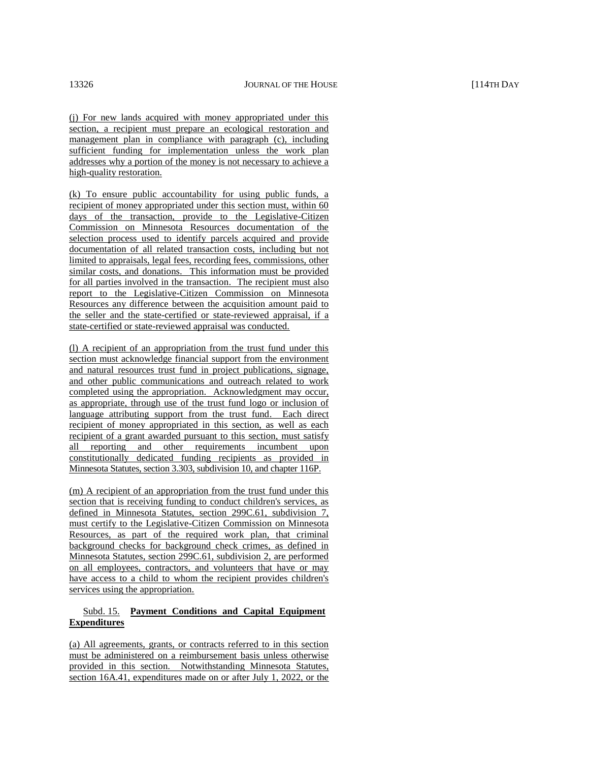(j) For new lands acquired with money appropriated under this section, a recipient must prepare an ecological restoration and management plan in compliance with paragraph (c), including sufficient funding for implementation unless the work plan addresses why a portion of the money is not necessary to achieve a high-quality restoration.

(k) To ensure public accountability for using public funds, a recipient of money appropriated under this section must, within 60 days of the transaction, provide to the Legislative-Citizen Commission on Minnesota Resources documentation of the selection process used to identify parcels acquired and provide documentation of all related transaction costs, including but not limited to appraisals, legal fees, recording fees, commissions, other similar costs, and donations. This information must be provided for all parties involved in the transaction. The recipient must also report to the Legislative-Citizen Commission on Minnesota Resources any difference between the acquisition amount paid to the seller and the state-certified or state-reviewed appraisal, if a state-certified or state-reviewed appraisal was conducted.

(l) A recipient of an appropriation from the trust fund under this section must acknowledge financial support from the environment and natural resources trust fund in project publications, signage, and other public communications and outreach related to work completed using the appropriation. Acknowledgment may occur, as appropriate, through use of the trust fund logo or inclusion of language attributing support from the trust fund. Each direct recipient of money appropriated in this section, as well as each recipient of a grant awarded pursuant to this section, must satisfy all reporting and other requirements incumbent upon constitutionally dedicated funding recipients as provided in Minnesota Statutes, section 3.303, subdivision 10, and chapter 116P.

(m) A recipient of an appropriation from the trust fund under this section that is receiving funding to conduct children's services, as defined in Minnesota Statutes, section 299C.61, subdivision 7, must certify to the Legislative-Citizen Commission on Minnesota Resources, as part of the required work plan, that criminal background checks for background check crimes, as defined in Minnesota Statutes, section 299C.61, subdivision 2, are performed on all employees, contractors, and volunteers that have or may have access to a child to whom the recipient provides children's services using the appropriation.

# Subd. 15. **Payment Conditions and Capital Equipment Expenditures**

(a) All agreements, grants, or contracts referred to in this section must be administered on a reimbursement basis unless otherwise provided in this section. Notwithstanding Minnesota Statutes, section 16A.41, expenditures made on or after July 1, 2022, or the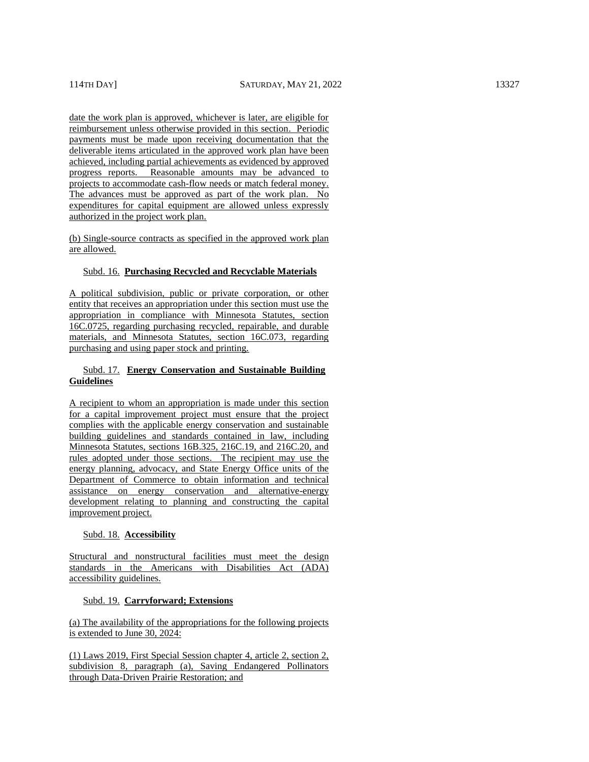date the work plan is approved, whichever is later, are eligible for reimbursement unless otherwise provided in this section. Periodic payments must be made upon receiving documentation that the deliverable items articulated in the approved work plan have been achieved, including partial achievements as evidenced by approved progress reports. Reasonable amounts may be advanced to projects to accommodate cash-flow needs or match federal money. The advances must be approved as part of the work plan. No expenditures for capital equipment are allowed unless expressly authorized in the project work plan.

(b) Single-source contracts as specified in the approved work plan are allowed.

#### Subd. 16. **Purchasing Recycled and Recyclable Materials**

A political subdivision, public or private corporation, or other entity that receives an appropriation under this section must use the appropriation in compliance with Minnesota Statutes, section 16C.0725, regarding purchasing recycled, repairable, and durable materials, and Minnesota Statutes, section 16C.073, regarding purchasing and using paper stock and printing.

# Subd. 17. **Energy Conservation and Sustainable Building Guidelines**

A recipient to whom an appropriation is made under this section for a capital improvement project must ensure that the project complies with the applicable energy conservation and sustainable building guidelines and standards contained in law, including Minnesota Statutes, sections 16B.325, 216C.19, and 216C.20, and rules adopted under those sections. The recipient may use the energy planning, advocacy, and State Energy Office units of the Department of Commerce to obtain information and technical assistance on energy conservation and alternative-energy development relating to planning and constructing the capital improvement project.

#### Subd. 18. **Accessibility**

Structural and nonstructural facilities must meet the design standards in the Americans with Disabilities Act (ADA) accessibility guidelines.

#### Subd. 19. **Carryforward; Extensions**

(a) The availability of the appropriations for the following projects is extended to June 30, 2024:

(1) Laws 2019, First Special Session chapter 4, article 2, section 2, subdivision 8, paragraph (a), Saving Endangered Pollinators through Data-Driven Prairie Restoration; and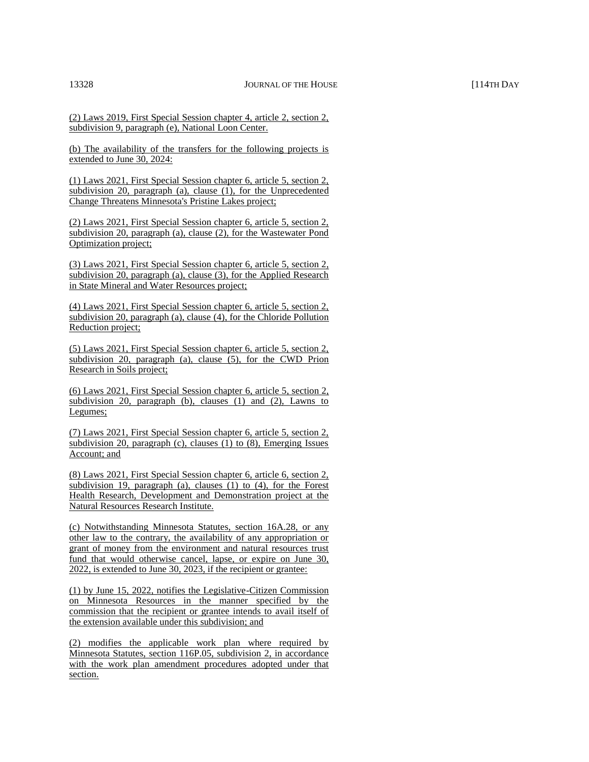(2) Laws 2019, First Special Session chapter 4, article 2, section 2, subdivision 9, paragraph (e), National Loon Center.

(b) The availability of the transfers for the following projects is extended to June 30, 2024:

(1) Laws 2021, First Special Session chapter 6, article 5, section 2, subdivision 20, paragraph (a), clause  $(1)$ , for the Unprecedented Change Threatens Minnesota's Pristine Lakes project;

(2) Laws 2021, First Special Session chapter 6, article 5, section 2, subdivision 20, paragraph (a), clause (2), for the Wastewater Pond Optimization project;

(3) Laws 2021, First Special Session chapter 6, article 5, section 2, subdivision 20, paragraph (a), clause (3), for the Applied Research in State Mineral and Water Resources project;

(4) Laws 2021, First Special Session chapter 6, article 5, section 2, subdivision 20, paragraph (a), clause (4), for the Chloride Pollution Reduction project;

(5) Laws 2021, First Special Session chapter 6, article 5, section 2, subdivision 20, paragraph (a), clause (5), for the CWD Prion Research in Soils project;

(6) Laws 2021, First Special Session chapter 6, article 5, section 2, subdivision 20, paragraph (b), clauses (1) and (2), Lawns to Legumes;

(7) Laws 2021, First Special Session chapter 6, article 5, section 2, subdivision 20, paragraph (c), clauses (1) to (8), Emerging Issues Account; and

(8) Laws 2021, First Special Session chapter 6, article 6, section 2, subdivision 19, paragraph (a), clauses (1) to (4), for the Forest Health Research, Development and Demonstration project at the Natural Resources Research Institute.

(c) Notwithstanding Minnesota Statutes, section 16A.28, or any other law to the contrary, the availability of any appropriation or grant of money from the environment and natural resources trust fund that would otherwise cancel, lapse, or expire on June 30, 2022, is extended to June 30, 2023, if the recipient or grantee:

(1) by June 15, 2022, notifies the Legislative-Citizen Commission on Minnesota Resources in the manner specified by the commission that the recipient or grantee intends to avail itself of the extension available under this subdivision; and

(2) modifies the applicable work plan where required by Minnesota Statutes, section 116P.05, subdivision 2, in accordance with the work plan amendment procedures adopted under that section.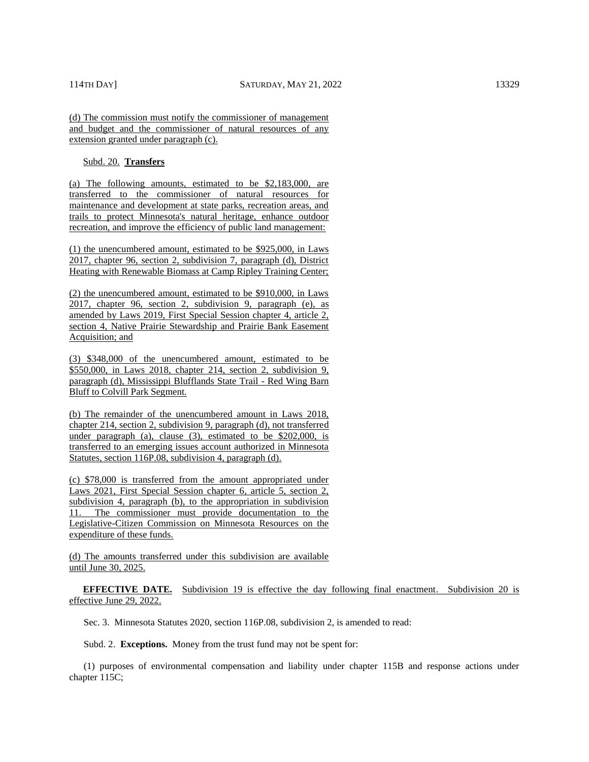(d) The commission must notify the commissioner of management and budget and the commissioner of natural resources of any extension granted under paragraph (c).

Subd. 20. **Transfers** 

(a) The following amounts, estimated to be \$2,183,000, are transferred to the commissioner of natural resources for maintenance and development at state parks, recreation areas, and trails to protect Minnesota's natural heritage, enhance outdoor recreation, and improve the efficiency of public land management:

(1) the unencumbered amount, estimated to be \$925,000, in Laws 2017, chapter 96, section 2, subdivision 7, paragraph (d), District Heating with Renewable Biomass at Camp Ripley Training Center;

(2) the unencumbered amount, estimated to be \$910,000, in Laws 2017, chapter 96, section 2, subdivision 9, paragraph (e), as amended by Laws 2019, First Special Session chapter 4, article 2, section 4, Native Prairie Stewardship and Prairie Bank Easement Acquisition; and

(3) \$348,000 of the unencumbered amount, estimated to be \$550,000, in Laws 2018, chapter 214, section 2, subdivision 9, paragraph (d), Mississippi Blufflands State Trail - Red Wing Barn Bluff to Colvill Park Segment.

(b) The remainder of the unencumbered amount in Laws 2018, chapter 214, section 2, subdivision 9, paragraph (d), not transferred under paragraph (a), clause (3), estimated to be \$202,000, is transferred to an emerging issues account authorized in Minnesota Statutes, section 116P.08, subdivision 4, paragraph (d).

(c) \$78,000 is transferred from the amount appropriated under Laws 2021, First Special Session chapter 6, article 5, section 2, subdivision 4, paragraph (b), to the appropriation in subdivision 11. The commissioner must provide documentation to the Legislative-Citizen Commission on Minnesota Resources on the expenditure of these funds.

(d) The amounts transferred under this subdivision are available until June 30, 2025.

**EFFECTIVE DATE.** Subdivision 19 is effective the day following final enactment. Subdivision 20 is effective June 29, 2022.

Sec. 3. Minnesota Statutes 2020, section 116P.08, subdivision 2, is amended to read:

Subd. 2. **Exceptions.** Money from the trust fund may not be spent for:

(1) purposes of environmental compensation and liability under chapter 115B and response actions under chapter 115C;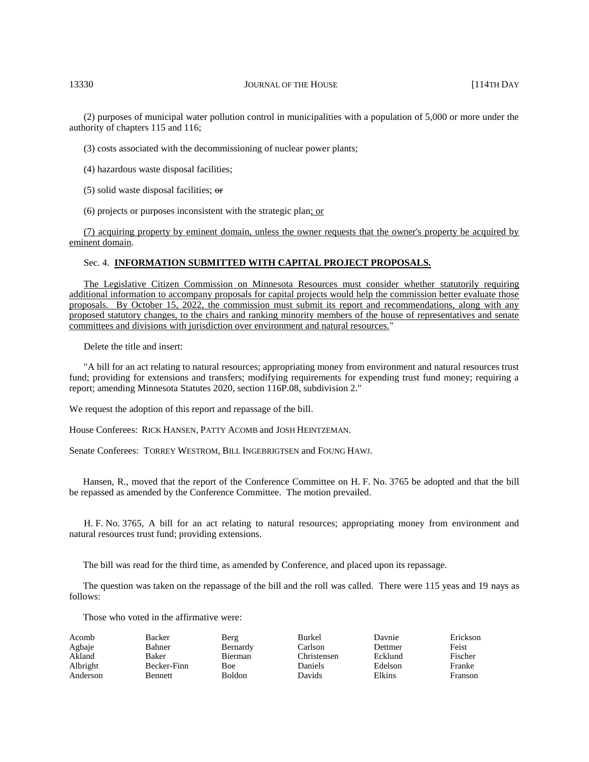(2) purposes of municipal water pollution control in municipalities with a population of 5,000 or more under the authority of chapters 115 and 116;

(3) costs associated with the decommissioning of nuclear power plants;

(4) hazardous waste disposal facilities;

(5) solid waste disposal facilities;  $\theta$ 

(6) projects or purposes inconsistent with the strategic plan; or

(7) acquiring property by eminent domain, unless the owner requests that the owner's property be acquired by eminent domain.

#### Sec. 4. **INFORMATION SUBMITTED WITH CAPITAL PROJECT PROPOSALS.**

The Legislative Citizen Commission on Minnesota Resources must consider whether statutorily requiring additional information to accompany proposals for capital projects would help the commission better evaluate those proposals. By October 15, 2022, the commission must submit its report and recommendations, along with any proposed statutory changes, to the chairs and ranking minority members of the house of representatives and senate committees and divisions with jurisdiction over environment and natural resources."

Delete the title and insert:

"A bill for an act relating to natural resources; appropriating money from environment and natural resources trust fund; providing for extensions and transfers; modifying requirements for expending trust fund money; requiring a report; amending Minnesota Statutes 2020, section 116P.08, subdivision 2."

We request the adoption of this report and repassage of the bill.

House Conferees: RICK HANSEN, PATTY ACOMB and JOSH HEINTZEMAN.

Senate Conferees: TORREY WESTROM, BILL INGEBRIGTSEN and FOUNG HAWJ.

Hansen, R., moved that the report of the Conference Committee on H. F. No. 3765 be adopted and that the bill be repassed as amended by the Conference Committee. The motion prevailed.

H. F. No. 3765, A bill for an act relating to natural resources; appropriating money from environment and natural resources trust fund; providing extensions.

The bill was read for the third time, as amended by Conference, and placed upon its repassage.

The question was taken on the repassage of the bill and the roll was called. There were 115 yeas and 19 nays as follows:

Those who voted in the affirmative were:

| Acomb    | Backer         | Berg           | <b>Burkel</b> | Davnie  | Erickson |
|----------|----------------|----------------|---------------|---------|----------|
| Agbaje   | Bahner         | Bernardy       | Carlson       | Dettmer | Feist    |
| Akland   | Baker          | <b>Bierman</b> | Christensen   | Ecklund | Fischer  |
| Albright | Becker-Finn    | Boe            | Daniels       | Edelson | Franke   |
| Anderson | <b>Bennett</b> | <b>Boldon</b>  | Davids        | Elkins  | Franson  |